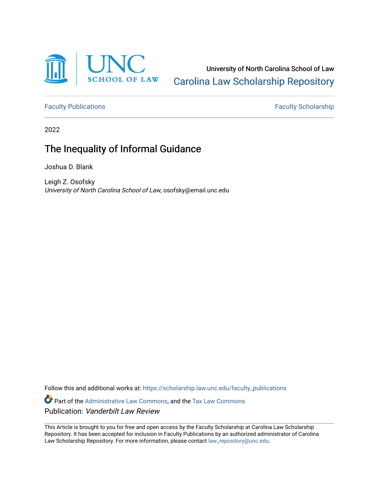

University of North Carolina School of Law [Carolina Law Scholarship Repository](https://scholarship.law.unc.edu/) 

[Faculty Publications](https://scholarship.law.unc.edu/faculty_publications) **Faculty Scholarship** 

2022

# The Inequality of Informal Guidance

Joshua D. Blank

Leigh Z. Osofsky University of North Carolina School of Law, osofsky@email.unc.edu

Follow this and additional works at: [https://scholarship.law.unc.edu/faculty\\_publications](https://scholarship.law.unc.edu/faculty_publications?utm_source=scholarship.law.unc.edu%2Ffaculty_publications%2F594&utm_medium=PDF&utm_campaign=PDFCoverPages)

Part of the [Administrative Law Commons,](https://network.bepress.com/hgg/discipline/579?utm_source=scholarship.law.unc.edu%2Ffaculty_publications%2F594&utm_medium=PDF&utm_campaign=PDFCoverPages) and the [Tax Law Commons](https://network.bepress.com/hgg/discipline/898?utm_source=scholarship.law.unc.edu%2Ffaculty_publications%2F594&utm_medium=PDF&utm_campaign=PDFCoverPages)  Publication: Vanderbilt Law Review

This Article is brought to you for free and open access by the Faculty Scholarship at Carolina Law Scholarship Repository. It has been accepted for inclusion in Faculty Publications by an authorized administrator of Carolina Law Scholarship Repository. For more information, please contact [law\\_repository@unc.edu.](mailto:law_repository@unc.edu)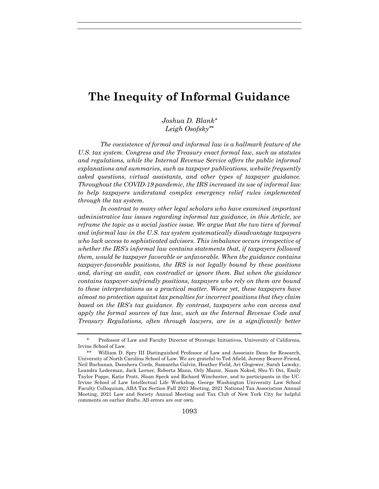# **The Inequity of Informal Guidance**

*Joshua D. Blank\* Leigh Osofsky\*\**

*The coexistence of formal and informal law is a hallmark feature of the U.S. tax system. Congress and the Treasury enact formal law, such as statutes and regulations, while the Internal Revenue Service offers the public informal explanations and summaries, such as taxpayer publications, website frequently asked questions, virtual assistants, and other types of taxpayer guidance. Throughout the COVID-19 pandemic, the IRS increased its use of informal law to help taxpayers understand complex emergency relief rules implemented through the tax system.* 

*In contrast to many other legal scholars who have examined important administrative law issues regarding informal tax guidance, in this Article, we reframe the topic as a social justice issue. We argue that the two tiers of formal and informal law in the U.S. tax system systematically disadvantage taxpayers who lack access to sophisticated advisors. This imbalance occurs irrespective of whether the IRS's informal law contains statements that, if taxpayers followed them, would be taxpayer favorable or unfavorable. When the guidance contains taxpayer-favorable positions, the IRS is not legally bound by these positions and, during an audit, can contradict or ignore them. But when the guidance contains taxpayer-unfriendly positions, taxpayers who rely on them are bound to these interpretations as a practical matter. Worse yet, these taxpayers have almost no protection against tax penalties for incorrect positions that they claim based on the IRS's tax guidance. By contrast, taxpayers who can access and apply the formal sources of tax law, such as the Internal Revenue Code and Treasury Regulations, often through lawyers, are in a significantly better* 

 <sup>\*</sup> Professor of Law and Faculty Director of Strategic Initiatives, University of California, Irvine School of Law.

<sup>\*\*</sup> William D. Spry III Distinguished Professor of Law and Associate Dean for Research, University of North Carolina School of Law. We are grateful to Ted Afield, Jeremy Bearer-Friend, Neil Buchanan, Danshera Cords, Samantha Galvin, Heather Field, Ari Glogower, Sarah Lawsky, Leandra Lederman, Jack Lerner, Roberta Mann, Orly Mazur, Noam Noked, Shu-Yi Oei, Emily Taylor Poppe, Katie Pratt, Sloan Speck and Richard Winchester, and to participants in the UC-Irvine School of Law Intellectual Life Workshop, George Washington University Law School Faculty Colloquium, ABA Tax Section Fall 2021 Meeting, 2021 National Tax Association Annual Meeting, 2021 Law and Society Annual Meeting and Tax Club of New York City for helpful comments on earlier drafts. All errors are our own.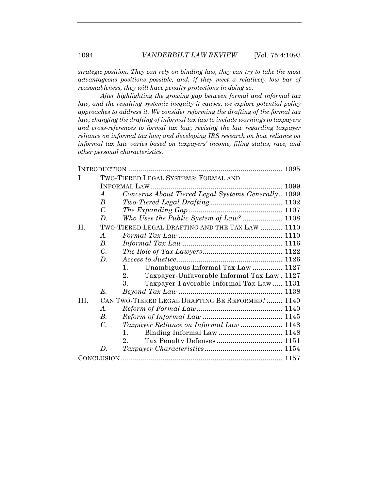*strategic position. They can rely on binding law, they can try to take the most advantageous positions possible, and, if they meet a relatively low bar of reasonableness, they will have penalty protections in doing so.*

*After highlighting the growing gap between formal and informal tax law, and the resulting systemic inequity it causes, we explore potential policy approaches to address it. We consider reforming the drafting of the formal tax law; changing the drafting of informal tax law to include warnings to taxpayers and cross-references to formal tax law; revising the law regarding taxpayer reliance on informal tax law; and developing IRS research on how reliance on informal tax law varies based on taxpayers' income, filing status, race, and other personal characteristics.*

| L       | TWO-TIERED LEGAL SYSTEMS: FORMAL AND            |                                                    |      |
|---------|-------------------------------------------------|----------------------------------------------------|------|
|         |                                                 |                                                    | 1099 |
|         | $\mathcal{A}$ .                                 | Concerns About Tiered Legal Systems Generally 1099 |      |
|         | $B_{\cdot}$                                     |                                                    |      |
|         | $\overline{C}$ .                                |                                                    |      |
|         | D.                                              | Who Uses the Public System of Law?  1108           |      |
| $\Pi$ . | TWO-TIERED LEGAL DRAFTING AND THE TAX LAW  1110 |                                                    |      |
|         | $\mathcal{A}$ .                                 |                                                    |      |
|         | $B_{\cdot}$                                     |                                                    |      |
|         | $C_{\cdot}$                                     |                                                    |      |
|         | $D_{\cdot}$                                     |                                                    |      |
|         |                                                 | Unambiguous Informal Tax Law  1127<br>$1_{-}$      |      |
|         |                                                 | Taxpayer-Unfavorable Informal Tax Law. 1127<br>2.  |      |
|         |                                                 | 3.<br>Taxpayer-Favorable Informal Tax Law  1131    |      |
|         | E.                                              |                                                    |      |
| III.    | CAN TWO-TIERED LEGAL DRAFTING BE REFORMED? 1140 |                                                    |      |
|         | $\mathcal{A}_{\cdot}$                           |                                                    |      |
|         | В.                                              |                                                    |      |
|         | $C_{\cdot}$                                     |                                                    |      |
|         |                                                 | $1_{-}$                                            |      |
|         |                                                 | $2_{-}$                                            |      |
|         | D.                                              |                                                    |      |
|         |                                                 |                                                    |      |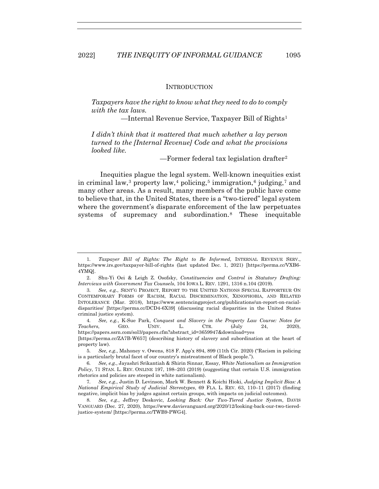#### INTRODUCTION

*Taxpayers have the right to know what they need to do to comply with the tax laws.*

—Internal Revenue Service, Taxpayer Bill of Rights1

*I didn't think that it mattered that much whether a lay person turned to the [Internal Revenue] Code and what the provisions looked like.*

*—*Former federal tax legislation drafter2

Inequities plague the legal system. Well-known inequities exist in criminal law,<sup>3</sup> property law,<sup>4</sup> policing,<sup>5</sup> immigration,<sup>6</sup> judging,<sup>7</sup> and many other areas. As a result, many members of the public have come to believe that, in the United States, there is a "two-tiered" legal system where the government's disparate enforcement of the law perpetuates systems of supremacy and subordination.8 These inequitable

4*. See, e.g.*, K-Sue Park, *Conquest and Slavery in the Property Law Course: Notes for Teachers*, GEO. UNIV. L. CTR. (July 24, 2020), https://papers.ssrn.com/sol3/papers.cfm?abstract\_id=3659947&download=yes [https://perma.cc/ZA7B-W657] (describing history of slavery and subordination at the heart of

<sup>1</sup>*. Taxpayer Bill of Rights: The Right to Be Informed,* INTERNAL REVENUE SERV., https://www.irs.gov/taxpayer-bill-of-rights (last updated Dec. 1, 2021) [https://perma.cc/VXB6- 4YMQ].

 <sup>2.</sup> Shu-Yi Oei & Leigh Z. Osofsky, *Constituencies and Control in Statutory Drafting: Interviews with Government Tax Counsels*, 104 IOWA L. REV. 1291, 1316 n.104 (2019).

<sup>3</sup>*. See, e.g.*, SENT'G PROJECT, REPORT TO THE UNITED NATIONS SPECIAL RAPPORTEUR ON CONTEMPORARY FORMS OF RACISM, RACIAL DISCRIMINATION, XENOPHOBIA, AND RELATED INTOLERANCE (Mar. 2018), https://www.sentencingproject.org/publications/un-report-on-racialdisparities/ [https://perma.cc/DCD4-6X39] (discussing racial disparities in the United States criminal justice system).

property law).

<sup>5</sup>*. See, e.g.*, Mahoney v. Owens, 818 F. App'x 894, 899 (11th Cir. 2020) ("Racism in policing is a particularly brutal facet of our country's mistreatment of Black people.").

<sup>6</sup>*. See, e.g.*, Jayashri Srikantiah & Shirin Sinnar, Essay, *White Nationalism as Immigration Policy*, 71 STAN. L. REV. ONLINE 197, 198–203 (2019) (suggesting that certain U.S. immigration rhetorics and policies are steeped in white nationalism).

<sup>7</sup>*. See, e.g.*, Justin D. Levinson, Mark W. Bennett & Koichi Hioki, *Judging Implicit Bias: A National Empirical Study of Judicial Stereotypes*, 69 FLA. L. REV. 63, 110–11 (2017) (finding negative, implicit bias by judges against certain groups, with impacts on judicial outcomes).

<sup>8</sup>*. See, e.g.*, Jeffrey Deskovic, *Looking Back: Our Two-Tiered Justice System*, DAVIS VANGUARD (Dec. 27, 2020), https://www.davisvanguard.org/2020/12/looking-back-our-two-tieredjustice-system/ [https://perma.cc/TWB9-PWG4].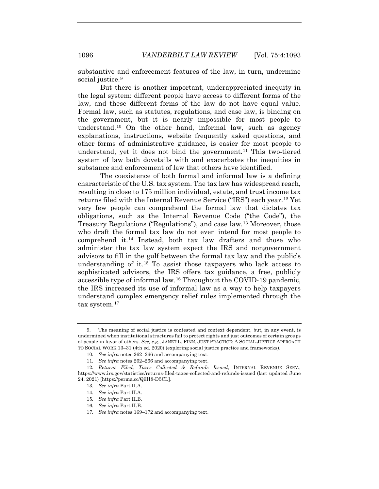substantive and enforcement features of the law, in turn, undermine social justice.<sup>9</sup>

But there is another important, underappreciated inequity in the legal system: different people have access to different forms of the law, and these different forms of the law do not have equal value. Formal law, such as statutes, regulations, and case law, is binding on the government, but it is nearly impossible for most people to understand.10 On the other hand, informal law, such as agency explanations, instructions, website frequently asked questions, and other forms of administrative guidance, is easier for most people to understand, yet it does not bind the government.<sup>11</sup> This two-tiered system of law both dovetails with and exacerbates the inequities in substance and enforcement of law that others have identified.

The coexistence of both formal and informal law is a defining characteristic of the U.S. tax system. The tax law has widespread reach, resulting in close to 175 million individual, estate, and trust income tax returns filed with the Internal Revenue Service ("IRS") each year.12 Yet very few people can comprehend the formal law that dictates tax obligations, such as the Internal Revenue Code ("the Code"), the Treasury Regulations ("Regulations"), and case law.13 Moreover, those who draft the formal tax law do not even intend for most people to comprehend it.14 Instead, both tax law drafters and those who administer the tax law system expect the IRS and nongovernment advisors to fill in the gulf between the formal tax law and the public's understanding of it.15 To assist those taxpayers who lack access to sophisticated advisors, the IRS offers tax guidance, a free, publicly accessible type of informal law.16 Throughout the COVID-19 pandemic, the IRS increased its use of informal law as a way to help taxpayers understand complex emergency relief rules implemented through the tax system.17

 <sup>9.</sup> The meaning of social justice is contested and context dependent, but, in any event, is undermined when institutional structures fail to protect rights and just outcomes of certain groups of people in favor of others. *See, e.g.*, JANET L. FINN, JUST PRACTICE: A SOCIAL JUSTICE APPROACH TO SOCIAL WORK 13–31 (4th ed. 2020) (exploring social justice practice and frameworks).

<sup>10</sup>*. See infra* notes 262–266 and accompanying text.

<sup>11</sup>*. See infra* notes 262–266 and accompanying text.

<sup>12</sup>*. Returns Filed, Taxes Collected & Refunds Issued*, INTERNAL REVENUE SERV., https://www.irs.gov/statistics/returns-filed-taxes-collected-and-refunds-issued (last updated June 24, 2021) [https://perma.cc/Q9H8-D5CL].

<sup>13</sup>*. See infra* Part II.A.

<sup>14</sup>*. See infra* Part II.A.

<sup>15</sup>*. See infra* Part II.B.

<sup>16</sup>*. See infra* Part II.B.

<sup>17</sup>*. See infra* notes 169–172 and accompanying text.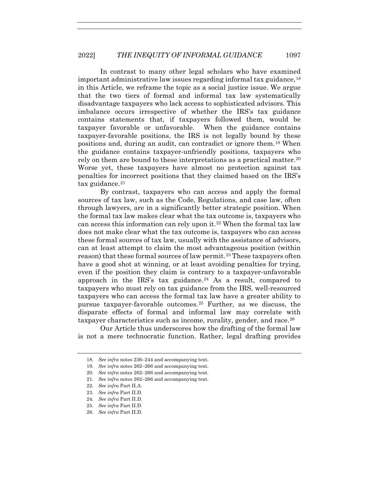In contrast to many other legal scholars who have examined important administrative law issues regarding informal tax guidance,18 in this Article, we reframe the topic as a social justice issue. We argue that the two tiers of formal and informal tax law systematically disadvantage taxpayers who lack access to sophisticated advisors. This imbalance occurs irrespective of whether the IRS's tax guidance contains statements that, if taxpayers followed them, would be taxpayer favorable or unfavorable. When the guidance contains taxpayer-favorable positions, the IRS is not legally bound by these positions and, during an audit, can contradict or ignore them.19 When the guidance contains taxpayer-unfriendly positions, taxpayers who rely on them are bound to these interpretations as a practical matter.20 Worse yet, these taxpayers have almost no protection against tax penalties for incorrect positions that they claimed based on the IRS's tax guidance.<sup>21</sup>

By contrast, taxpayers who can access and apply the formal sources of tax law, such as the Code, Regulations, and case law, often through lawyers, are in a significantly better strategic position. When the formal tax law makes clear what the tax outcome is, taxpayers who can access this information can rely upon it.22 When the formal tax law does not make clear what the tax outcome is, taxpayers who can access these formal sources of tax law, usually with the assistance of advisors, can at least attempt to claim the most advantageous position (within reason) that these formal sources of law permit.23 These taxpayers often have a good shot at winning, or at least avoiding penalties for trying, even if the position they claim is contrary to a taxpayer-unfavorable approach in the IRS's tax guidance.<sup>24</sup> As a result, compared to taxpayers who must rely on tax guidance from the IRS, well-resourced taxpayers who can access the formal tax law have a greater ability to pursue taxpayer-favorable outcomes.25 Further, as we discuss, the disparate effects of formal and informal law may correlate with taxpayer characteristics such as income, rurality, gender, and race.<sup>26</sup>

Our Article thus underscores how the drafting of the formal law is not a mere technocratic function. Rather, legal drafting provides

<sup>18</sup>*. See infra* notes 236–244 and accompanying text.

<sup>19</sup>*. See infra* notes 262–266 and accompanying text.

<sup>20</sup>*. See infra* notes 262–266 and accompanying text.

<sup>21</sup>*. See infra* notes 262–266 and accompanying text.

<sup>22</sup>*. See infra* Part II.A.

<sup>23</sup>*. See infra* Part II.D.

<sup>24</sup>*. See infra* Part II.D.

<sup>25</sup>*. See infra* Part II.D.

<sup>26</sup>*. See infra* Part II.D.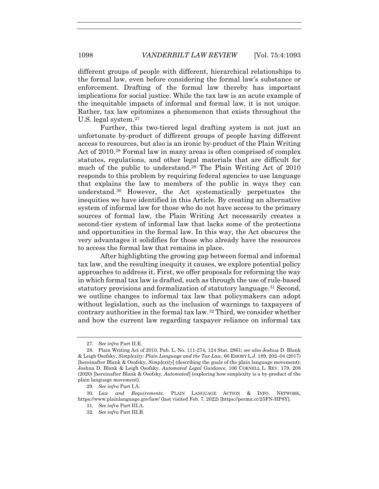different groups of people with different, hierarchical relationships to the formal law, even before considering the formal law's substance or enforcement. Drafting of the formal law thereby has important implications for social justice. While the tax law is an acute example of the inequitable impacts of informal and formal law, it is not unique. Rather, tax law epitomizes a phenomenon that exists throughout the U.S. legal system.27

Further, this two-tiered legal drafting system is not just an unfortunate by-product of different groups of people having different access to resources, but also is an ironic by-product of the Plain Writing Act of 2010.28 Formal law in many areas is often comprised of complex statutes, regulations, and other legal materials that are difficult for much of the public to understand.29 The Plain Writing Act of 2010 responds to this problem by requiring federal agencies to use language that explains the law to members of the public in ways they can understand.30 However, the Act systematically perpetuates the inequities we have identified in this Article. By creating an alternative system of informal law for those who do not have access to the primary sources of formal law, the Plain Writing Act necessarily creates a second-tier system of informal law that lacks some of the protections and opportunities in the formal law. In this way, the Act obscures the very advantages it solidifies for those who already have the resources to access the formal law that remains in place.

After highlighting the growing gap between formal and informal tax law, and the resulting inequity it causes, we explore potential policy approaches to address it. First, we offer proposals for reforming the way in which formal tax law is drafted, such as through the use of rule-based statutory provisions and formalization of statutory language.<sup>31</sup> Second, we outline changes to informal tax law that policymakers can adopt without legislation, such as the inclusion of warnings to taxpayers of contrary authorities in the formal tax law.32 Third, we consider whether and how the current law regarding taxpayer reliance on informal tax

<sup>27</sup>*. See infra* Part II.E.

 <sup>28.</sup> Plain Writing Act of 2010, Pub. L. No. 111-274, 124 Stat. 2861; *see also* Joshua D. Blank & Leigh Osofsky, *Simplexity: Plain Language and the Tax Law*, 66 EMORY L.J. 189, 202–04 (2017) [hereinafter Blank & Osofsky, *Simplexity*] (describing the goals of the plain language movement); Joshua D. Blank & Leigh Osofsky, *Automated Legal Guidance*, 106 CORNELL L. REV. 179, 208 (2020) [hereinafter Blank & Osofsky, *Automated*] (exploring how simplexity is a by-product of the plain language movement).

<sup>29</sup>*. See infra* Part I.A.

<sup>30</sup>*. Law and Requirements*, PLAIN LANGUAGE ACTION & INFO. NETWORK, https://www.plainlanguage.gov/law/ (last visited Feb. 7, 2022) [https://perma.cc/25FN-HP8Y].

<sup>31</sup>*. See infra* Part III.A.

<sup>32</sup>*. See infra* Part III.B.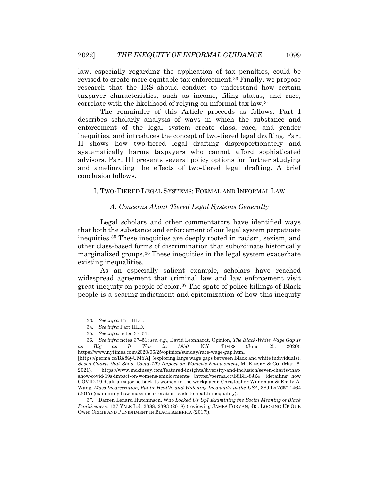law, especially regarding the application of tax penalties, could be revised to create more equitable tax enforcement.33 Finally, we propose research that the IRS should conduct to understand how certain taxpayer characteristics, such as income, filing status, and race, correlate with the likelihood of relying on informal tax law.34

The remainder of this Article proceeds as follows. Part I describes scholarly analysis of ways in which the substance and enforcement of the legal system create class, race, and gender inequities, and introduces the concept of two-tiered legal drafting. Part II shows how two-tiered legal drafting disproportionately and systematically harms taxpayers who cannot afford sophisticated advisors. Part III presents several policy options for further studying and ameliorating the effects of two-tiered legal drafting. A brief conclusion follows.

I. TWO-TIERED LEGAL SYSTEMS: FORMAL AND INFORMAL LAW

## *A. Concerns About Tiered Legal Systems Generally*

Legal scholars and other commentators have identified ways that both the substance and enforcement of our legal system perpetuate inequities.35 These inequities are deeply rooted in racism, sexism, and other class-based forms of discrimination that subordinate historically marginalized groups.36 These inequities in the legal system exacerbate existing inequalities.

As an especially salient example, scholars have reached widespread agreement that criminal law and law enforcement visit great inequity on people of color.<sup>37</sup> The spate of police killings of Black people is a searing indictment and epitomization of how this inequity

<sup>33</sup>*. See infra* Part III.C.

<sup>34</sup>*. See infra* Part III.D.

<sup>35</sup>*. See infra* notes 37–51.

<sup>36</sup>*. See infra* notes 37–51; *see, e.g.*, David Leonhardt, Opinion, *The Black-White Wage Gap Is as Big as It Was in 1950*, N.Y. TIMES (June 25, 2020), https://www.nytimes.com/2020/06/25/opinion/sunday/race-wage-gap.html

<sup>[</sup>https://perma.cc/BX8Q-UMYA] (exploring large wage gaps between Black and white individuals); *Seven Charts that Show Covid-19's Impact on Women's Employment*, MCKINSEY & CO. (Mar. 8, 2021), https://www.mckinsey.com/featured-insights/diversity-and-inclusion/seven-charts-thatshow-covid-19s-impact-on-womens-employment# [https://perma.cc/B8BH-8JZ4] (detailing how COVID-19 dealt a major setback to women in the workplace); Christopher Wildeman & Emily A. Wang, *Mass Incarceration, Public Health, and Widening Inequality in the USA,* 389 LANCET 1464 (2017) (examining how mass incarceration leads to health inequality).

 <sup>37.</sup> Darren Lenard Hutchinson, Who *Locked Us Up? Examining the Social Meaning of Black Punitiveness*, 127 YALE L.J. 2388, 2393 (2018) (reviewing JAMES FORMAN, JR., LOCKING UP OUR OWN: CRIME AND PUNISHMENT IN BLACK AMERICA (2017)).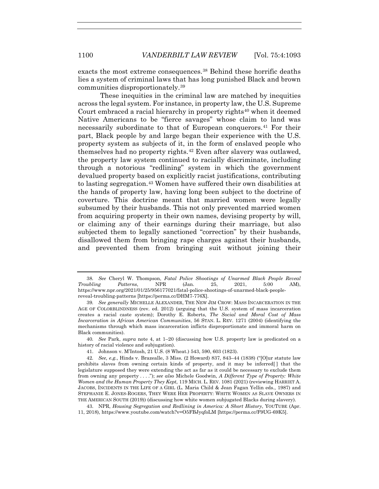exacts the most extreme consequences.<sup>38</sup> Behind these horrific deaths lies a system of criminal laws that has long punished Black and brown communities disproportionately.39

These inequities in the criminal law are matched by inequities across the legal system. For instance, in property law, the U.S. Supreme Court embraced a racial hierarchy in property rights<sup>40</sup> when it deemed Native Americans to be "fierce savages" whose claim to land was necessarily subordinate to that of European conquerors.<sup>41</sup> For their part, Black people by and large began their experience with the U.S. property system as subjects of it, in the form of enslaved people who themselves had no property rights.42 Even after slavery was outlawed, the property law system continued to racially discriminate, including through a notorious "redlining" system in which the government devalued property based on explicitly racist justifications, contributing to lasting segregation.43 Women have suffered their own disabilities at the hands of property law, having long been subject to the doctrine of coverture. This doctrine meant that married women were legally subsumed by their husbands. This not only prevented married women from acquiring property in their own names, devising property by will, or claiming any of their earnings during their marriage, but also subjected them to legally sanctioned "correction" by their husbands, disallowed them from bringing rape charges against their husbands, and prevented them from bringing suit without joining their

40*. See* Park, *supra* note 4, at 1–20 (discussing how U.S. property law is predicated on a history of racial violence and subjugation).

<sup>38</sup>*. See* Cheryl W. Thompson, *Fatal Police Shootings of Unarmed Black People Reveal Troubling Patterns*, NPR (Jan. 25, 2021, 5:00 AM), https://www.npr.org/2021/01/25/956177021/fatal-police-shootings-of-unarmed-black-peoplereveal-troubling-patterns [https://perma.cc/DHM7-776X].

<sup>39</sup>*. See generally* MICHELLE ALEXANDER, THE NEW JIM CROW: MASS INCARCERATION IN THE AGE OF COLORBLINDNESS (rev. ed. 2012) (arguing that the U.S. system of mass incarceration creates a racial caste system); Dorothy E. Roberts, *The Social and Moral Cost of Mass Incarceration in African American Communities*, 56 STAN. L. REV. 1271 (2004) (identifying the mechanisms through which mass incarceration inflicts disproportionate and immoral harm on Black communities).

 <sup>41.</sup> Johnson v. M'Intosh, 21 U.S. (8 Wheat.) 543, 590, 603 (1823).

<sup>42</sup>*. See, e.g.*, Hinds v. Brazealle, 3 Miss. (2 Howard) 837, 843–44 (1838) ("[O]ur statute law prohibits slaves from owning certain kinds of property, and it may be inferred[] that the legislature supposed they were extending the act as far as it could be necessary to exclude them from owning any property . . . ."); *see also* Michele Goodwin, *A Different Type of Property: White Women and the Human Property They Kept,* 119 MICH. L. REV. 1081 (2021) (reviewing HARRIET A. JACOBS, INCIDENTS IN THE LIFE OF A GIRL (L. Maria Child & Jean Fagan Yellin eds., 1987) and STEPHANIE E. JONES-ROGERS, THEY WERE HER PROPERTY: WHITE WOMEN AS SLAVE OWNERS IN THE AMERICAN SOUTH (2019)) (discussing how white women subjugated Blacks during slavery).

 <sup>43.</sup> NPR, *Housing Segregation and Redlining in America: A Short History*, YOUTUBE (Apr. 11, 2018), https://www.youtube.com/watch?v=O5FBJyqfoLM [https://perma.cc/F9UG-69K5].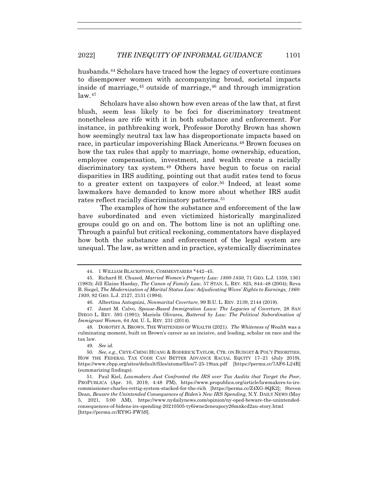husbands.<sup>44</sup> Scholars have traced how the legacy of coverture continues to disempower women with accompanying broad, societal impacts inside of marriage,  $45$  outside of marriage,  $46$  and through immigration  $\frac{1}{2}$ 

Scholars have also shown how even areas of the law that, at first blush, seem less likely to be foci for discriminatory treatment nonetheless are rife with it in both substance and enforcement. For instance, in pathbreaking work, Professor Dorothy Brown has shown how seemingly neutral tax law has disproportionate impacts based on race, in particular impoverishing Black Americans.48 Brown focuses on how the tax rules that apply to marriage, home ownership, education, employee compensation, investment, and wealth create a racially discriminatory tax system.49 Others have begun to focus on racial disparities in IRS auditing, pointing out that audit rates tend to focus to a greater extent on taxpayers of color.<sup>50</sup> Indeed, at least some lawmakers have demanded to know more about whether IRS audit rates reflect racially discriminatory patterns.<sup>51</sup>

The examples of how the substance and enforcement of the law have subordinated and even victimized historically marginalized groups could go on and on. The bottom line is not an uplifting one. Through a painful but critical reckoning, commentators have displayed how both the substance and enforcement of the legal system are unequal. The law, as written and in practice, systemically discriminates

49*. See id.*

 <sup>44. 1</sup> WILLIAM BLACKSTONE, COMMENTARIES \*442–45.

 <sup>45.</sup> Richard H. Chused, *Married Women's Property Law: 1800-1850*, 71 GEO. L.J. 1359, 1361 (1983); Jill Elaine Hasday, *The Canon of Family Law*, 57 STAN. L. REV. 825, 844–48 (2004); Reva B. Siegel, *The Modernization of Marital Status Law: Adjudicating Wives' Rights to Earnings, 1860- 1930*, 82 GEO. L.J. 2127, 2131 (1994).

 <sup>46.</sup> Albertina Antognini, *Nonmarital Coverture*, 99 B.U. L. REV. 2139, 2144 (2019).

 <sup>47.</sup> Janet M. Calvo, *Spouse-Based Immigration Laws: The Legacies of Coverture*, 28 SAN DIEGO L. REV. 593 (1991); Mariela Olivares, *Battered by Law: The Political Subordination of Immigrant Women*, 64 AM. U. L. REV. 231 (2014).

 <sup>48.</sup> DOROTHY A. BROWN, THE WHITENESS OF WEALTH (2021). *The Whiteness of Wealth* was a culminating moment, built on Brown's career as an incisive, and leading, scholar on race and the tax law.

<sup>50</sup>*. See, e.g.*, CHYE-CHING HUANG & RODERICK TAYLOR, CTR. ON BUDGET & POL'Y PRIORITIES, HOW THE FEDERAL TAX CODE CAN BETTER ADVANCE RACIAL EQUITY 17–21 (July 2019), https://www.cbpp.org/sites/default/files/atoms/files/7-25-19tax.pdf [https://perma.cc/7AF6-L24R] (summarizing findings).

 <sup>51.</sup> Paul Kiel, *Lawmakers Just Confronted the IRS over Tax Audits that Target the Poor*, PROPUBLICA (Apr. 10, 2019, 4:48 PM), https://www.propublica.org/article/lawmakers-to-irscommissioner-charles-rettig-system-stacked-for-the-rich [https://perma.cc/Z4XG-8QK2]; Steven Dean, *Beware the Unintended Consequences of Biden's New IRS Spending*, N.Y. DAILY NEWS (May 5, 2021, 5:00 AM), https://www.nydailynews.com/opinion/ny-oped-beware-the-unintendedconsequences-of-bidens-irs-spending-20210505-ty6iwne2eneupocy26mnkcd2au-story.html [https://perma.cc/RY9G-FW5S].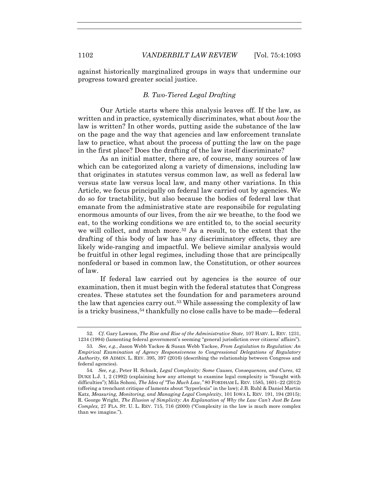against historically marginalized groups in ways that undermine our progress toward greater social justice.

## *B. Two-Tiered Legal Drafting*

Our Article starts where this analysis leaves off. If the law, as written and in practice, systemically discriminates, what about *how* the law is written? In other words, putting aside the substance of the law on the page and the way that agencies and law enforcement translate law to practice, what about the process of putting the law on the page in the first place? Does the drafting of the law itself discriminate?

As an initial matter, there are, of course, many sources of law which can be categorized along a variety of dimensions, including law that originates in statutes versus common law, as well as federal law versus state law versus local law, and many other variations. In this Article, we focus principally on federal law carried out by agencies. We do so for tractability, but also because the bodies of federal law that emanate from the administrative state are responsibile for regulating enormous amounts of our lives, from the air we breathe, to the food we eat, to the working conditions we are entitled to, to the social security we will collect, and much more.52 As a result, to the extent that the drafting of this body of law has any discriminatory effects, they are likely wide-ranging and impactful. We believe similar analysis would be fruitful in other legal regimes, including those that are principcally nonfederal or based in common law, the Constitution, or other sources of law.

If federal law carried out by agencies is the source of our examination, then it must begin with the federal statutes that Congress creates. These statutes set the foundation for and parameters around the law that agencies carry out.53 While assessing the complexity of law is a tricky business,54 thankfully no close calls have to be made—federal

<sup>52</sup>*. Cf.* Gary Lawson, *The Rise and Rise of the Administrative State*, 107 HARV. L. REV. 1231, 1234 (1994) (lamenting federal government's seeming "general jurisdiction over citizens' affairs").

<sup>53</sup>*. See, e.g.*, Jason Webb Yackee & Susan Webb Yackee, *From Legislation to Regulation: An Empirical Examination of Agency Responsiveness to Congressional Delegations of Regulatory Authority*, 68 ADMIN. L. REV. 395, 397 (2016) (describing the relationship between Congress and federal agencies).

<sup>54</sup>*. See, e.g.*, Peter H. Schuck, *Legal Complexity: Some Causes, Consequences, and Cures*, 42 DUKE L.J. 1, 2 (1992) (explaining how any attempt to examine legal complexity is "fraught with difficulties"); Mila Sohoni, *The Idea of "Too Much Law*,*"* 80 FORDHAM L. REV. 1585, 1601–22 (2012) (offering a trenchant critique of laments about "hyperlexis" in the law); J.B. Ruhl & Daniel Martin Katz, *Measuring, Monitoring, and Managing Legal Complexity*, 101 IOWA L. REV. 191, 194 (2015); R. George Wright, *The Illusion of Simplicity: An Explanation of Why the Law Can't Just Be Less Complex*, 27 FLA. ST. U. L. REV. 715, 716 (2000) ("Complexity in the law is much more complex than we imagine.").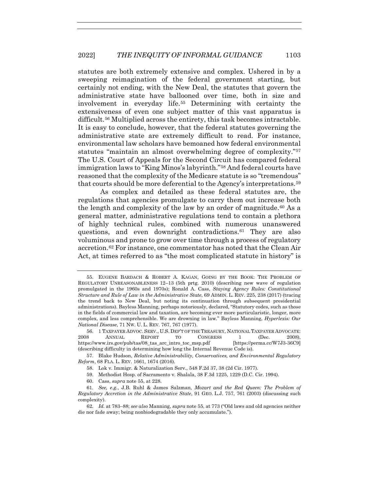statutes are both extremely extensive and complex. Ushered in by a sweeping reimagination of the federal government starting, but certainly not ending, with the New Deal, the statutes that govern the administrative state have ballooned over time, both in size and involvement in everyday life.55 Determining with certainty the extensiveness of even one subject matter of this vast apparatus is difficult.56 Multiplied across the entirety, this task becomes intractable. It is easy to conclude, however, that the federal statutes governing the administrative state are extremely difficult to read. For instance, environmental law scholars have bemoaned how federal environmental statutes "maintain an almost overwhelming degree of complexity."57 The U.S. Court of Appeals for the Second Circuit has compared federal immigration laws to "King Minos's labyrinth."58 And federal courts have reasoned that the complexity of the Medicare statute is so "tremendous" that courts should be more deferential to the Agency's interpretations.59

As complex and detailed as these federal statutes are, the regulations that agencies promulgate to carry them out increase both the length and complexity of the law by an order of magnitude.<sup>60</sup> As a general matter, administrative regulations tend to contain a plethora of highly technical rules, combined with numerous unanswered questions, and even downright contradictions.61 They are also voluminous and prone to grow over time through a process of regulatory accretion.62 For instance, one commentator has noted that the Clean Air Act, at times referred to as "the most complicated statute in history" is

60. Cass, *supra* note 55, at 228.

 <sup>55.</sup> EUGENE BARDACH & ROBERT A. KAGAN, GOING BY THE BOOK: THE PROBLEM OF REGULATORY UNREASONABLENESS 12–13 (5th prtg. 2010) (describing new wave of regulation promulgated in the 1960s and 1970s); Ronald A. Cass, *Staying Agency Rules: Constitutional Structure and Rule of Law in the Administrative State*, 69 ADMIN. L. REV. 225, 238 (2017) (tracing the trend back to New Deal, but noting its continuation through subsequent presidential administrations). Bayless Manning, perhaps notoriously, declared, "Statutory codes, such as those in the fields of commercial law and taxation, are becoming ever more particularistic, longer, more complex, and less comprehensible. We are drowning in law." Bayless Manning, *Hyperlexis: Our National Disease*, 71 NW. U. L. REV. 767, 767 (1977).

 <sup>56. 1</sup> TAXPAYER ADVOC. SERV., U.S. DEP'T OF THE TREASURY, NATIONAL TAXPAYER ADVOCATE: 2008 ANNUAL REPORT TO CONGRESS 1 (Dec. 2008), https://www.irs.gov/pub/tas/08\_tas\_arc\_intro\_toc\_msp.pdf [https://perma.cc/W7J3-36C9] (describing difficulty in determining how long the Internal Revenue Code is).

 <sup>57.</sup> Blake Hudson, *Relative Administrability, Conservatives, and Environmental Regulatory Reform*, 68 FLA. L. REV. 1661, 1674 (2016).

 <sup>58.</sup> Lok v. Immigr. & Naturalization Serv., 548 F.2d 37, 38 (2d Cir. 1977).

 <sup>59.</sup> Methodist Hosp. of Sacramento v. Shalala, 38 F.3d 1225, 1229 (D.C. Cir. 1994).

<sup>61</sup>*. See, e.g.*, J.B. Ruhl & James Salzman, *Mozart and the Red Queen: The Problem of Regulatory Accretion in the Administrative State*, 91 GEO. L.J. 757, 761 (2003) (discussing such complexity).

<sup>62</sup>*. Id.* at 783–88; *see also* Manning, *supra* note 55, at 773 ("Old laws and old agencies neither die nor fade away; being nonbiodegradable they only accumulate.").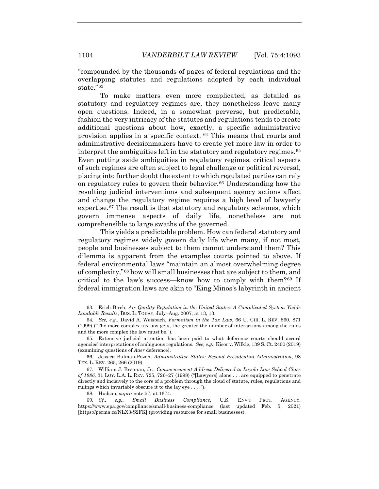"compounded by the thousands of pages of federal regulations and the overlapping statutes and regulations adopted by each individual state."63

To make matters even more complicated, as detailed as statutory and regulatory regimes are, they nonetheless leave many open questions. Indeed, in a somewhat perverse, but predictable, fashion the very intricacy of the statutes and regulations tends to create additional questions about how, exactly, a specific administrative provision applies in a specific context. <sup>64</sup> This means that courts and administrative decisionmakers have to create yet more law in order to interpret the ambiguities left in the statutory and regulatory regimes.<sup>65</sup> Even putting aside ambiguities in regulatory regimes, critical aspects of such regimes are often subject to legal challenge or political reversal, placing into further doubt the extent to which regulated parties can rely on regulatory rules to govern their behavior.66 Understanding how the resulting judicial interventions and subsequent agency actions affect and change the regulatory regime requires a high level of lawyerly expertise.67 The result is that statutory and regulatory schemes, which govern immense aspects of daily life, nonetheless are not comprehensible to large swaths of the governed.

This yields a predictable problem. How can federal statutory and regulatory regimes widely govern daily life when many, if not most, people and businesses subject to them cannot understand them? This dilemma is apparent from the examples courts pointed to above. If federal environmental laws "maintain an almost overwhelming degree of complexity,"68 how will small businesses that are subject to them, and critical to the law's success—know how to comply with them?69 If federal immigration laws are akin to "King Minos's labyrinth in ancient

 <sup>63.</sup> Erich Birch, *Air Quality Regulation in the United States: A Complicated System Yields Laudable Results*, BUS. L. TODAY, July–Aug. 2007, at 13, 13.

<sup>64</sup>*. See, e.g.*, David A. Weisbach, *Formalism in the Tax Law*, 66 U. CHI. L. REV. 860, 871 (1999) ("The more complex tax law gets, the greater the number of interactions among the rules and the more complex the law must be.").

 <sup>65.</sup> Extensive judicial attention has been paid to what deference courts should accord agencies' interpretations of ambiguous regulations. *See, e.g.*, Kisor v. Wilkie, 139 S. Ct. 2400 (2019) (examining questions of *Auer* deference).

 <sup>66.</sup> Jessica Bulman-Pozen, *Administrative States: Beyond Presidential Administration*, 98 TEX. L. REV. 265, 266 (2019).

 <sup>67.</sup> William J. Brennan, Jr., *Commencement Address Delivered to Loyola Law School Class of 1986*, 31 LOY. L.A. L. REV. 725, 726–27 (1998) ("[Lawyers] alone . . . are equipped to penetrate directly and incisively to the core of a problem through the cloud of statute, rules, regulations and rulings which invariably obscure it to the lay eye . . . .").

 <sup>68.</sup> Hudson, *supra* note 57, at 1674.

<sup>69</sup>*. Cf., e.g.*, *Small Business Compliance*, U.S. ENV'T PROT. AGENCY, https://www.epa.gov/compliance/small-business-compliance (last updated Feb. 5, 2021) [https://perma.cc/NLX3-S2FK] (providing resources for small businesses).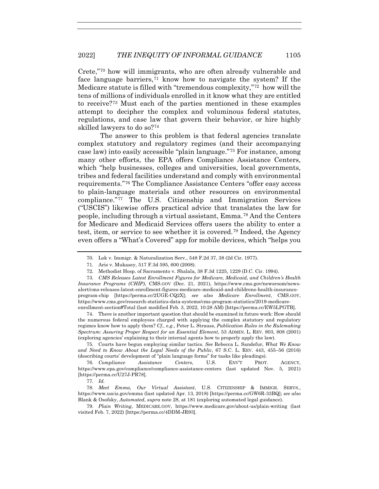Crete,"70 how will immigrants, who are often already vulnerable and face language barriers,<sup> $71$ </sup> know how to navigate the system? If the Medicare statute is filled with "tremendous complexity,"72 how will the tens of millions of individuals enrolled in it know what they are entitled to receive?73 Must each of the parties mentioned in these examples attempt to decipher the complex and voluminous federal statutes, regulations, and case law that govern their behavior, or hire highly skilled lawyers to do so?74

The answer to this problem is that federal agencies translate complex statutory and regulatory regimes (and their accompanying case law) into easily accessible "plain language."75 For instance, among many other efforts, the EPA offers Compliance Assistance Centers, which "help businesses, colleges and universities, local governments, tribes and federal facilities understand and comply with environmental requirements."76 The Compliance Assistance Centers "offer easy access to plain-language materials and other resources on environmental compliance."77 The U.S. Citizenship and Immigration Services ("USCIS") likewise offers practical advice that translates the law for people, including through a virtual assistant, Emma.78 And the Centers for Medicare and Medicaid Services offers users the ability to enter a test, item, or service to see whether it is covered.79 Indeed, the Agency even offers a "What's Covered" app for mobile devices, which "helps you

 73. *CMS Releases Latest Enrollment Figures for Medicare, Medicaid, and Children's Health Insurance Programs (CHIP)*, CMS.GOV (Dec. 21, 2021), https://www.cms.gov/newsroom/newsalert/cms-releases-latest-enrollment-figures-medicare-medicaid-and-childrens-health-insuranceprogram-chip [https://perma.cc/2UGE-CQ2X]; *see also Medicare Enrollment*, CMS.GOV, https://www.cms.gov/research-statistics-data-systems/cms-program-statistics/2019-medicareenrollment-section#Total (last modified Feb. 3, 2022, 10:28 AM) [https://perma.cc/EW5LPGTB].

 74. There is another important question that should be examined in future work: How should the numerous federal employees charged with applying the complex statutory and regulatory regimes know how to apply them? *Cf., e.g.*, Peter L. Strauss, *Publication Rules in the Rulemaking Spectrum: Assuring Proper Respect for an Essential Element*, 53 ADMIN. L. REV. 803, 808 (2001) (exploring agencies' explaining to their internal agents how to properly apply the law).

 75. Courts have begun employing similar tactics. *See* Rebecca L. Sandefur, *What We Know and Need to Know About the Legal Needs of the Public*, 67 S.C. L. REV. 443, 455–56 (2016) (describing courts' development of "plain language forms" for tasks like pleadings).

76*. Compliance Assistance Centers*, U.S. ENV'T PROT. AGENCY, https://www.epa.gov/compliance/compliance-assistance-centers (last updated Nov. 5, 2021) [https://perma.cc/U27J-PR78].

77*. Id.*

78*. Meet Emma, Our Virtual Assistant*, U.S. CITIZENSHIP & IMMIGR. SERVS., https://www.uscis.gov/emma (last updated Apr. 13, 2018) [https://perma.cc/GW6R-33BQ]; *see also*  Blank & Osofsky, *Automated*, *supra* note 28, at 181 (exploring automated legal guidance).

79*. Plain Writing*, MEDICARE.GOV, https://www.medicare.gov/about-us/plain-writing (last visited Feb. 7, 2022) [https://perma.cc/4DDM-JR93].

 <sup>70.</sup> Lok v. Immigr. & Naturalization Serv., 548 F.2d 37, 38 (2d Cir. 1977).

 <sup>71.</sup> Aris v. Mukasey, 517 F.3d 595, 600 (2008).

 <sup>72.</sup> Methodist Hosp. of Sacramento v. Shalala, 38 F.3d 1225, 1229 (D.C. Cir. 1994).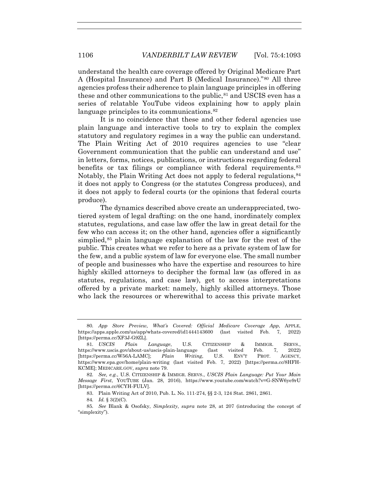understand the health care coverage offered by Original Medicare Part A (Hospital Insurance) and Part B (Medical Insurance)."80 All three agencies profess their adherence to plain language principles in offering these and other communications to the public, <sup>81</sup> and USCIS even has a series of relatable YouTube videos explaining how to apply plain language principles to its communications.<sup>82</sup>

It is no coincidence that these and other federal agencies use plain language and interactive tools to try to explain the complex statutory and regulatory regimes in a way the public can understand. The Plain Writing Act of 2010 requires agencies to use "clear Government communication that the public can understand and use" in letters, forms, notices, publications, or instructions regarding federal benefits or tax filings or compliance with federal requirements.<sup>83</sup> Notably, the Plain Writing Act does not apply to federal regulations,  $84$ it does not apply to Congress (or the statutes Congress produces), and it does not apply to federal courts (or the opinions that federal courts produce).

The dynamics described above create an underappreciated, twotiered system of legal drafting: on the one hand, inordinately complex statutes, regulations, and case law offer the law in great detail for the few who can access it; on the other hand, agencies offer a significantly simplied,<sup>85</sup> plain language explanation of the law for the rest of the public. This creates what we refer to here as a private system of law for the few, and a public system of law for everyone else. The small number of people and businesses who have the expertise and resources to hire highly skilled attorneys to decipher the formal law (as offered in as statutes, regulations, and case law), get to access interpretations offered by a private market: namely, highly skilled attorneys. Those who lack the resources or wherewithal to access this private market

84*. Id.* § 3(2)(C).

<sup>80</sup>*. App Store Preview, What's Covered: Official Medicare Coverage App*, APPLE, https://apps.apple.com/us/app/whats-covered/id1444143600 (last visited Feb. 7, 2022) [https://perma.cc/XF3J-G9ZL].

<sup>81</sup>*. USCIS Plain Language*, U.S. CITIZENSHIP & IMMIGR. SERVS., https://www.uscis.gov/about-us/uscis-plain-language (last visited Feb. 7, 2022) [https://perma.cc/W56A-LAMC]; *Plain Writing*, U.S. ENV'T PROT. AGENCY, https://www.epa.gov/home/plain-writing (last visited Feb. 7, 2022) [https://perma.cc/8HFH-KCME]; MEDICARE.GOV, *supra* note 79.

<sup>82</sup>*. See, e.g.*, U.S. CITIZENSHIP & IMMIGR. SERVS., *USCIS Plain Language: Put Your Main Message First*, YOUTUBE (Jan. 28, 2016), https://www.youtube.com/watch?v=G-SNW6ye9rU [https://perma.cc/6CYH-FULV].

 <sup>83.</sup> Plain Writing Act of 2010, Pub. L. No. 111-274, §§ 2-3, 124 Stat. 2861, 2861.

<sup>85</sup>*. See* Blank & Osofsky, *Simplexity*, *supra* note 28, at 207 (introducing the concept of "simplexity").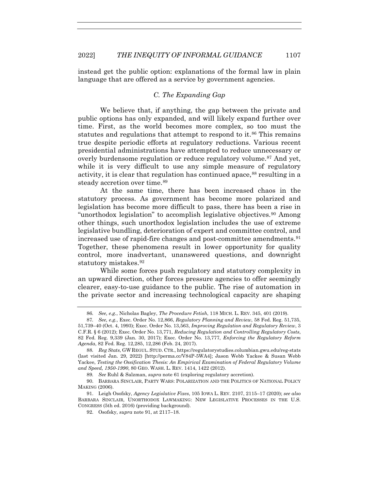instead get the public option: explanations of the formal law in plain language that are offered as a service by government agencies.

## *C. The Expanding Gap*

We believe that, if anything, the gap between the private and public options has only expanded, and will likely expand further over time. First, as the world becomes more complex, so too must the statutes and regulations that attempt to respond to it.<sup>86</sup> This remains true despite periodic efforts at regulatory reductions. Various recent presidential administrations have attempted to reduce unnecessary or overly burdensome regulation or reduce regulatory volume.<sup>87</sup> And yet, while it is very difficult to use any simple measure of regulatory activity, it is clear that regulation has continued apace,<sup>88</sup> resulting in a steady accretion over time.<sup>89</sup>

At the same time, there has been increased chaos in the statutory process. As government has become more polarized and legislation has become more difficult to pass, there has been a rise in "unorthodox legislation" to accomplish legislative objectives.<sup>90</sup> Among other things, such unorthodox legislation includes the use of extreme legislative bundling, deterioration of expert and committee control, and increased use of rapid-fire changes and post-committee amendments.91 Together, these phenomena result in lower opportunity for quality control, more inadvertant, unanswered questions, and downright statutory mistakes.92

While some forces push regulatory and statutory complexity in an upward direction, other forces pressure agencies to offer seemingly clearer, easy-to-use guidance to the public. The rise of automation in the private sector and increasing technological capacity are shaping

<sup>86</sup>*. See, e.g.*, Nicholas Bagley, *The Procedure Fetish*, 118 MICH. L. REV. 345, 401 (2019).

<sup>87</sup>*. See, e.g.*, Exec. Order No. 12,866, *Regulatory Planning and Review*, 58 Fed. Reg. 51,735, 51,739–40 (Oct. 4, 1993); Exec. Order No. 13,563, *Improving Regulation and Regulatory Review*, 3 C.F.R. § 6 (2012); Exec. Order No. 13,771, *Reducing Regulation and Controlling Regulatory Costs*, 82 Fed. Reg. 9,339 (Jan. 30, 2017); Exec. Order No. 13,777, *Enforcing the Regulatory Reform Agenda*, 82 Fed. Reg. 12,285, 12,286 (Feb. 24, 2017).

<sup>88</sup>*. Reg Stats*, GW REGUL. STUD. CTR., https://regulatorystudies.columbian.gwu.edu/reg-stats (last visited Jan. 29, 2022) [http://perma.cc/V84P-5WA4]; Jason Webb Yackee & Susan Webb Yackee, *Testing the Ossification Thesis: An Empirical Examination of Federal Regulatory Volume and Speed, 1950-1990*, 80 GEO. WASH. L. REV. 1414, 1422 (2012).

<sup>89</sup>*. See* Ruhl & Salzman, *supra* note 61 (exploring regulatory accretion).

 <sup>90.</sup> BARBARA SINCLAIR, PARTY WARS: POLARIZATION AND THE POLITICS OF NATIONAL POLICY MAKING (2006).

 <sup>91.</sup> Leigh Osofsky, *Agency Legislative Fixes*, 105 IOWA L. REV. 2107, 2115–17 (2020); *see also* BARBARA SINCLAIR, UNORTHODOX LAWMAKING: NEW LEGISLATIVE PROCESSES IN THE U.S. CONGRESS (5th ed. 2016) (providing background).

 <sup>92.</sup> Osofsky, *supra* note 91, at 2117–18.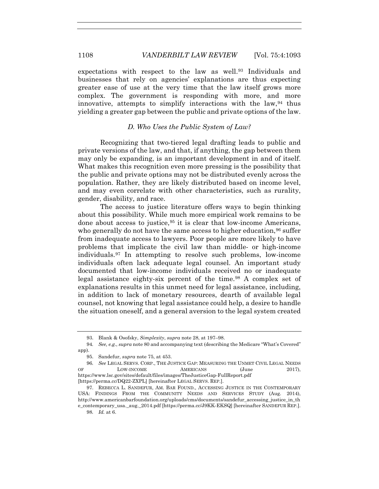expectations with respect to the law as well.<sup>93</sup> Individuals and businesses that rely on agencies' explanations are thus expecting greater ease of use at the very time that the law itself grows more complex. The government is responding with more, and more innovative, attempts to simplify interactions with the law,  $94$  thus yielding a greater gap between the public and private options of the law.

## *D. Who Uses the Public System of Law?*

Recognizing that two-tiered legal drafting leads to public and private versions of the law, and that, if anything, the gap between them may only be expanding, is an important development in and of itself. What makes this recognition even more pressing is the possibility that the public and private options may not be distributed evenly across the population. Rather, they are likely distributed based on income level, and may even correlate with other characteristics, such as rurality, gender, disability, and race.

The access to justice literature offers ways to begin thinking about this possibility. While much more empirical work remains to be done about access to justice,  $95$  it is clear that low-income Americans, who generally do not have the same access to higher education, <sup>96</sup> suffer from inadequate access to lawyers. Poor people are more likely to have problems that implicate the civil law than middle- or high-income individuals.97 In attempting to resolve such problems, low-income individuals often lack adequate legal counsel. An important study documented that low-income individuals received no or inadequate legal assistance eighty-six percent of the time.98 A complex set of explanations results in this unmet need for legal assistance, including, in addition to lack of monetary resources, dearth of available legal counsel, not knowing that legal assistance could help, a desire to handle the situation oneself, and a general aversion to the legal system created

 <sup>93.</sup> Blank & Osofsky, *Simplexity*, *supra* note 28, at 197–98.

<sup>94</sup>*. See, e.g.*, *supra* note 80 and accompanying text (describing the Medicare "What's Covered" app).

 <sup>95.</sup> Sandefur, *supra* note 75, at 453.

<sup>96</sup>*. See* LEGAL SERVS. CORP., THE JUSTICE GAP: MEASURING THE UNMET CIVIL LEGAL NEEDS OF LOW-INCOME AMERICANS (June 2017), https://www.lsc.gov/sites/default/files/images/TheJusticeGap-FullReport.pdf [https://perma.cc/DQ22-ZXPL] [hereinafter LEGAL SERVS. REP.].

 <sup>97.</sup> REBECCA L. SANDEFUR, AM. BAR FOUND., ACCESSING JUSTICE IN THE CONTEMPORARY USA: FINDINGS FROM THE COMMUNITY NEEDS AND SERVICES STUDY (Aug. 2014), http://www.americanbarfoundation.org/uploads/cms/documents/sandefur\_accessing\_justice\_in\_th e\_contemporary\_usa.\_aug.\_2014.pdf [https://perma.cc/J9KK-EKSQ] [hereinafter SANDEFUR REP.].

<sup>98</sup>*. Id.* at 6.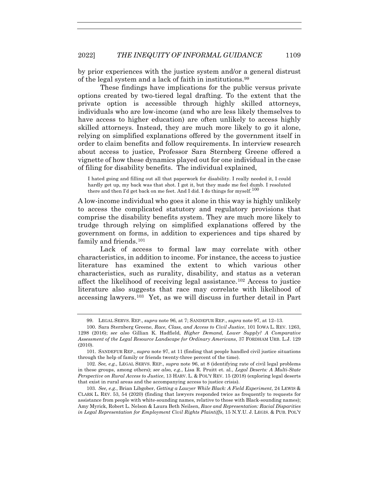by prior experiences with the justice system and/or a general distrust of the legal system and a lack of faith in institutions.99

These findings have implications for the public versus private options created by two-tiered legal drafting. To the extent that the private option is accessible through highly skilled attorneys, individuals who are low-income (and who are less likely themselves to have access to higher education) are often unlikely to access highly skilled attorneys. Instead, they are much more likely to go it alone, relying on simplified explanations offered by the government itself in order to claim benefits and follow requirements. In interview research about access to justice, Professor Sara Sternberg Greene offered a vignette of how these dynamics played out for one individual in the case of filing for disability benefits. The individual explained,

I hated going and filling out all that paperwork for disability. I really needed it, I could hardly get up, my back was that shot. I got it, but they made me feel dumb. I resoluted there and then I'd get back on me feet. And I did. I do things for myself.<sup>100</sup>

A low-income individual who goes it alone in this way is highly unlikely to access the complicated statutory and regulatory provisions that comprise the disability benefits system. They are much more likely to trudge through relying on simplified explanations offered by the government on forms, in addition to experiences and tips shared by family and friends.<sup>101</sup>

Lack of access to formal law may correlate with other characteristics, in addition to income. For instance, the access to justice literature has examined the extent to which various other characteristics, such as rurality, disability, and status as a veteran affect the likelihood of receiving legal assistance.102 Access to justice literature also suggests that race may correlate with likelihood of accessing lawyers.103 Yet, as we will discuss in further detail in Part

 <sup>99.</sup> LEGAL SERVS. REP., *supra* note 96, at 7; SANDEFUR REP., *supra* note 97, at 12–13.

 <sup>100.</sup> Sara Sternberg Greene, *Race, Class, and Access to Civil Justice*, 101 IOWA L. REV. 1263, 1298 (2016); *see also* Gillian K. Hadfield, *Higher Demand, Lower Supply? A Comparative Assessment of the Legal Resource Landscape for Ordinary Americans*, 37 FORDHAM URB. L.J. 129 (2010).

 <sup>101.</sup> SANDEFUR REP., *supra* note 97, at 11 (finding that people handled civil justice situations through the help of family or friends twenty-three percent of the time).

 <sup>102.</sup> *See, e.g.*, LEGAL SERVS. REP., *supra* note 96, at 8 (identifying rate of civil legal problems in these groups, among others); *see also, e.g.*, Lisa R. Pruitt et. al., *Legal Deserts: A Multi-State Perspective on Rural Access to Justice*, 13 HARV. L. & POL'Y REV. 15 (2018) (exploring legal deserts that exist in rural areas and the accompanying access to justice crisis).

 <sup>103.</sup> *See, e.g.*, Brian Libgober, *Getting a Lawyer While Black: A Field Experiment*, 24 LEWIS & CLARK L. REV. 53, 54 (2020) (finding that lawyers responded twice as frequently to requests for assistance from people with white-sounding names, relative to those with Black-sounding names); Amy Myrick, Robert L. Nelson & Laura Beth Neilsen, *Race and Representation: Racial Disparities in Legal Representation for Employment Civil Rights Plaintiffs*, 15 N.Y.U. J. LEGIS. & PUB. POL'Y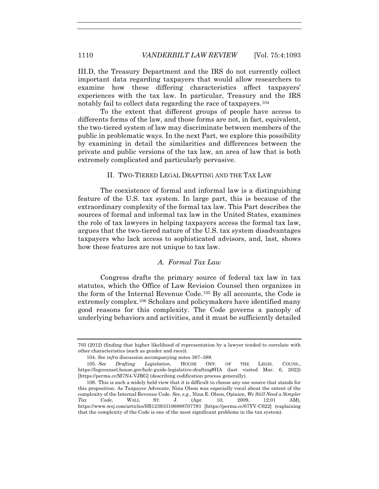III.D, the Treasury Department and the IRS do not currently collect important data regarding taxpayers that would allow researchers to examine how these differing characteristics affect taxpayers' experiences with the tax law. In particular, Treasury and the IRS notably fail to collect data regarding the race of taxpayers.104

To the extent that different groups of people have access to differents forms of the law, and those forms are not, in fact, equivalent, the two-tiered system of law may discriminate between members of the public in problematic ways. In the next Part, we explore this possibility by examining in detail the similarities and differences between the private and public versions of the tax law, an area of law that is both extremely complicated and particularly pervasive.

## II. TWO-TIERED LEGAL DRAFTING AND THE TAX LAW

The coexistence of formal and informal law is a distinguishing feature of the U.S. tax system. In large part, this is because of the extraordinary complexity of the formal tax law. This Part describes the sources of formal and informal tax law in the United States, examines the role of tax lawyers in helping taxpayers access the formal tax law, argues that the two-tiered nature of the U.S. tax system disadvantages taxpayers who lack access to sophisticated advisors, and, last, shows how these features are not unique to tax law.

## *A. Formal Tax Law*

Congress drafts the primary source of federal tax law in tax statutes, which the Office of Law Revision Counsel then organizes in the form of the Internal Revenue Code.105 By all accounts, the Code is extremely complex.106 Scholars and policymakers have identified many good reasons for this complexity. The Code governs a panoply of underlying behaviors and activities, and it must be sufficiently detailed

<sup>705 (2012) (</sup>finding that higher likelihood of representation by a lawyer tended to correlate with other characteristics (such as gender and race)).

 <sup>104.</sup> *See infra* discussion accompanying notes 387–389.

<sup>105</sup>*. See Drafting Legislation*, HOUSE OFF. OF THE LEGIS. COUNS., https://legcounsel.house.gov/holc-guide-legislative-drafting#IIA (last visited Mar. 6, 2022) [https://perma.cc/M7N4-VJBG] (describing codification process generally).

 <sup>106.</sup> This is such a widely held view that it is difficult to choose any one source that stands for this proposition. As Taxpayer Advocate, Nina Olson was especially vocal about the extent of the complexity of the Internal Revenue Code. *See, e.g.*, Nina E. Olson, Opinion, *We Still Need a Simpler Tax Code*, WALL ST. J. (Apr. 10, 2009, 12:01 AM), https://www.wsj.com/articles/SB123933106888707793 [https://perma.cc/67YV-C622] (explaining that the complexity of the Code is one of the most significant problems in the tax system).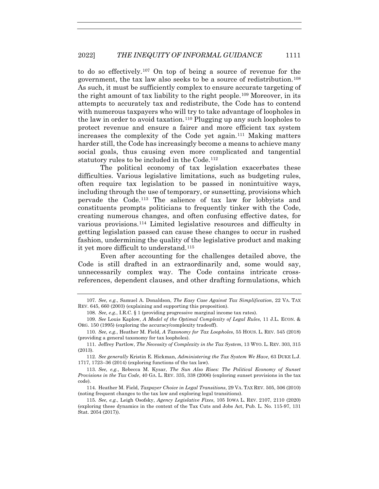to do so effectively.107 On top of being a source of revenue for the government, the tax law also seeks to be a source of redistribution.108 As such, it must be sufficiently complex to ensure accurate targeting of the right amount of tax liability to the right people.<sup>109</sup> Moreover, in its attempts to accurately tax and redistribute, the Code has to contend with numerous taxpayers who will try to take advantage of loopholes in the law in order to avoid taxation.110 Plugging up any such loopholes to protect revenue and ensure a fairer and more efficient tax system increases the complexity of the Code yet again.111 Making matters harder still, the Code has increasingly become a means to achieve many social goals, thus causing even more complicated and tangential statutory rules to be included in the Code.<sup>112</sup>

The political economy of tax legislation exacerbates these difficulties. Various legislative limitations, such as budgeting rules, often require tax legislation to be passed in nonintuitive ways, including through the use of temporary, or sunsetting, provisions which pervade the Code.113 The salience of tax law for lobbyists and constituents prompts politicians to frequently tinker with the Code, creating numerous changes, and often confusing effective dates, for various provisions.114 Limited legislative resources and difficulty in getting legislation passed can cause these changes to occur in rushed fashion, undermining the quality of the legislative product and making it yet more difficult to understand.115

Even after accounting for the challenges detailed above, the Code is still drafted in an extraordinarily and, some would say, unnecessarily complex way. The Code contains intricate crossreferences, dependent clauses, and other drafting formulations, which

<sup>107</sup>*. See, e.g.*, Samuel A. Donaldson, *The Easy Case Against Tax Simplification*, 22 VA. TAX REV. 645, 660 (2003) (explaining and supporting this proposition).

<sup>108</sup>*. See, e.g.*, I.R.C. § 1 (providing progressive marginal income tax rates).

<sup>109</sup>*. See* Louis Kaplow, *A Model of the Optimal Complexity of Legal Rules*, 11 J.L. ECON. & ORG. 150 (1995) (exploring the accuracy/complexity tradeoff).

<sup>110</sup>*. See, e.g.*, Heather M. Field, *A Taxonomy for Tax Loopholes*, 55 HOUS. L. REV. 545 (2018) (providing a general taxonomy for tax loopholes).

 <sup>111.</sup> Jeffrey Partlow, *The Necessity of Complexity in the Tax System*, 13 WYO. L. REV. 303, 315 (2013).

<sup>112</sup>*. See generally* Kristin E. Hickman, *Administering the Tax System We Have*, 63 DUKE L.J. 1717, 1723–36 (2014) (exploring functions of the tax law).

<sup>113</sup>*. See, e.g.*, Rebecca M. Kysar, *The Sun Also Rises: The Political Economy of Sunset Provisions in the Tax Code*, 40 GA. L. REV. 335, 338 (2006) (exploring sunset provisions in the tax code).

 <sup>114.</sup> Heather M. Field, *Taxpayer Choice in Legal Transitions*, 29 VA. TAX REV. 505, 506 (2010) (noting frequent changes to the tax law and exploring legal transitions).

<sup>115</sup>*. See, e.g.*, Leigh Osofsky, *Agency Legislative Fixes*, 105 IOWA L. REV. 2107, 2110 (2020) (exploring these dynamics in the context of the Tax Cuts and Jobs Act, Pub. L. No. 115-97, 131 Stat. 2054 (2017)).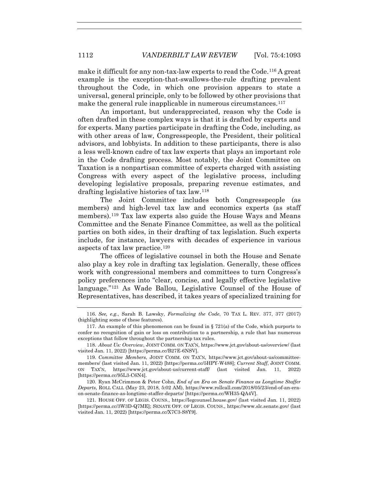make it difficult for any non-tax-law experts to read the Code.116 A great example is the exception-that-swallows-the-rule drafting prevalent throughout the Code, in which one provision appears to state a universal, general principle, only to be followed by other provisions that make the general rule inapplicable in numerous circumstances.<sup>117</sup>

An important, but underappreciated, reason why the Code is often drafted in these complex ways is that it is drafted by experts and for experts. Many parties participate in drafting the Code, including, as with other areas of law, Congresspeople, the President, their political advisors, and lobbyists. In addition to these participants, there is also a less well-known cadre of tax law experts that plays an important role in the Code drafting process. Most notably, the Joint Committee on Taxation is a nonpartisan committee of experts charged with assisting Congress with every aspect of the legislative process, including developing legislative proposals, preparing revenue estimates, and drafting legislative histories of tax law.118

The Joint Committee includes both Congresspeople (as members) and high-level tax law and economics experts (as staff members).119 Tax law experts also guide the House Ways and Means Committee and the Senate Finance Committee, as well as the political parties on both sides, in their drafting of tax legislation. Such experts include, for instance, lawyers with decades of experience in various aspects of tax law practice.120

The offices of legislative counsel in both the House and Senate also play a key role in drafting tax legislation. Generally, these offices work with congressional members and committees to turn Congress's policy preferences into "clear, concise, and legally effective legislative language."121 As Wade Ballou, Legislative Counsel of the House of Representatives, has described, it takes years of specialized training for

<sup>116</sup>*. See, e.g.*, Sarah B. Lawsky, *Formalizing the Code*, 70 TAX L. REV. 377, 377 (2017) (highlighting some of these features).

<sup>117.</sup> An example of this phenomenon can be found in  $\S 721(a)$  of the Code, which purports to confer no recognition of gain or loss on contribution to a partnership, a rule that has numerous exceptions that follow throughout the partnership tax rules.

<sup>118</sup>*. About Us: Overview*, JOINT COMM. ON TAX'N, https://www.jct.gov/about-us/overview/ (last visited Jan. 11, 2022) [https://perma.cc/B27E-6NSV].

<sup>119</sup>*. Committee Members*, JOINT COMM. ON TAX'N, https://www.jct.gov/about-us/committeemembers/ (last visited Jan. 11, 2022) [https://perma.cc/5HPY-W488]; *Current Staff*, JOINT COMM. ON TAX'N, https://www.jct.gov/about-us/current-staff/ (last visited Jan. 11, 2022) [https://perma.cc/95L3-C6N4].

 <sup>120.</sup> Ryan McCrimmon & Peter Cohn, *End of an Era on Senate Finance as Longtime Staffer Departs*, ROLL CALL (May 23, 2018, 5:02 AM), https://www.rollcall.com/2018/05/23/end-of-an-eraon-senate-finance-as-longtime-staffer-departs/ [https://perma.cc/WH35-QA4V].

 <sup>121.</sup> HOUSE OFF. OF LEGIS. COUNS., https://legcounsel.house.gov/ (last visited Jan. 11, 2022) [https://perma.cc/3W3D-Q7ME]; SENATE OFF. OF LEGIS. COUNS., https://www.slc.senate.gov/ (last visited Jan. 11, 2022) [https://perma.cc/X7C3-S8Y9].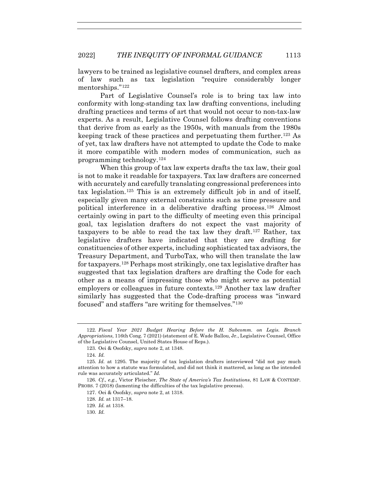lawyers to be trained as legislative counsel drafters, and complex areas of law such as tax legislation "require considerably longer mentorships."122

Part of Legislative Counsel's role is to bring tax law into conformity with long-standing tax law drafting conventions, including drafting practices and terms of art that would not occur to non-tax-law experts. As a result, Legislative Counsel follows drafting conventions that derive from as early as the 1950s, with manuals from the 1980s keeping track of these practices and perpetuating them further.123 As of yet, tax law drafters have not attempted to update the Code to make it more compatible with modern modes of communication, such as programming technology.124

When this group of tax law experts drafts the tax law, their goal is not to make it readable for taxpayers. Tax law drafters are concerned with accurately and carefully translating congressional preferences into tax legislation.<sup>125</sup> This is an extremely difficult job in and of itself, especially given many external constraints such as time pressure and political interference in a deliberative drafting process.126 Almost certainly owing in part to the difficulty of meeting even this principal goal, tax legislation drafters do not expect the vast majority of taxpayers to be able to read the tax law they draft.<sup>127</sup> Rather, tax legislative drafters have indicated that they are drafting for constituencies of other experts, including sophisticated tax advisors, the Treasury Department, and TurboTax, who will then translate the law for taxpayers.128 Perhaps most strikingly, one tax legislative drafter has suggested that tax legislation drafters are drafting the Code for each other as a means of impressing those who might serve as potential employers or colleagues in future contexts.129 Another tax law drafter similarly has suggested that the Code-drafting process was "inward focused" and staffers "are writing for themselves."130

<sup>122</sup>*. Fiscal Year 2021 Budget Hearing Before the H. Subcomm. on Legis. Branch Appropriations*, 116th Cong. 7 (2021) (statement of E. Wade Ballou, Jr., Legislative Counsel, Office of the Legislative Counsel, United States House of Reps.).

 <sup>123.</sup> Oei & Osofsky, *supra* note 2, at 1348.

<sup>124</sup>*. Id.*

<sup>125</sup>*. Id.* at 1295. The majority of tax legislation drafters interviewed "did not pay much attention to how a statute was formulated, and did not think it mattered, as long as the intended rule was accurately articulated." *Id.* 

<sup>126</sup>*. Cf., e.g.*, Victor Fleischer, *The State of America's Tax Institutions*, 81 LAW & CONTEMP. PROBS. 7 (2018) (lamenting the difficulties of the tax legislative process).

 <sup>127.</sup> Oei & Osofsky, *supra* note 2, at 1318.

<sup>128</sup>*. Id.* at 1317–18.

<sup>129</sup>*. Id.* at 1318.

<sup>130</sup>*. Id.*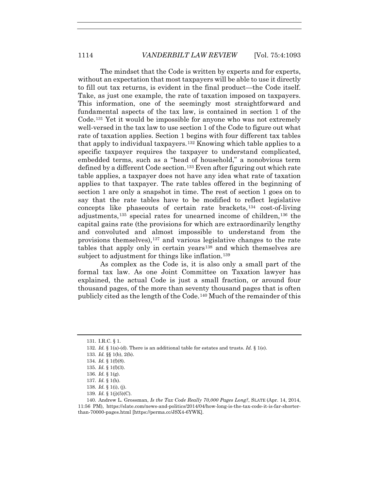The mindset that the Code is written by experts and for experts, without an expectation that most taxpayers will be able to use it directly to fill out tax returns, is evident in the final product—the Code itself. Take, as just one example, the rate of taxation imposed on taxpayers. This information, one of the seemingly most straightforward and fundamental aspects of the tax law, is contained in section 1 of the Code.131 Yet it would be impossible for anyone who was not extremely well-versed in the tax law to use section 1 of the Code to figure out what rate of taxation applies. Section 1 begins with four different tax tables that apply to individual taxpayers.132 Knowing which table applies to a specific taxpayer requires the taxpayer to understand complicated, embedded terms, such as a "head of household," a nonobvious term defined by a different Code section.133 Even after figuring out which rate table applies, a taxpayer does not have any idea what rate of taxation applies to that taxpayer. The rate tables offered in the beginning of section 1 are only a snapshot in time. The rest of section 1 goes on to say that the rate tables have to be modified to reflect legislative concepts like phaseouts of certain rate brackets,134 cost-of-living adjustments,135 special rates for unearned income of children,136 the capital gains rate (the provisions for which are extraordinarily lengthy and convoluted and almost impossible to understand from the provisions themselves),137 and various legislative changes to the rate tables that apply only in certain years138 and which themselves are subject to adjustment for things like inflation.<sup>139</sup>

As complex as the Code is, it is also only a small part of the formal tax law. As one Joint Committee on Taxation lawyer has explained, the actual Code is just a small fraction, or around four thousand pages, of the more than seventy thousand pages that is often publicly cited as the length of the Code.140 Much of the remainder of this

 <sup>131.</sup> I.R.C. § 1.

<sup>132</sup>*. Id.* § 1(a)-(d). There is an additional table for estates and trusts. *Id.* § 1(e).

<sup>133</sup>*. Id.* §§ 1(b), 2(b).

<sup>134</sup>*. Id.* § 1(f)(8).

<sup>135</sup>*. Id.* § 1(f)(3).

<sup>136</sup>*. Id.* § 1(g).

<sup>137</sup>*. Id.* § 1(h).

<sup>138</sup>*. Id.* § 1(i), (j).

<sup>139</sup>*. Id.* § 1(j)(5)(C).

 <sup>140.</sup> Andrew L. Grossman, *Is the Tax Code Really 70,000 Pages Long?*, SLATE (Apr. 14, 2014, 11:56 PM), https://slate.com/news-and-politics/2014/04/how-long-is-the-tax-code-it-is-far-shorterthan-70000-pages.html [https://perma.cc/JSX4-6YWK].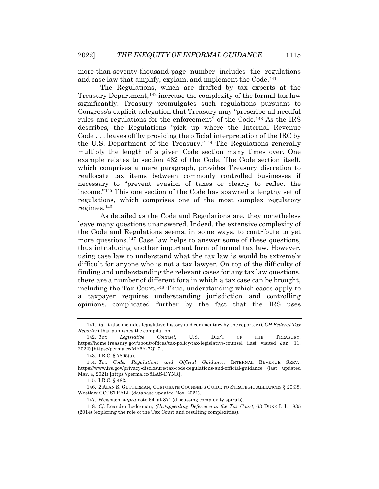more-than-seventy-thousand-page number includes the regulations and case law that amplify, explain, and implement the Code.<sup>141</sup>

The Regulations, which are drafted by tax experts at the Treasury Department,<sup>142</sup> increase the complexity of the formal tax law significantly. Treasury promulgates such regulations pursuant to Congress's explicit delegation that Treasury may "prescribe all needful rules and regulations for the enforcement" of the Code.143 As the IRS describes, the Regulations "pick up where the Internal Revenue Code . . . leaves off by providing the official interpretation of the IRC by the U.S. Department of the Treasury."144 The Regulations generally multiply the length of a given Code section many times over. One example relates to section 482 of the Code. The Code section itself, which comprises a mere paragraph, provides Treasury discretion to reallocate tax items between commonly controlled businesses if necessary to "prevent evasion of taxes or clearly to reflect the income."145 This one section of the Code has spawned a lengthy set of regulations, which comprises one of the most complex regulatory regimes.146

As detailed as the Code and Regulations are, they nonetheless leave many questions unanswered. Indeed, the extensive complexity of the Code and Regulations seems, in some ways, to contribute to yet more questions.<sup>147</sup> Case law helps to answer some of these questions, thus introducing another important form of formal tax law. However, using case law to understand what the tax law is would be extremely difficult for anyone who is not a tax lawyer. On top of the difficulty of finding and understanding the relevant cases for any tax law questions, there are a number of different fora in which a tax case can be brought, including the Tax Court.148 Thus, understanding which cases apply to a taxpayer requires understanding jurisdiction and controlling opinions, complicated further by the fact that the IRS uses

<sup>141</sup>*. Id.* It also includes legislative history and commentary by the reporter (*CCH Federal Tax Reporter*) that publishes the compilation.

<sup>142</sup>*. Tax Legislative Counsel*, U.S. DEP'T OF THE TREASURY, https://home.treasury.gov/about/offices/tax-policy/tax-legislative-counsel (last visited Jan. 11, 2022) [https://perma.cc/MY6Y-7QT7].

<sup>143</sup>*.* I.R.C. § 7805(a).

<sup>144</sup>*. Tax Code, Regulations and Official Guidance*, INTERNAL REVENUE SERV., https://www.irs.gov/privacy-disclosure/tax-code-regulations-and-official-guidance (last updated Mar. 4, 2021) [https://perma.cc/8LAS-DYNR].

<sup>145</sup>*.* I.R.C. § 482.

 <sup>146. 2</sup> ALAN S. GUTTERMAN, CORPORATE COUNSEL'S GUIDE TO STRATEGIC ALLIANCES § 20:38, Westlaw CCGSTRALL (database updated Nov. 2021).

 <sup>147.</sup> Weisbach, *supra* note 64, at 871 (discussing complexity spirals).

<sup>148</sup>*. Cf.* Leandra Lederman, *(Un)appealing Deference to the Tax Court*, 63 DUKE L.J. 1835 (2014) (exploring the role of the Tax Court and resulting complexities).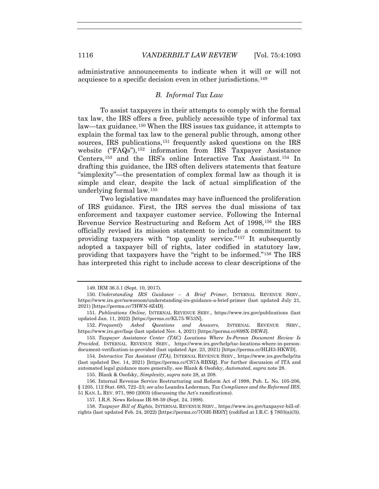administrative announcements to indicate when it will or will not acquiesce to a specific decision even in other jurisdictions.149

## *B. Informal Tax Law*

To assist taxpayers in their attempts to comply with the formal tax law, the IRS offers a free, publicly accessible type of informal tax law—tax guidance.150 When the IRS issues tax guidance, it attempts to explain the formal tax law to the general public through, among other sources, IRS publications,<sup>151</sup> frequently asked questions on the IRS website ("FAQs"),152 information from IRS Taxpayer Assistance Centers,153 and the IRS's online Interactive Tax Assistant.154 In drafting this guidance, the IRS often delivers statements that feature "simplexity"—the presentation of complex formal law as though it is simple and clear, despite the lack of actual simplification of the underlying formal law.155

Two legislative mandates may have influenced the proliferation of IRS guidance. First, the IRS serves the dual missions of tax enforcement and taxpayer customer service. Following the Internal Revenue Service Restructuring and Reform Act of 1998,156 the IRS officially revised its mission statement to include a commitment to providing taxpayers with "top quality service."157 It subsequently adopted a taxpayer bill of rights, later codified in statutory law, providing that taxpayers have the "right to be informed."158 The IRS has interpreted this right to include access to clear descriptions of the

155. Blank & Osofsky, *Simplexity*, *supra* note 28, at 208.

 158. *Taxpayer Bill of Rights*, INTERNAL REVENUE SERV., https://www.irs.gov/taxpayer-bill-ofrights (last updated Feb. 24, 2022) [https://perma.cc/7C6H-BE6Y] (codified at I.R.C. § 7803(a)(3)).

 <sup>149.</sup> IRM 36.3.1 (Sept. 10, 2017).

<sup>150</sup>*. Understanding IRS Guidance – A Brief Primer*, INTERNAL REVENUE SERV., https://www.irs.gov/newsroom/understanding-irs-guidance-a-brief-primer (last updated July 21, 2021) [https://perma.cc/7HWN-8Z4D].

<sup>151</sup>*. Publications Online*, INTERNAL REVENUE SERV., https://www.irs.gov/publications (last updated Jan. 11, 2022) [https://perma.cc/KL75-W53N].

<sup>152</sup>*. Frequently Asked Questions and Answers*, INTERNAL REVENUE SERV., https://www.irs.gov/faqs (last updated Nov. 4, 2021) [https://perma.cc/69SX-DEWJ].

<sup>153</sup>*. Taxpayer Assistance Center (TAC) Locations Where In-Person Document Review Is Provided*, INTERNAL REVENUE SERV., https://www.irs.gov/help/tac-locations-where-in-persondocument-verification-is-provided (last updated Apr. 23, 2021) [https://perma.cc/HLH3-HKWD].

<sup>154</sup>*. Interactive Tax Assistant (ITA)*, INTERNAL REVENUE SERV., https://www.irs.gov/help/ita (last updated Dec. 14, 2021) [https://perma.cc/CS7A-RBXQ]. For further discussion of ITA and automated legal guidance more generally, see Blank & Osofsky, *Automated*, *supra* note 28.

<sup>156</sup>*.* Internal Revenue Service Restructuring and Reform Act of 1998, Pub. L. No. 105-206, § 1205, 112 Stat. 685, 722–23; *see also* Leandra Lederman, *Tax Compliance and the Reformed IRS*, 51 KAN. L. REV. 971, 980 (2003) (discussing the Act's ramifications).

 <sup>157.</sup> I.R.S. News Release IR-98-59 (Sept. 24, 1998).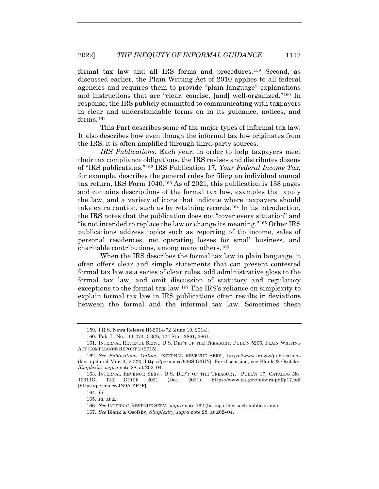formal tax law and all IRS forms and procedures.159 Second, as discussed earlier, the Plain Writing Act of 2010 applies to all federal agencies and requires them to provide "plain language" explanations and instructions that are "clear, concise, [and] well-organized."160 In response, the IRS publicly committed to communicating with taxpayers in clear and understandable terms on in its guidance, notices, and forms  $161$ 

This Part describes some of the major types of informal tax law. It also describes how even though the informal tax law originates from the IRS, it is often amplified through third-party sources.

*IRS Publications*. Each year, in order to help taxpayers meet their tax compliance obligations, the IRS revises and distributes dozens of "IRS publications."162 IRS Publication 17, *Your Federal Income Tax*, for example, describes the general rules for filing an individual annual tax return, IRS Form 1040.163 As of 2021, this publication is 138 pages and contains descriptions of the formal tax law, examples that apply the law, and a variety of icons that indicate where taxpayers should take extra caution, such as by retaining records.164 In its introduction, the IRS notes that the publication does not "cover every situation" and "is not intended to replace the law or change its meaning."165 Other IRS publications address topics such as reporting of tip income, sales of personal residences, net operating losses for small business, and charitable contributions, among many others.166

When the IRS describes the formal tax law in plain language, it often offers clear and simple statements that can present contested formal tax law as a series of clear rules, add administrative gloss to the formal tax law, and omit discussion of statutory and regulatory exceptions to the formal tax law.167 The IRS's reliance on simplexity to explain formal tax law in IRS publications often results in deviations between the formal and the informal tax law. Sometimes these

 <sup>159.</sup> I.R.S. News Release IR-2014-72 (June 10, 2014).

 <sup>160.</sup> Pub. L. No. 111-274, § 3(3), 124 Stat. 2861, 2861.

 <sup>161.</sup> INTERNAL REVENUE SERV., U.S. DEP'T OF THE TREASURY, PUBL'N 5206, PLAIN WRITING ACT COMPLIANCE REPORT 2 (2015).

<sup>162</sup>*. See Publications Online*, INTERNAL REVENUE SERV., https://www.irs.gov/publications (last updated Mar. 4, 2022) [https://perma.cc/936S-G3UY]. For discussion, see Blank & Osofsky, *Simplexity*, *supra* note 28, at 202–04.

<sup>163</sup>*.* INTERNAL REVENUE SERV., U.S. DEP'T OF THE TREASURY, PUBL'N 17, CATALOG NO. 10311G, TAX GUIDE 2021 (Dec. 2021), https://www.irs.gov/pub/irs-pdf/p17.pdf [https://perma.cc/JN9A-ZF7F].

<sup>164</sup>*. Id.*

<sup>165</sup>*. Id.* at 2.

<sup>166</sup>*. See* INTERNAL REVENUE SERV., *supra* note 162 (listing other such publications).

<sup>167</sup>*. See* Blank & Osofsky, *Simplexity*, *supra* note 28, at 202–04.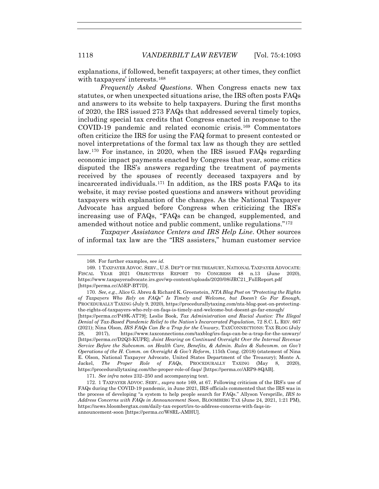explanations, if followed, benefit taxpayers; at other times, they conflict with taxpayers' interests.168

*Frequently Asked Questions*. When Congress enacts new tax statutes, or when unexpected situations arise, the IRS often posts FAQs and answers to its website to help taxpayers. During the first months of 2020, the IRS issued 273 FAQs that addressed several timely topics, including special tax credits that Congress enacted in response to the COVID-19 pandemic and related economic crisis.169 Commentators often criticize the IRS for using the FAQ format to present contested or novel interpretations of the formal tax law as though they are settled law.170 For instance, in 2020, when the IRS issued FAQs regarding economic impact payments enacted by Congress that year, some critics disputed the IRS's answers regarding the treatment of payments received by the spouses of recently deceased taxpayers and by incarcerated individuals.171 In addition, as the IRS posts FAQs to its website, it may revise posted questions and answers without providing taxpayers with explanation of the changes. As the National Taxpayer Advocate has argued before Congress when criticizing the IRS's increasing use of FAQs, "FAQs can be changed, supplemented, and amended without notice and public comment, unlike regulations."172

*Taxpayer Assistance Centers and IRS Help Line*. Other sources of informal tax law are the "IRS assisters," human customer service

171*. See infra* notes 232–250 and accompanying text.

 <sup>168.</sup> For further examples, see *id.*

 <sup>169. 1</sup> TAXPAYER ADVOC. SERV., U.S. DEP'T OF THE TREASURY, NATIONAL TAXPAYER ADVOCATE: FISCAL YEAR 2021 OBJECTIVES REPORT TO CONGRESS 48 n.13 (June 2020), https://www.taxpayeradvocate.irs.gov/wp-content/uploads/2020/08/JRC21\_FullReport.pdf [https://perma.cc/A5EP-BT7D].

<sup>170</sup>*. See, e.g.*, Alice G. Abreu & Richard K. Greenstein, *NTA Blog Post on "Protecting the Rights of Taxpayers Who Rely on FAQs" Is Timely and Welcome, but Doesn't Go Far Enough*, PROCEDURALLY TAXING (July 9, 2020), https://procedurallytaxing.com/nta-blog-post-on-protectingthe-rights-of-taxpayers-who-rely-on-faqs-is-timely-and-welcome-but-doesnt-go-far-enough/

<sup>[</sup>https://perma.cc/P49K-AT79]; Leslie Book, *Tax Administration and Racial Justice: The Illegal Denial of Tax-Based Pandemic Relief to the Nation's Incarcerated Population*, 72 S.C. L. REV. 667 (2021); Nina Olson, *IRS FAQs Can Be a Trap for the Unwary*, TAXCONNECTIONS: TAX BLOG (July 28, 2017), https://www.taxconnections.com/taxblog/irs-faqs-can-be-a-trap-for-the-unwary/ [https://perma.cc/D2Q3-KUPR]; *Joint Hearing on Continued Oversight Over the Internal Revenue Service Before the Subcomm. on Health Care, Benefits, & Admin. Rules & Subcomm. on Gov't Operations of the H. Comm. on Oversight & Gov't Reform*, 115th Cong. (2018) (statement of Nina E. Olson, National Taxpayer Advocate, United States Department of the Treasury); Monte A. Jackel, *The Proper Role of FAQs*, PROCEDURALLY TAXING (May 8, 2020), https://procedurallytaxing.com/the-proper-role-of-faqs/ [https://perma.cc/ARP9-8QAB].

 <sup>172. 1</sup> TAXPAYER ADVOC. SERV., *supra* note 169, at 67. Following criticism of the IRS's use of FAQs during the COVID-19 pandemic, in June 2021, IRS officials commented that the IRS was in the process of developing "a system to help people search for FAQs." Allyson Versprille, *IRS to Address Concerns with FAQs in Announcement Soon*, BLOOMBERG TAX (June 24, 2021, 1:21 PM), https://news.bloombergtax.com/daily-tax-report/irs-to-address-concerns-with-faqs-inannouncement-soon [https://perma.cc/W8RL-AMHU].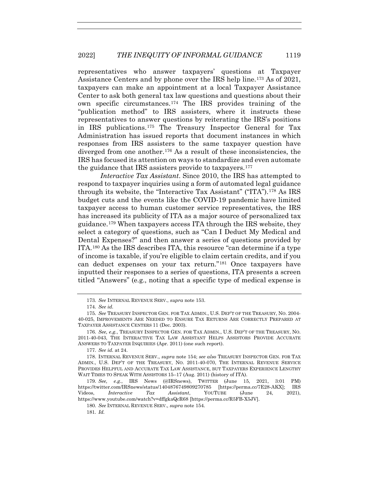representatives who answer taxpayers' questions at Taxpayer Assistance Centers and by phone over the IRS help line.173 As of 2021, taxpayers can make an appointment at a local Taxpayer Assistance Center to ask both general tax law questions and questions about their own specific circumstances.174 The IRS provides training of the "publication method" to IRS assisters, where it instructs these representatives to answer questions by reiterating the IRS's positions in IRS publications.175 The Treasury Inspector General for Tax Administration has issued reports that document instances in which responses from IRS assisters to the same taxpayer question have diverged from one another.176 As a result of these inconsistencies, the IRS has focused its attention on ways to standardize and even automate the guidance that IRS assisters provide to taxpayers.177

*Interactive Tax Assistant*. Since 2010, the IRS has attempted to respond to taxpayer inquiries using a form of automated legal guidance through its website, the "Interactive Tax Assistant" ("ITA").178 As IRS budget cuts and the events like the COVID-19 pandemic have limited taxpayer access to human customer service representatives, the IRS has increased its publicity of ITA as a major source of personalized tax guidance.179 When taxpayers access ITA through the IRS website, they select a category of questions, such as "Can I Deduct My Medical and Dental Expenses?" and then answer a series of questions provided by ITA.180 As the IRS describes ITA, this resource "can determine if a type of income is taxable, if you're eligible to claim certain credits, and if you can deduct expenses on your tax return."181 Once taxpayers have inputted their responses to a series of questions, ITA presents a screen titled "Answers" (e.g., noting that a specific type of medical expense is

181*. Id.*

<sup>173</sup>*. See* INTERNAL REVENUE SERV., *supra* note 153.

<sup>174</sup>*. See id.*

<sup>175</sup>*. See* TREASURY INSPECTOR GEN. FOR TAX ADMIN., U.S. DEP'T OF THE TREASURY, NO. 2004- 40-025, IMPROVEMENTS ARE NEEDED TO ENSURE TAX RETURNS ARE CORRECTLY PREPARED AT TAXPAYER ASSISTANCE CENTERS 11 (Dec. 2003).

<sup>176</sup>*. See, e.g.*, TREASURY INSPECTOR GEN. FOR TAX ADMIN., U.S. DEP'T OF THE TREASURY, NO. 2011-40-043, THE INTERACTIVE TAX LAW ASSISTANT HELPS ASSISTORS PROVIDE ACCURATE ANSWERS TO TAXPAYER INQUIRIES (Apr. 2011) (one such report).

<sup>177</sup>*. See id.* at 24.

 <sup>178.</sup> INTERNAL REVENUE SERV., *supra* note 154; *see also* TREASURY INSPECTOR GEN. FOR TAX ADMIN., U.S. DEP'T OF THE TREASURY, NO. 2011-40-070, THE INTERNAL REVENUE SERVICE PROVIDES HELPFUL AND ACCURATE TAX LAW ASSISTANCE, BUT TAXPAYERS EXPERIENCE LENGTHY WAIT TIMES TO SPEAK WITH ASSISTORS 15–17 (Aug. 2011) (history of ITA).

<sup>179</sup>*. See, e.g.*, IRS News (@IRSnews), TWITTER (June 15, 2021, 3:01 PM) https://twitter.com/IRSnews/status/1404876749809270785 [https://perma.cc/7E28-AKX]; IRS Videos, *Interactive Tax Assistant*, YOUTUBE (June 24, 2021), https://www.youtube.com/watch?v=dffgkaQcR68 [https://perma.cc/R5FB-X5JV].

<sup>180</sup>*. See* INTERNAL REVENUE SERV., *supra* note 154.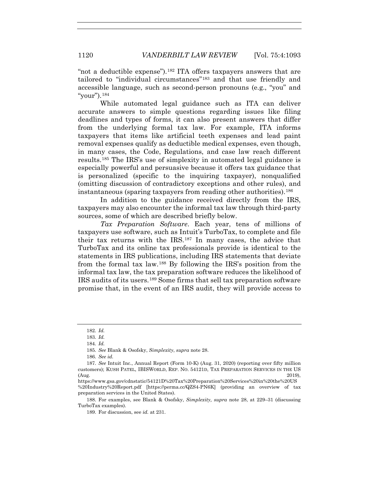"not a deductible expense").182 ITA offers taxpayers answers that are tailored to "individual circumstances"183 and that use friendly and accessible language, such as second-person pronouns (e.g., "you" and "your").184

While automated legal guidance such as ITA can deliver accurate answers to simple questions regarding issues like filing deadlines and types of forms, it can also present answers that differ from the underlying formal tax law. For example, ITA informs taxpayers that items like artificial teeth expenses and lead paint removal expenses qualify as deductible medical expenses, even though, in many cases, the Code, Regulations, and case law reach different results.185 The IRS's use of simplexity in automated legal guidance is especially powerful and persuasive because it offers tax guidance that is personalized (specific to the inquiring taxpayer), nonqualified (omitting discussion of contradictory exceptions and other rules), and instantaneous (sparing taxpayers from reading other authorities).<sup>186</sup>

In addition to the guidance received directly from the IRS, taxpayers may also encounter the informal tax law through third-party sources, some of which are described briefly below.

*Tax Preparation Software*. Each year, tens of millions of taxpayers use software, such as Intuit's TurboTax, to complete and file their tax returns with the IRS.187 In many cases, the advice that TurboTax and its online tax professionals provide is identical to the statements in IRS publications, including IRS statements that deviate from the formal tax law.188 By following the IRS's position from the informal tax law, the tax preparation software reduces the likelihood of IRS audits of its users.189 Some firms that sell tax preparation software promise that, in the event of an IRS audit, they will provide access to

https://www.gsa.gov/cdnstatic/54121D%20Tax%20Preparation%20Services%20in%20the%20US %20Industry%20Report.pdf [https://perma.cc/QZS4-PN6K] (providing an overview of tax preparation services in the United States).

 188. For examples, see Blank & Osofsky, *Simplexity, supra* note 28, at 229–31 (discussing TurboTax examples).

189. For discussion, see *id.* at 231.

<sup>182</sup>*. Id.*

<sup>183</sup>*. Id.*

<sup>184</sup>*. Id.*

<sup>185</sup>*. See* Blank & Osofsky, *Simplexity*, *supra* note 28.

<sup>186</sup>*. See id.*

<sup>187</sup>*. See* Intuit Inc., Annual Report (Form 10-K) (Aug. 31, 2020) (reporting over fifty million customers); KUSH PATEL, IBISWORLD, REP. NO. 54121D, TAX PREPARATION SERVICES IN THE US  $(Aug. 2019)$ ,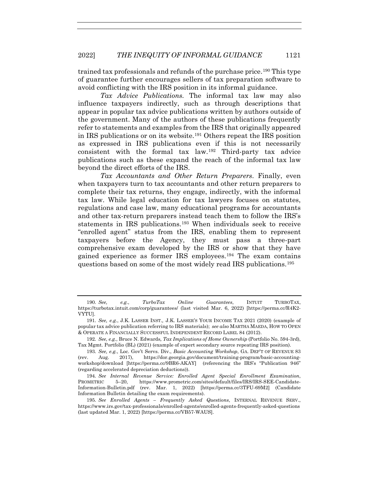trained tax professionals and refunds of the purchase price.190 This type of guarantee further encourages sellers of tax preparation software to avoid conflicting with the IRS position in its informal guidance.

*Tax Advice Publications.* The informal tax law may also influence taxpayers indirectly, such as through descriptions that appear in popular tax advice publications written by authors outside of the government. Many of the authors of these publications frequently refer to statements and examples from the IRS that originally appeared in IRS publications or on its website.191 Others repeat the IRS position as expressed in IRS publications even if this is not necessarily consistent with the formal tax law.192 Third-party tax advice publications such as these expand the reach of the informal tax law beyond the direct efforts of the IRS.

*Tax Accountants and Other Return Preparers*. Finally, even when taxpayers turn to tax accountants and other return preparers to complete their tax returns, they engage, indirectly, with the informal tax law. While legal education for tax lawyers focuses on statutes, regulations and case law, many educational programs for accountants and other tax-return preparers instead teach them to follow the IRS's statements in IRS publications.193 When individuals seek to receive "enrolled agent" status from the IRS, enabling them to represent taxpayers before the Agency, they must pass a three-part comprehensive exam developed by the IRS or show that they have gained experience as former IRS employees.194 The exam contains questions based on some of the most widely read IRS publications.195

<sup>190</sup>*. See, e.g.*, *TurboTax Online Guarantees*, INTUIT TURBOTAX, https://turbotax.intuit.com/corp/guarantees/ (last visited Mar. 6, 2022) [https://perma.cc/R4K2- VYTU].

<sup>191</sup>*. See, e.g.*, J.K. LASSER INST.*,* J.K. LASSER'S YOUR INCOME TAX 2021 (2020) (example of popular tax advice publication referring to IRS materials); *see also* MARTHA MAEDA, HOW TO OPEN & OPERATE A FINANCIALLY SUCCESSFUL INDEPENDENT RECORD LABEL 84 (2012).

<sup>192</sup>*. See, e.g.*, Bruce N. Edwards*, Tax Implications of Home Ownership* (Portfolio No. 594-3rd), Tax Mgmt. Portfolio (BL) (2021) (example of expert secondary source repeating IRS position).

<sup>193</sup>*. See, e.g.*, Loc. Gov't Servs. Div., *Basic Accounting Workshop*, GA. DEP'T OF REVENUE 83 (rev. Aug. 2017), https://dor.georgia.gov/document/training-program/basic-accountingworkshop/download [https://perma.cc/9BR6-AKAY] (referencing the IRS's "Publication 946" (regarding accelerated depreciation deductions)).

<sup>194</sup>*. See Internal Revenue Service: Enrolled Agent Special Enrollment Examination*, PROMETRIC 5–20, https://www.prometric.com/sites/default/files/IRS/IRS-SEE-Candidate-Information-Bulletin.pdf (rev. Mar. 1, 2022) [https://perma.cc/3TFU-69M2] (Candidate Information Bulletin detailing the exam requirements).

<sup>195</sup>*. See Enrolled Agents – Frequently Asked Questions*, INTERNAL REVENUE SERV., https://www.irs.gov/tax-professionals/enrolled-agents/enrolled-agents-frequently-asked-questions (last updated Mar. 1, 2022) [https://perma.cc/VB57-WAUS].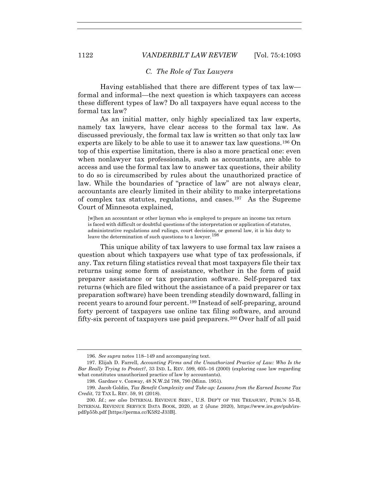#### *C. The Role of Tax Lawyers*

Having established that there are different types of tax law formal and informal—the next question is which taxpayers can access these different types of law? Do all taxpayers have equal access to the formal tax law?

As an initial matter, only highly specialized tax law experts, namely tax lawyers, have clear access to the formal tax law. As discussed previously, the formal tax law is written so that only tax law experts are likely to be able to use it to answer tax law questions.196 On top of this expertise limitation, there is also a more practical one: even when nonlawyer tax professionals, such as accountants, are able to access and use the formal tax law to answer tax questions, their ability to do so is circumscribed by rules about the unauthorized practice of law. While the boundaries of "practice of law" are not always clear, accountants are clearly limited in their ability to make interpretations of complex tax statutes, regulations, and cases.197 As the Supreme Court of Minnesota explained,

[w]hen an accountant or other layman who is employed to prepare an income tax return is faced with difficult or doubtful questions of the interpretation or application of statutes, administrative regulations and rulings, court decisions, or general law, it is his duty to leave the determination of such questions to a lawyer.  $198$ 

This unique ability of tax lawyers to use formal tax law raises a question about which taxpayers use what type of tax professionals, if any. Tax return filing statistics reveal that most taxpayers file their tax returns using some form of assistance, whether in the form of paid preparer assistance or tax preparation software. Self-prepared tax returns (which are filed without the assistance of a paid preparer or tax preparation software) have been trending steadily downward, falling in recent years to around four percent.199 Instead of self-preparing, around forty percent of taxpayers use online tax filing software, and around fifty-six percent of taxpayers use paid preparers.200 Over half of all paid

<sup>196</sup>*. See supra* notes 118–149 and accompanying text.

 <sup>197.</sup> Elijah D. Farrell, *Accounting Firms and the Unauthorized Practice of Law: Who Is the Bar Really Trying to Protect?*, 33 IND. L. REV. 599, 605–16 (2000) (exploring case law regarding what constitutes unauthorized practice of law by accountants).

 <sup>198.</sup> Gardner v. Conway, 48 N.W.2d 788, 790 (Minn. 1951).

 <sup>199.</sup> Jacob Goldin, *Tax Benefit Complexity and Take-up: Lessons from the Earned Income Tax Credit*, 72 TAX L. REV. 59, 91 (2018).

<sup>200</sup>*. Id.*; *see also* INTERNAL REVENUE SERV., U.S. DEP'T OF THE TREASURY, PUBL'N 55-B, INTERNAL REVENUE SERVICE DATA BOOK, 2020, at 2 (June 2020), https://www.irs.gov/pub/irspdf/p55b.pdf [https://perma.cc/K5S2-J33B].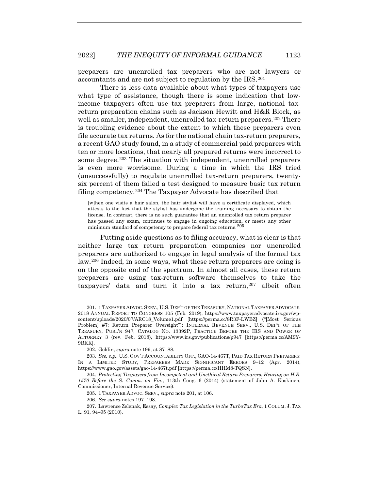preparers are unenrolled tax preparers who are not lawyers or accountants and are not subject to regulation by the IRS.201

There is less data available about what types of taxpayers use what type of assistance, though there is some indication that lowincome taxpayers often use tax preparers from large, national taxreturn preparation chains such as Jackson Hewitt and H&R Block, as well as smaller, independent, unenrolled tax-return preparers.<sup>202</sup> There is troubling evidence about the extent to which these preparers even file accurate tax returns. As for the national chain tax-return preparers, a recent GAO study found, in a study of commercial paid preparers with ten or more locations, that nearly all prepared returns were incorrect to some degree.<sup>203</sup> The situation with independent, unenrolled preparers is even more worrisome. During a time in which the IRS tried (unsuccessfully) to regulate unenrolled tax-return preparers, twentysix percent of them failed a test designed to measure basic tax return filing competency.204 The Taxpayer Advocate has described that

[w]hen one visits a hair salon, the hair stylist will have a certificate displayed, which attests to the fact that the stylist has undergone the training necessary to obtain the license. In contrast, there is no such guarantee that an unenrolled tax return preparer has passed any exam, continues to engage in ongoing education, or meets any other minimum standard of competency to prepare federal tax returns.<sup>205</sup>

Putting aside questions as to filing accuracy, what is clear is that neither large tax return preparation companies nor unenrolled preparers are authorized to engage in legal analysis of the formal tax law.206 Indeed, in some ways, what these return preparers are doing is on the opposite end of the spectrum. In almost all cases, these return preparers are using tax-return software themselves to take the taxpayers' data and turn it into a tax return,<sup>207</sup> albeit often

202. Goldin, *supra* note 199, at 87–88.

206*. See supra* notes 197–198.

 <sup>201. 1</sup> TAXPAYER ADVOC. SERV., U.S. DEP'T OF THE TREASURY, NATIONAL TAXPAYER ADVOCATE: 2018 ANNUAL REPORT TO CONGRESS 105 (Feb. 2019), https://www.taxpayeradvocate.irs.gov/wpcontent/uploads/2020/07/ARC18\_Volume1.pdf [https://perma.cc/8R3F-LWBZ] ("[Most Serious Problem] #7: Return Preparer Oversight"); INTERNAL REVENUE SERV., U.S. DEP'T OF THE TREASURY, PUBL'N 947, CATALOG NO. 13392P, PRACTICE BEFORE THE IRS AND POWER OF ATTORNEY 3 (rev. Feb. 2018), https://www.irs.gov/publications/p947 [https://perma.cc/AM9Y-9BKK].

<sup>203</sup>*. See, e.g.*, U.S. GOV'T ACCOUNTABILITY OFF., GAO-14-467T, PAID TAX RETURN PREPARERS: IN A LIMITED STUDY, PREPARERS MADE SIGNIFICANT ERRORS 9–12 (Apr. 2014), https://www.gao.gov/assets/gao-14-467t.pdf [https://perma.cc/HHM8-TQSN].

<sup>204</sup>*. Protecting Taxpayers from Incompetent and Unethical Return Preparers: Hearing on H.R. 1570 Before the S. Comm. on Fin.*, 113th Cong. 6 (2014) (statement of John A. Koskinen, Commissioner, Internal Revenue Service).

 <sup>205. 1</sup> TAXPAYER ADVOC. SERV., *supra* note 201, at 106.

 <sup>207.</sup> Lawrence Zelenak, Essay, *Complex Tax Legislation in the TurboTax Era*, 1 COLUM. J. TAX L. 91, 94–95 (2010).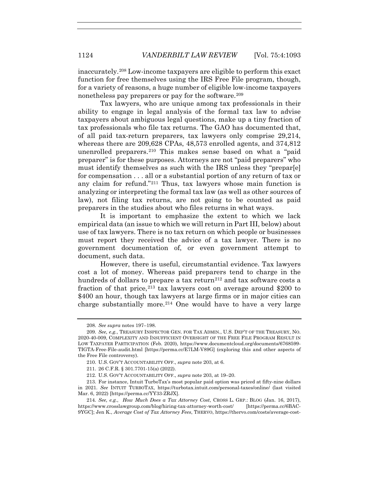inaccurately.208 Low-income taxpayers are eligible to perform this exact function for free themselves using the IRS Free File program, though, for a variety of reasons, a huge number of eligible low-income taxpayers nonetheless pay preparers or pay for the software.<sup>209</sup>

Tax lawyers, who are unique among tax professionals in their ability to engage in legal analysis of the formal tax law to advise taxpayers about ambiguous legal questions, make up a tiny fraction of tax professionals who file tax returns. The GAO has documented that, of all paid tax-return preparers, tax lawyers only comprise 29,214, whereas there are 209,628 CPAs, 48,573 enrolled agents, and 374,812 unenrolled preparers.210 This makes sense based on what a "paid preparer" is for these purposes. Attorneys are not "paid preparers" who must identify themselves as such with the IRS unless they "prepar[e] for compensation . . . all or a substantial portion of any return of tax or any claim for refund."211 Thus, tax lawyers whose main function is analyzing or interpreting the formal tax law (as well as other sources of law), not filing tax returns, are not going to be counted as paid preparers in the studies about who files returns in what ways.

It is important to emphasize the extent to which we lack empirical data (an issue to which we will return in Part III, below) about use of tax lawyers. There is no tax return on which people or businesses must report they received the advice of a tax lawyer. There is no government documentation of, or even government attempt to document, such data.

However, there is useful, circumstantial evidence. Tax lawyers cost a lot of money. Whereas paid preparers tend to charge in the hundreds of dollars to prepare a tax return<sup>212</sup> and tax software costs a fraction of that price,  $2^{13}$  tax lawyers cost on average around \$200 to \$400 an hour, though tax lawyers at large firms or in major cities can charge substantially more.214 One would have to have a very large

<sup>208</sup>*. See supra* notes 197–198.

<sup>209</sup>*. See, e.g.*, TREASURY INSPECTOR GEN. FOR TAX ADMIN., U.S. DEP'T OF THE TREASURY, NO. 2020-40-009, COMPLEXITY AND INSUFFICIENT OVERSIGHT OF THE FREE FILE PROGRAM RESULT IN LOW TAXPAYER PARTICIPATION (Feb. 2020), https://www.documentcloud.org/documents/6768599- TIGTA-Free-File-audit.html [https://perma.cc/E7LM-V89G] (exploring this and other aspects of the Free File controversy).

 <sup>210.</sup> U.S. GOV'T ACCOUNTABILITY OFF., *supra* note 203, at 6.

 <sup>211. 26</sup> C.F.R. § 301.7701-15(a) (2022).

 <sup>212.</sup> U.S. GOV'T ACCOUNTABILITY OFF., *supra* note 203, at 19–20.

 <sup>213.</sup> For instance, Intuit TurboTax's most popular paid option was priced at fifty-nine dollars in 2021. *See* INTUIT TURBOTAX, https://turbotax.intuit.com/personal-taxes/online/ (last visited Mar. 6, 2022) [https://perma.cc/YY33-ZRJX].

<sup>214</sup>*. See, e.g.*, *How Much Does a Tax Attorney Cost*, CROSS L. GRP.: BLOG (Jan. 16, 2017), https://www.crosslawgroup.com/blog/hiring-tax-attorney-worth-cost/ [https://perma.cc/6BAC-9YGC]; Jen K., *Average Cost of Tax Attorney Fees*, THERVO, https://thervo.com/costs/average-cost-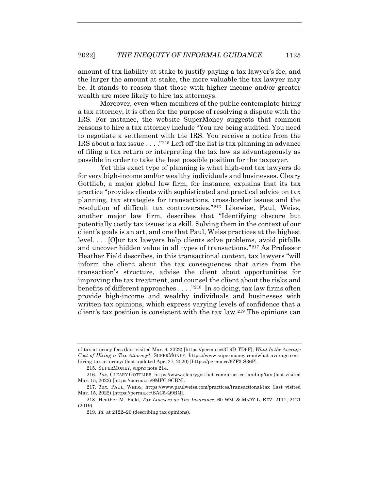amount of tax liability at stake to justify paying a tax lawyer's fee, and the larger the amount at stake, the more valuable the tax lawyer may be. It stands to reason that those with higher income and/or greater wealth are more likely to hire tax attorneys.

Moreover, even when members of the public contemplate hiring a tax attorney, it is often for the purpose of resolving a dispute with the IRS. For instance, the website SuperMoney suggests that common reasons to hire a tax attorney include "You are being audited. You need to negotiate a settlement with the IRS. You receive a notice from the IRS about a tax issue . . . ."215 Left off the list is tax planning in advance of filing a tax return or interpreting the tax law as advantageously as possible in order to take the best possible position for the taxpayer.

Yet this exact type of planning is what high-end tax lawyers do for very high-income and/or wealthy individuals and businesses. Cleary Gottlieb, a major global law firm, for instance, explains that its tax practice "provides clients with sophisticated and practical advice on tax planning, tax strategies for transactions, cross-border issues and the resolution of difficult tax controversies."216 Likewise, Paul, Weiss, another major law firm, describes that "Identifying obscure but potentially costly tax issues is a skill. Solving them in the context of our client's goals is an art, and one that Paul, Weiss practices at the highest level. . . . [O]ur tax lawyers help clients solve problems, avoid pitfalls and uncover hidden value in all types of transactions."217 As Professor Heather Field describes, in this transactional context, tax lawyers "will inform the client about the tax consequences that arise from the transaction's structure, advise the client about opportunities for improving the tax treatment, and counsel the client about the risks and benefits of different approaches  $\dots$ ."<sup>218</sup> In so doing, tax law firms often provide high-income and wealthy individuals and businesses with written tax opinions, which express varying levels of confidence that a client's tax position is consistent with the tax law.219 The opinions can

of-tax-attorney-fees (last visited Mar. 6, 2022) [https://perma.cc/3L9D-TD6F]; *What Is the Average Cost of Hiring a Tax Attorney?*, SUPERMONEY, https://www.supermoney.com/what-average-costhiring-tax-attorney/ (last updated Apr. 27, 2020) [https://perma.cc/6ZF3-S36P].

 <sup>215.</sup> SUPERMONEY, *supra* note 214.

<sup>216</sup>*. Tax*, CLEARY GOTTLIEB, https://www.clearygottlieb.com/practice-landing/tax (last visited Mar. 15, 2022) [https://perma.cc/9MFC-9CBN].

<sup>217</sup>*. Tax*, PAUL, WEISS, https://www.paulweiss.com/practices/transactional/tax (last visited Mar. 15, 2022) [https://perma.cc/BAC5-Q9RQ].

 <sup>218.</sup> Heather M. Field, *Tax Lawyers as Tax Insurance*, 60 WM. & MARY L. REV. 2111, 2121 (2019).

<sup>219</sup>*. Id.* at 2122–26 (describing tax opinions).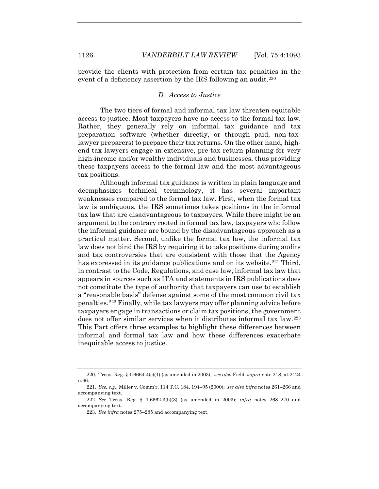provide the clients with protection from certain tax penalties in the event of a deficiency assertion by the IRS following an audit.<sup>220</sup>

## *D. Access to Justice*

The two tiers of formal and informal tax law threaten equitable access to justice. Most taxpayers have no access to the formal tax law. Rather, they generally rely on informal tax guidance and tax preparation software (whether directly, or through paid, non-taxlawyer preparers) to prepare their tax returns. On the other hand, highend tax lawyers engage in extensive, pre-tax return planning for very high-income and/or wealthy individuals and businesses, thus providing these taxpayers access to the formal law and the most advantageous tax positions.

Although informal tax guidance is written in plain language and deemphasizes technical terminology, it has several important weaknesses compared to the formal tax law. First, when the formal tax law is ambiguous, the IRS sometimes takes positions in the informal tax law that are disadvantageous to taxpayers. While there might be an argument to the contrary rooted in formal tax law, taxpayers who follow the informal guidance are bound by the disadvantageous approach as a practical matter. Second, unlike the formal tax law, the informal tax law does not bind the IRS by requiring it to take positions during audits and tax controversies that are consistent with those that the Agency has expressed in its guidance publications and on its website.<sup>221</sup> Third, in contrast to the Code, Regulations, and case law, informal tax law that appears in sources such as ITA and statements in IRS publications does not constitute the type of authority that taxpayers can use to establish a "reasonable basis" defense against some of the most common civil tax penalties.222 Finally, while tax lawyers may offer planning advice before taxpayers engage in transactions or claim tax positions, the government does not offer similar services when it distributes informal tax law.223 This Part offers three examples to highlight these differences between informal and formal tax law and how these differences exacerbate inequitable access to justice.

 <sup>220.</sup> Treas. Reg. § 1.6664-4(c)(1) (as amended in 2003); *see also* Field, *supra* note 218, at 2124 n.66.

<sup>221</sup>*. See, e.g.*, Miller v. Comm'r, 114 T.C. 184, 194–95 (2000); *see also infra* notes 261–266 and accompanying text.

<sup>222</sup>*. See* Treas. Reg. § 1.6662-3(b)(3) (as amended in 2003); *infra* notes 268–270 and accompanying text.

<sup>223</sup>*. See infra* notes 275–285 and accompanying text.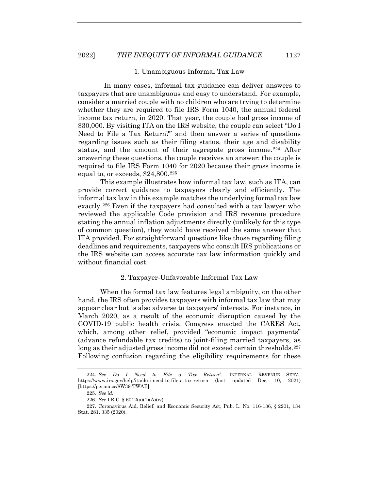#### 1. Unambiguous Informal Tax Law

 In many cases, informal tax guidance can deliver answers to taxpayers that are unambiguous and easy to understand. For example, consider a married couple with no children who are trying to determine whether they are required to file IRS Form 1040, the annual federal income tax return, in 2020. That year, the couple had gross income of \$30,000. By visiting ITA on the IRS website, the couple can select "Do I Need to File a Tax Return?" and then answer a series of questions regarding issues such as their filing status, their age and disability status, and the amount of their aggregate gross income.<sup>224</sup> After answering these questions, the couple receives an answer: the couple is required to file IRS Form 1040 for 2020 because their gross income is equal to, or exceeds,  $$24,800.<sup>225</sup>$ 

This example illustrates how informal tax law, such as ITA, can provide correct guidance to taxpayers clearly and efficiently. The informal tax law in this example matches the underlying formal tax law exactly.226 Even if the taxpayers had consulted with a tax lawyer who reviewed the applicable Code provision and IRS revenue procedure stating the annual inflation adjustments directly (unlikely for this type of common question), they would have received the same answer that ITA provided. For straightforward questions like those regarding filing deadlines and requirements, taxpayers who consult IRS publications or the IRS website can access accurate tax law information quickly and without financial cost.

#### 2. Taxpayer-Unfavorable Informal Tax Law

When the formal tax law features legal ambiguity, on the other hand, the IRS often provides taxpayers with informal tax law that may appear clear but is also adverse to taxpayers' interests. For instance, in March 2020, as a result of the economic disruption caused by the COVID-19 public health crisis, Congress enacted the CARES Act, which, among other relief, provided "economic impact payments" (advance refundable tax credits) to joint-filing married taxpayers, as long as their adjusted gross income did not exceed certain thresholds.<sup>227</sup> Following confusion regarding the eligibility requirements for these

<sup>224</sup>*. See Do I Need to File a Tax Return?*, INTERNAL REVENUE SERV., https://www.irs.gov/help/ita/do-i-need-to-file-a-tax-return (last updated Dec. 10, 2021) [https://perma.cc/8W39-TWAE].

<sup>225</sup>*. See id.*

<sup>226</sup>*. See* I.R.C. § 6012(a)(1)(A)(iv).

 <sup>227.</sup> Coronavirus Aid, Relief, and Economic Security Act, Pub. L. No. 116-136, § 2201, 134 Stat. 281, 335 (2020).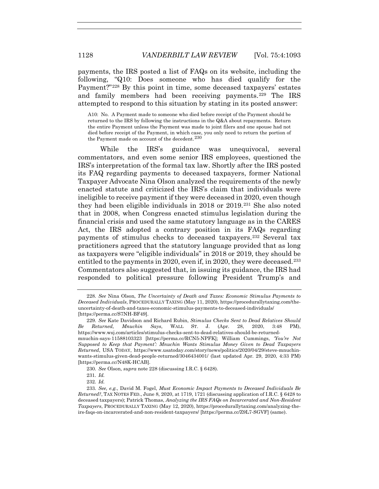payments, the IRS posted a list of FAQs on its website, including the following, "Q10: Does someone who has died qualify for the Payment?"228 By this point in time, some deceased taxpayers' estates and family members had been receiving payments.<sup>229</sup> The IRS attempted to respond to this situation by stating in its posted answer:

A10: No. A Payment made to someone who died before receipt of the Payment should be returned to the IRS by following the instructions in the Q&A about repayments. Return the entire Payment unless the Payment was made to joint filers and one spouse had not died before receipt of the Payment, in which case, you only need to return the portion of the Payment made on account of the decedent.<sup>230</sup>

While the IRS's guidance was unequivocal, several commentators, and even some senior IRS employees, questioned the IRS's interpretation of the formal tax law. Shortly after the IRS posted its FAQ regarding payments to deceased taxpayers, former National Taxpayer Advocate Nina Olson analyzed the requirements of the newly enacted statute and criticized the IRS's claim that individuals were ineligible to receive payment if they were deceased in 2020, even though they had been eligible individuals in 2018 or 2019.231 She also noted that in 2008, when Congress enacted stimulus legislation during the financial crisis and used the same statutory language as in the CARES Act, the IRS adopted a contrary position in its FAQs regarding payments of stimulus checks to deceased taxpayers.232 Several tax practitioners agreed that the statutory language provided that as long as taxpayers were "eligible individuals" in 2018 or 2019, they should be entitled to the payments in 2020, even if, in 2020, they were deceased.<sup>233</sup> Commentators also suggested that, in issuing its guidance, the IRS had responded to political pressure following President Trump's and

<sup>228</sup>*. See* Nina Olson, *The Uncertainty of Death and Taxes: Economic Stimulus Payments to Deceased Individuals*, PROCEDURALLY TAXING (May 11, 2020), https://procedurallytaxing.com/theuncertainty-of-death-and-taxes-economic-stimulus-payments-to-deceased-individuals/ [https://perma.cc/S7NH-BF49].

<sup>229</sup>*. See* Kate Davidson and Richard Rubin, *Stimulus Checks Sent to Dead Relatives Should Be Returned, Mnuchin Says*, WALL ST. J. (Apr. 28, 2020, 3:48 PM), https://www.wsj.com/articles/stimulus-checks-sent-to-dead-relatives-should-be-returnedmnuchin-says-11588103323 [https://perma.cc/RCN5-NPFK]; William Cummings, *'You're Not Supposed to Keep that Payment': Mnuchin Wants Stimulus Money Given to Dead Taxpayers Returned*, USA TODAY, https://www.usatoday.com/story/news/politics/2020/04/29/steve-mnuchinwants-stimulus-given-dead-people-returned/3046434001/ (last updated Apr. 29, 2020, 4:33 PM) [https://perma.cc/N48K-HCAB].

<sup>230</sup>*. See* Olson, *supra* note 228 (discussing I.R.C. § 6428).

<sup>231</sup>*. Id.*

<sup>232</sup>*. Id.*

<sup>233</sup>*. See, e.g.*, David M. Fogel, *Must Economic Impact Payments to Deceased Individuals Be Returned?*, TAX NOTES FED., June 8, 2020, at 1719, 1721 (discussing application of I.R.C. § 6428 to deceased taxpayers); Patrick Thomas, *Analyzing the IRS FAQs on Incarcerated and Non-Resident Taxpayers*, PROCEDURALLY TAXING (May 12, 2020), https://procedurallytaxing.com/analyzing-theirs-faqs-on-incarcerated-and-non-resident-taxpayers/ [https://perma.cc/Z9L7-SGVF] (same).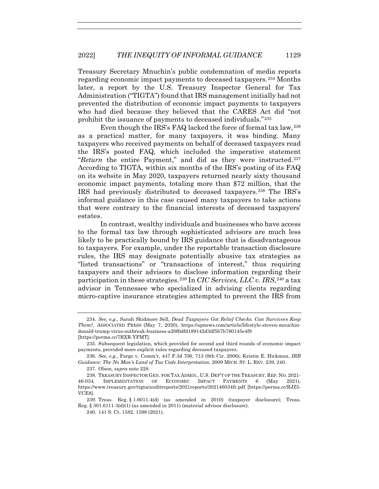Treasury Secretary Mnuchin's public condemnation of media reports regarding economic impact payments to deceased taxpayers.234 Months later, a report by the U.S. Treasury Inspector General for Tax Administration ("TIGTA") found that IRS management initially had not prevented the distribution of economic impact payments to taxpayers who had died because they believed that the CARES Act did "not prohibit the issuance of payments to deceased individuals."235

Even though the IRS's FAQ lacked the force of formal tax law,  $236$ as a practical matter, for many taxpayers, it was binding. Many taxpayers who received payments on behalf of deceased taxpayers read the IRS's posted FAQ, which included the imperative statement "*Return* the entire Payment," and did as they were instructed.237 According to TIGTA, within six months of the IRS's posting of its FAQ on its website in May 2020, taxpayers returned nearly sixty thousand economic impact payments, totaling more than \$72 million, that the IRS had previously distributed to deceased taxpayers.238 The IRS's informal guidance in this case caused many taxpayers to take actions that were contrary to the financial interests of deceased taxpayers' estates.

In contrast, wealthy individuals and businesses who have access to the formal tax law through sophisticated advisors are much less likely to be practically bound by IRS guidance that is disadvantageous to taxpayers. For example, under the reportable transaction disclosure rules, the IRS may designate potentially abusive tax strategies as "listed transactions" or "transactions of interest," thus requiring taxpayers and their advisors to disclose information regarding their participation in these strategies.<sup>239</sup> In *CIC Services, LLC v. IRS*,<sup>240</sup> a tax advisor in Tennessee who specialized in advising clients regarding micro-captive insurance strategies attempted to prevent the IRS from

<sup>234</sup>*. See, e.g.*, Sarah Skidmore Sell, *Dead Taxpayers Got Relief Checks. Can Survivors Keep Them?*, ASSOCIATED PRESS (May 7, 2020), https://apnews.com/article/lifestyle-steven-mnuchindonald-trump-virus-outbreak-business-a20f6dfd189142d3df5b7b780145e4f8 [https://perma.cc/7RXR-YFMT].

 <sup>235.</sup> Subsequent legislation, which provided for second and third rounds of economic impact payments, provided more explicit rules regarding deceased taxpayers.

<sup>236</sup>*. See, e.g.*, Fargo v. Comm'r, 447 F.3d 706, 713 (9th Cir. 2006); Kristin E. Hickman, *IRB Guidance: The No Man's Land of Tax Code Interpretation*, 2009 MICH. ST. L. REV. 239, 240.

 <sup>237.</sup> Olson, *supra* note 228.

<sup>238</sup>*.* TREASURY INSPECTOR GEN. FOR TAX ADMIN., U.S. DEP'T OF THE TREASURY, REP. NO. 2021- 46-034, IMPLEMENTATION OF ECONOMIC IMPACT PAYMENTS 6 (May 2021), https://www.treasury.gov/tigta/auditreports/2021reports/202146034fr.pdf [https://perma.cc/RJZ5- VCE8].

 <sup>239.</sup> Treas. Reg. § 1.6011-4(d) (as amended in 2010) (taxpayer disclosure); Treas. Reg. § 301.6111-3(d)(1) (as amended in 2011) (material advisor disclosure).

 <sup>240. 141</sup> S. Ct. 1582, 1588 (2021).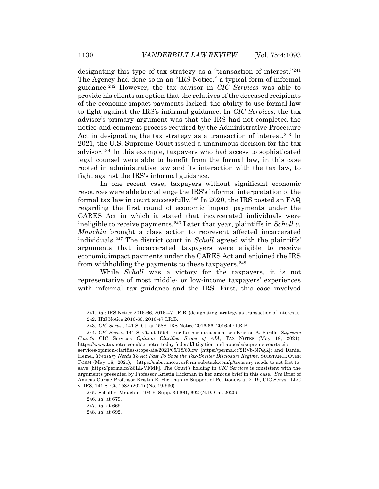designating this type of tax strategy as a "transaction of interest."241 The Agency had done so in an "IRS Notice," a typical form of informal guidance.242 However, the tax advisor in *CIC Services* was able to provide his clients an option that the relatives of the deceased recipients of the economic impact payments lacked: the ability to use formal law to fight against the IRS's informal guidance. In *CIC Services*, the tax advisor's primary argument was that the IRS had not completed the notice-and-comment process required by the Administrative Procedure Act in designating the tax strategy as a transaction of interest.<sup>243</sup> In 2021, the U.S. Supreme Court issued a unanimous decision for the tax advisor.244 In this example, taxpayers who had access to sophisticated legal counsel were able to benefit from the formal law, in this case rooted in administrative law and its interaction with the tax law, to fight against the IRS's informal guidance.

In one recent case, taxpayers without significant economic resources were able to challenge the IRS's informal interpretation of the formal tax law in court successfully.245 In 2020, the IRS posted an FAQ regarding the first round of economic impact payments under the CARES Act in which it stated that incarcerated individuals were ineligible to receive payments.246 Later that year, plaintiffs in *Scholl v. Mnuchin* brought a class action to represent affected incarcerated individuals.247 The district court in *Scholl* agreed with the plaintiffs' arguments that incarcerated taxpayers were eligible to receive economic impact payments under the CARES Act and enjoined the IRS from withholding the payments to these taxpayers.  $248$ 

While *Scholl* was a victory for the taxpayers, it is not representative of most middle- or low-income taxpayers' experiences with informal tax guidance and the IRS. First, this case involved

<sup>241</sup>*. Id.*; IRS Notice 2016-66, 2016-47 I.R.B. (designating strategy as transaction of interest).

 <sup>242.</sup> IRS Notice 2016-66, 2016-47 I.R.B.

 <sup>243.</sup> *CIC Servs.*, 141 S. Ct. at 1588; IRS Notice 2016-66, 2016-47 I.R.B.

 <sup>244.</sup> *CIC Servs.*, 141 S. Ct. at 1594. For further discussion, see Kristen A. Parillo, *Supreme Court's* CIC Services *Opinion Clarifies Scope of AIA*, TAX NOTES (May 18, 2021), https://www.taxnotes.com/tax-notes-today-federal/litigation-and-appeals/supreme-courts-cic-

services-opinion-clarifies-scope-aia/2021/05/18/60lcw [https://perma.cc/2RVb-N7QK]; and Daniel Hemel, *Treasury Needs To Act Fast To Save the Tax-Shelter Disclosure Regime*, SUBSTANCE OVER FORM (May 18, 2021), https://substanceoverform.substack.com/p/treasury-needs-to-act-fast-tosave [https://perma.cc/Z6LL-VFMF]. The Court's holding in *CIC Services* is consistent with the arguments presented by Professor Kristin Hickman in her amicus brief in this case. *See* Brief of Amicus Curiae Professor Kristin E. Hickman in Support of Petitioners at 2–19, CIC Servs., LLC v. IRS, 141 S. Ct. 1582 (2021) (No. 19-930).

 <sup>245.</sup> Scholl v. Mnuchin, 494 F. Supp. 3d 661, 692 (N.D. Cal. 2020).

<sup>246</sup>*. Id.* at 679.

<sup>247</sup>*. Id.* at 669.

<sup>248</sup>*. Id.* at 692.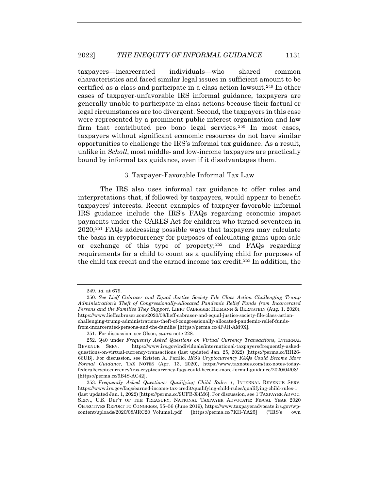taxpayers—incarcerated individuals—who shared common characteristics and faced similar legal issues in sufficient amount to be certified as a class and participate in a class action lawsuit.249 In other cases of taxpayer-unfavorable IRS informal guidance, taxpayers are generally unable to participate in class actions because their factual or legal circumstances are too divergent. Second, the taxpayers in this case were represented by a prominent public interest organization and law firm that contributed pro bono legal services.<sup>250</sup> In most cases, taxpayers without significant economic resources do not have similar opportunities to challenge the IRS's informal tax guidance. As a result, unlike in *Scholl*, most middle- and low-income taxpayers are practically bound by informal tax guidance, even if it disadvantages them.

## 3. Taxpayer-Favorable Informal Tax Law

The IRS also uses informal tax guidance to offer rules and interpretations that, if followed by taxpayers, would appear to benefit taxpayers' interests. Recent examples of taxpayer-favorable informal IRS guidance include the IRS's FAQs regarding economic impact payments under the CARES Act for children who turned seventeen in 2020;251 FAQs addressing possible ways that taxpayers may calculate the basis in cryptocurrency for purposes of calculating gains upon sale or exchange of this type of property;252 and FAQs regarding requirements for a child to count as a qualifying child for purposes of the child tax credit and the earned income tax credit.253 In addition, the

<sup>249</sup>*. Id.* at 679.

<sup>250</sup>*. See Lieff Cabraser and Equal Justice Society File Class Action Challenging Trump Administration's Theft of Congressionally-Allocated Pandemic Relief Funds from Incarcerated Persons and the Families They Support*, LIEFF CABRASER HEIMANN & BERNSTEIN (Aug. 1, 2020), https://www.lieffcabraser.com/2020/08/lieff-cabraser-and-equal-justice-society-file-class-actionchallenging-trump-administrations-theft-of-congressionally-allocated-pandemic-relief-fundsfrom-incarcerated-persons-and-the-familie/ [https://perma.cc/4PJH-AM9X].

 <sup>251.</sup> For discussion, see Olson, *supra* note 228.

<sup>252</sup>*.* Q40 under *Frequently Asked Questions on Virtual Currency Transactions*, INTERNAL REVENUE SERV.https://www.irs.gov/individuals/international-taxpayers/frequently-askedquestions-on-virtual-currency-transactions (last updated Jan. 25, 2022) [https://perma.cc/RH26- 66UB]. For discussion, see Kristen A. Parillo, *IRS's Cryptocurrency FAQs Could Become More Formal Guidance*, TAX NOTES (Apr. 13, 2020), https://www.taxnotes.com/tax-notes-todayfederal/cryptocurrency/irss-cryptocurrency-faqs-could-become-more-formal-guidance/2020/04/08/ [https://perma.cc/9B4S-AC42].

<sup>253</sup>*. Frequently Asked Questions: Qualifying Child Rules 1*, INTERNAL REVENUE SERV. https://www.irs.gov/faqs/earned-income-tax-credit/qualifying-child-rules/qualifying-child-rules-1 (last updated Jan. 1, 2022) [https://perma.cc/9UFB-X4M6]. For discussion, see 1 TAXPAYER ADVOC. SERV., U.S. DEP'T OF THE TREASURY, NATIONAL TAXPAYER ADVOCATE: FISCAL YEAR 2020 OBJECTIVES REPORT TO CONGRESS, 55–56 (June 2019), https://www.taxpayeradvocate.irs.gov/wpcontent/uploads/2020/08/JRC20\_Volume1.pdf [https://perma.cc/7KH-YA25] ("IRS's own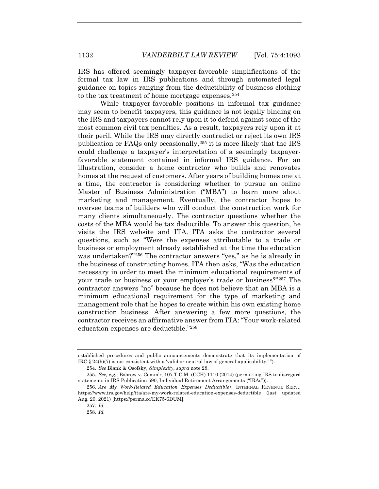IRS has offered seemingly taxpayer-favorable simplifications of the formal tax law in IRS publications and through automated legal guidance on topics ranging from the deductibility of business clothing to the tax treatment of home mortgage expenses.<sup>254</sup>

While taxpayer-favorable positions in informal tax guidance may seem to benefit taxpayers, this guidance is not legally binding on the IRS and taxpayers cannot rely upon it to defend against some of the most common civil tax penalties. As a result, taxpayers rely upon it at their peril. While the IRS may directly contradict or reject its own IRS publication or FAQs only occasionally,255 it is more likely that the IRS could challenge a taxpayer's interpretation of a seemingly taxpayerfavorable statement contained in informal IRS guidance. For an illustration, consider a home contractor who builds and renovates homes at the request of customers. After years of building homes one at a time, the contractor is considering whether to pursue an online Master of Business Administration ("MBA") to learn more about marketing and management. Eventually, the contractor hopes to oversee teams of builders who will conduct the construction work for many clients simultaneously. The contractor questions whether the costs of the MBA would be tax deductible. To answer this question, he visits the IRS website and ITA. ITA asks the contractor several questions, such as "Were the expenses attributable to a trade or business or employment already established at the time the education was undertaken?"256 The contractor answers "yes," as he is already in the business of constructing homes. ITA then asks, "Was the education necessary in order to meet the minimum educational requirements of your trade or business or your employer's trade or business?"257 The contractor answers "no" because he does not believe that an MBA is a minimum educational requirement for the type of marketing and management role that he hopes to create within his own existing home construction business. After answering a few more questions, the contractor receives an affirmative answer from ITA: "Your work-related education expenses are deductible."258

established procedures and public announcements demonstrate that its implementation of IRC § 24(h)(7) is not consistent with a 'valid or neutral law of general applicability.' ").

<sup>254</sup>*. See* Blank & Osofsky, *Simplexity*, *supra* note 28.

<sup>255</sup>*. See, e.g.*, Bobrow v. Comm'r, 107 T.C.M. (CCH) 1110 (2014) (permitting IRS to disregard statements in IRS Publication 590, Individual Retirement Arrangements ("IRAs")).

<sup>256</sup>*. Are My Work-Related Education Expenses Deductible?*, INTERNAL REVENUE SERV., https://www.irs.gov/help/ita/are-my-work-related-education-expenses-deductible (last updated Aug. 20, 2021) [https://perma.cc/EK75-6DUM].

<sup>257</sup>*. Id.*

<sup>258</sup>*. Id.*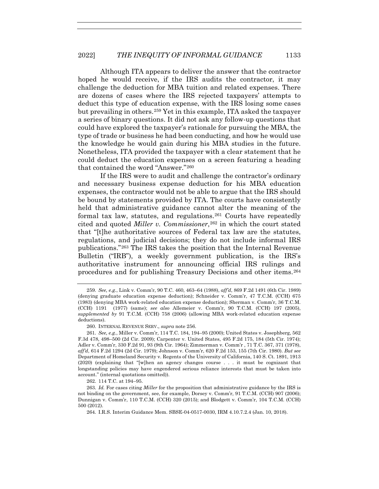Although ITA appears to deliver the answer that the contractor hoped he would receive, if the IRS audits the contractor, it may challenge the deduction for MBA tuition and related expenses. There are dozens of cases where the IRS rejected taxpayers' attempts to deduct this type of education expense, with the IRS losing some cases but prevailing in others.259 Yet in this example, ITA asked the taxpayer a series of binary questions. It did not ask any follow-up questions that could have explored the taxpayer's rationale for pursuing the MBA, the type of trade or business he had been conducting, and how he would use the knowledge he would gain during his MBA studies in the future. Nonetheless, ITA provided the taxpayer with a clear statement that he could deduct the education expenses on a screen featuring a heading that contained the word "Answer."260

If the IRS were to audit and challenge the contractor's ordinary and necessary business expense deduction for his MBA education expenses, the contractor would not be able to argue that the IRS should be bound by statements provided by ITA. The courts have consistently held that administrative guidance cannot alter the meaning of the formal tax law, statutes, and regulations.261 Courts have repeatedly cited and quoted *Miller v. Commissioner*,262 in which the court stated that "[t]he authoritative sources of Federal tax law are the statutes, regulations, and judicial decisions; they do not include informal IRS publications."263 The IRS takes the position that the Internal Revenue Bulletin ("IRB"), a weekly government publication, is the IRS's authoritative instrument for announcing official IRS rulings and procedures and for publishing Treasury Decisions and other items.264

262. 114 T.C. at 194–95.

264*.* I.R.S. Interim Guidance Mem. SBSE-04-0517-0030, IRM 4.10.7.2.4 (Jan. 10, 2018).

<sup>259</sup>*. See, e.g.*, Link v. Comm'r, 90 T.C. 460, 463–64 (1988), *aff'd*, 869 F.2d 1491 (6th Cir. 1989) (denying graduate education expense deduction); Schneider v. Comm'r, 47 T.C.M. (CCH) 675 (1983) (denying MBA work-related education expense deduction); Sherman v. Comm'r, 36 T.C.M. (CCH) 1191 (1977) (same); *see also* Allemeier v. Comm'r, 90 T.C.M. (CCH) 197 (2005), *supplemented by* 91 T.C.M. (CCH) 758 (2006) (allowing MBA work-related education expense deductions).

 <sup>260.</sup> INTERNAL REVENUE SERV., *supra* note 256.

<sup>261</sup>*. See, e.g.*, Miller v. Comm'r, 114 T.C. 184, 194–95 (2000); United States v. Josephberg, 562 F.3d 478, 498–500 (2d Cir. 2009); Carpenter v. United States, 495 F.2d 175, 184 (5th Cir. 1974); Adler v. Comm'r, 330 F.2d 91, 93 (9th Cir. 1964); Zimmerman v. Comm'r , 71 T.C. 367, 371 (1978), *aff'd*, 614 F.2d 1294 (2d Cir. 1979); Johnson v. Comm'r, 620 F.2d 153, 155 (7th Cir. 1980). *But see* Department of Homeland Security v. Regents of the University of California, 140 S. Ct. 1891, 1913 (2020) (explaining that "[w]hen an agency changes course . . . it must be cognizant that longstanding policies may have engendered serious reliance interests that must be taken into account." (internal quotations omitted)).

<sup>263</sup>*. Id.* For cases citing *Miller* for the proposition that administrative guidance by the IRS is not binding on the government, see, for example, Dorsey v. Comm'r, 91 T.C.M. (CCH) 907 (2006); Dunnigan v. Comm'r, 110 T.C.M. (CCH) 320 (2015); and Blodgett v. Comm'r, 104 T.C.M. (CCH) 500 (2012).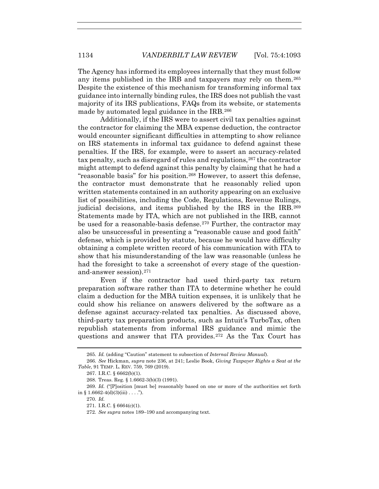The Agency has informed its employees internally that they must follow any items published in the IRB and taxpayers may rely on them.265 Despite the existence of this mechanism for transforming informal tax guidance into internally binding rules, the IRS does not publish the vast majority of its IRS publications, FAQs from its website, or statements made by automated legal guidance in the IRB.<sup>266</sup>

Additionally, if the IRS were to assert civil tax penalties against the contractor for claiming the MBA expense deduction, the contractor would encounter significant difficulties in attempting to show reliance on IRS statements in informal tax guidance to defend against these penalties. If the IRS, for example, were to assert an accuracy-related tax penalty, such as disregard of rules and regulations,  $267$  the contractor might attempt to defend against this penalty by claiming that he had a "reasonable basis" for his position.<sup>268</sup> However, to assert this defense, the contractor must demonstrate that he reasonably relied upon written statements contained in an authority appearing on an exclusive list of possibilities, including the Code, Regulations, Revenue Rulings, judicial decisions, and items published by the IRS in the IRB.269 Statements made by ITA, which are not published in the IRB, cannot be used for a reasonable-basis defense.<sup>270</sup> Further, the contractor may also be unsuccessful in presenting a "reasonable cause and good faith" defense, which is provided by statute, because he would have difficulty obtaining a complete written record of his communication with ITA to show that his misunderstanding of the law was reasonable (unless he had the foresight to take a screenshot of every stage of the questionand-answer session).271

Even if the contractor had used third-party tax return preparation software rather than ITA to determine whether he could claim a deduction for the MBA tuition expenses, it is unlikely that he could show his reliance on answers delivered by the software as a defense against accuracy-related tax penalties. As discussed above, third-party tax preparation products, such as Intuit's TurboTax, often republish statements from informal IRS guidance and mimic the questions and answer that ITA provides.272 As the Tax Court has

270*. Id.*

<sup>265</sup>*. Id.* (adding "Caution" statement to subsection of *Internal Review Manual*).

<sup>266</sup>*. See* Hickman, *supra* note 236, at 241; Leslie Book, *Giving Taxpayer Rights a Seat at the Table*, 91 TEMP. L. REV. 759, 769 (2019).

 <sup>267.</sup> I.R.C. § 6662(b)(1).

 <sup>268.</sup> Treas. Reg. § 1.6662-3(b)(3) (1991).

<sup>269</sup>*. Id.* ("[P]osition [must be] reasonably based on one or more of the authorities set forth in § 1.6662-4(d)(3)(iii) . . . .").

 <sup>271.</sup> I.R.C. § 6664(c)(1).

<sup>272</sup>*. See supra* notes 189–190 and accompanying text.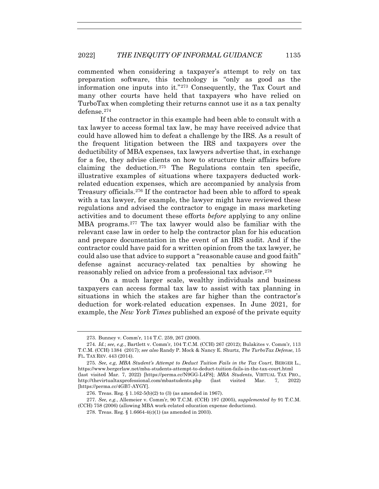commented when considering a taxpayer's attempt to rely on tax preparation software, this technology is "only as good as the information one inputs into it."273 Consequently, the Tax Court and many other courts have held that taxpayers who have relied on TurboTax when completing their returns cannot use it as a tax penalty defense.274

If the contractor in this example had been able to consult with a tax lawyer to access formal tax law, he may have received advice that could have allowed him to defeat a challenge by the IRS. As a result of the frequent litigation between the IRS and taxpayers over the deductibility of MBA expenses, tax lawyers advertise that, in exchange for a fee, they advise clients on how to structure their affairs before claiming the deduction.<sup>275</sup> The Regulations contain ten specific, illustrative examples of situations where taxpayers deducted workrelated education expenses, which are accompanied by analysis from Treasury officials.276 If the contractor had been able to afford to speak with a tax lawyer, for example, the lawyer might have reviewed these regulations and advised the contractor to engage in mass marketing activities and to document these efforts *before* applying to any online MBA programs.277 The tax lawyer would also be familiar with the relevant case law in order to help the contractor plan for his education and prepare documentation in the event of an IRS audit. And if the contractor could have paid for a written opinion from the tax lawyer, he could also use that advice to support a "reasonable cause and good faith" defense against accuracy-related tax penalties by showing he reasonably relied on advice from a professional tax advisor.278

On a much larger scale, wealthy individuals and business taxpayers can access formal tax law to assist with tax planning in situations in which the stakes are far higher than the contractor's deduction for work-related education expenses. In June 2021, for example, the *New York Times* published an exposé of the private equity

 <sup>273.</sup> Bunney v. Comm'r, 114 T.C. 259, 267 (2000).

<sup>274</sup>*. Id.*; *see, e.g.*, Bartlett v. Comm'r, 104 T.C.M. (CCH) 267 (2012); Bulakites v. Comm'r, 113 T.C.M. (CCH) 1384 (2017); *see also* Randy P. Mock & Nancy E. Shurtz, *The TurboTax Defense*, 15 FL. TAX REV. 443 (2014).

<sup>275</sup>*. See, e.g*, *MBA Student's Attempt to Deduct Tuition Fails in the Tax Court*, BERGER L., https://www.bergerlaw.net/mba-students-attempt-to-deduct-tuition-fails-in-the-tax-court.html (last visited Mar. 7, 2022) [https://perma.cc/N9GG-L4F8]; *MBA Students*, VIRTUAL TAX PRO., http://thevirtualtaxprofessional.com/mbastudents.php (last visited Mar. 7, 2022) [https://perma.cc/4GB7-AYGY].

 <sup>276.</sup> Treas. Reg. § 1.162-5(b)(2) to (3) (as amended in 1967).

<sup>277</sup>*. See, e.g.*, Allemeier v. Comm'r, 90 T.C.M. (CCH) 197 (2005), *supplemented by* 91 T.C.M. (CCH) 758 (2006) (allowing MBA work-related education expense deductions).

 <sup>278.</sup> Treas. Reg. § 1.6664-4(c)(1) (as amended in 2003).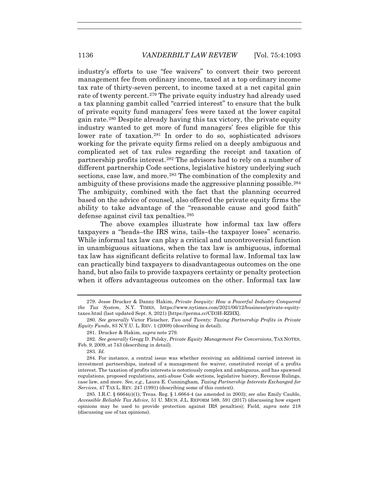industry's efforts to use "fee waivers" to convert their two percent management fee from ordinary income, taxed at a top ordinary income tax rate of thirty-seven percent, to income taxed at a net capital gain rate of twenty percent.279 The private equity industry had already used a tax planning gambit called "carried interest" to ensure that the bulk of private equity fund managers' fees were taxed at the lower capital gain rate.280 Despite already having this tax victory, the private equity industry wanted to get more of fund managers' fees eligible for this lower rate of taxation.<sup>281</sup> In order to do so, sophisticated advisors working for the private equity firms relied on a deeply ambiguous and complicated set of tax rules regarding the receipt and taxation of partnership profits interest.282 The advisors had to rely on a number of different partnership Code sections, legislative history underlying such sections, case law, and more.<sup>283</sup> The combination of the complexity and ambiguity of these provisions made the aggressive planning possible.284 The ambiguity, combined with the fact that the planning occurred based on the advice of counsel, also offered the private equity firms the ability to take advantage of the "reasonable cause and good faith" defense against civil tax penalties.285

The above examples illustrate how informal tax law offers taxpayers a "heads–the IRS wins, tails–the taxpayer loses" scenario. While informal tax law can play a critical and uncontroversial function in unambiguous situations, when the tax law is ambiguous, informal tax law has significant deficits relative to formal law. Informal tax law can practically bind taxpayers to disadvantageous outcomes on the one hand, but also fails to provide taxpayers certainty or penalty protection when it offers advantageous outcomes on the other. Informal tax law

 <sup>279.</sup> Jesse Drucker & Danny Hakim, *Private Inequity: How a Powerful Industry Conquered the Tax System*, N.Y. TIMES, https://www.nytimes.com/2021/06/12/business/private-equitytaxes.html (last updated Sept. 8, 2021) [https://perma.cc/CD3H-RZHX].

<sup>280</sup>*. See generally* Victor Fleischer, *Two and Twenty: Taxing Partnership Profits in Private Equity Funds*, 83 N.Y.U. L. REV. 1 (2008) (describing in detail).

 <sup>281.</sup> Drucker & Hakim, *supra* note 279.

<sup>282</sup>*. See generally* Gregg D. Polsky, *Private Equity Management Fee Conversions*, TAX NOTES, Feb. 9, 2009, at 743 (describing in detail).

<sup>283</sup>*. Id.*

 <sup>284.</sup> For instance, a central issue was whether receiving an additional carried interest in investment partnerships, instead of a management fee waiver, constituted receipt of a profits interest. The taxation of profits interests is notoriously complex and ambiguous, and has spawned regulations, proposed regulations, anti-abuse Code sections, legislative history, Revenue Rulings, case law, and more. *See, e.g.*, Laura E. Cunningham, *Taxing Partnership Interests Exchanged for Services*, 47 TAX L. REV. 247 (1991) (describing some of this context).

 <sup>285.</sup> I.R.C. § 6664(c)(1); Treas. Reg. § 1.6664-4 (as amended in 2003); *see also* Emily Cauble, *Accessible Reliable Tax Advice*, 51 U. MICH. J.L. REFORM 589, 591 (2017) (discussing how expert opinions may be used to provide protection against IRS penalties); Field, *supra* note 218 (discussing use of tax opinions).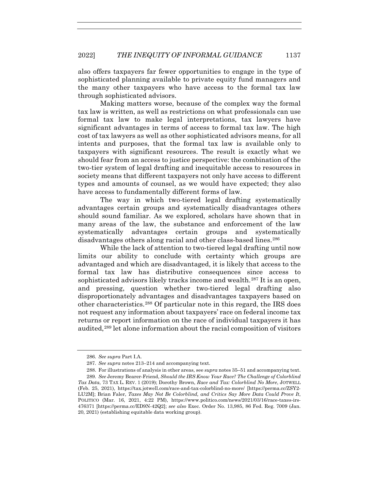also offers taxpayers far fewer opportunities to engage in the type of sophisticated planning available to private equity fund managers and the many other taxpayers who have access to the formal tax law through sophisticated advisors.

Making matters worse, because of the complex way the formal tax law is written, as well as restrictions on what professionals can use formal tax law to make legal interpretations, tax lawyers have significant advantages in terms of access to formal tax law. The high cost of tax lawyers as well as other sophisticated advisors means, for all intents and purposes, that the formal tax law is available only to taxpayers with significant resources. The result is exactly what we should fear from an access to justice perspective: the combination of the two-tier system of legal drafting and inequitable access to resources in society means that different taxpayers not only have access to different types and amounts of counsel, as we would have expected; they also have access to fundamentally different forms of law.

The way in which two-tiered legal drafting systematically advantages certain groups and systematically disadvantages others should sound familiar. As we explored, scholars have shown that in many areas of the law, the substance and enforcement of the law systematically advantages certain groups and systematically disadvantages others along racial and other class-based lines.286

While the lack of attention to two-tiered legal drafting until now limits our ability to conclude with certainty which groups are advantaged and which are disadvantaged, it is likely that access to the formal tax law has distributive consequences since access to sophisticated advisors likely tracks income and wealth.<sup>287</sup> It is an open, and pressing, question whether two-tiered legal drafting also disproportionately advantages and disadvantages taxpayers based on other characteristics.288 Of particular note in this regard, the IRS does not request any information about taxpayers' race on federal income tax returns or report information on the race of individual taxpayers it has audited,289 let alone information about the racial composition of visitors

<sup>286</sup>*. See supra* Part I.A.

<sup>287</sup>*. See supra* notes 213–214 and accompanying text.

 <sup>288.</sup> For illustrations of analysis in other areas, see *supra* notes 35–51 and accompanying text. 289*. See* Jeremy Bearer-Friend, *Should the IRS Know Your Race? The Challenge of Colorblind Tax Data*, 73 TAX L. REV. 1 (2019); Dorothy Brown, *Race and Tax: Colorblind No More*, JOTWELL (Feb. 25, 2021), https://tax.jotwell.com/race-and-tax-colorblind-no-more/ [https://perma.cc/ZSY2- LU2M]; Brian Faler, *Taxes May Not Be Colorblind, and Critics Say More Data Could Prove It*, POLITICO (Mar. 16, 2021, 4:22 PM), https://www.politico.com/news/2021/03/16/race-taxes-irs-476371 [https://perma.cc/ED9N-42Q2]; *see also* Exec. Order No. 13,985, 86 Fed. Reg. 7009 (Jan. 20, 2021) (establishing equitable data working group).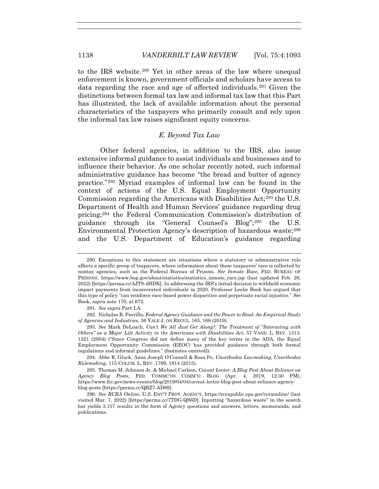to the IRS website.290 Yet in other areas of the law where unequal enforcement is known, government officials and scholars have access to data regarding the race and age of affected individuals.291 Given the distinctions between formal tax law and informal tax law that this Part has illustrated, the lack of available information about the personal characteristics of the taxpayers who primarily consult and rely upon the informal tax law raises significant equity concerns.

## *E. Beyond Tax Law*

Other federal agencies, in addition to the IRS, also issue extensive informal guidance to assist individuals and businesses and to influence their behavior. As one scholar recently noted, such informal administrative guidance has become "the bread and butter of agency practice."292 Myriad examples of informal law can be found in the context of actions of the U.S. Equal Employment Opportunity Commission regarding the Americans with Disabilities Act;<sup>293</sup> the U.S. Department of Health and Human Services' guidance regarding drug pricing;294 the Federal Communication Commission's distribution of guidance through its "General Counsel's Blog";295 the U.S. Environmental Protection Agency's description of hazardous waste;296 and the U.S. Department of Education's guidance regarding

 <sup>290.</sup> Exceptions to this statement are situations where a statutory or administrative rule affects a specific group of taxpayers, where information about these taxpayers' race is collected by nontax agencies, such as the Federal Bureau of Prisons. *See Inmate Race*, FED. BUREAU OF PRISONS, https://www.bop.gov/about/statistics/statistics\_inmate\_race.jsp (last updated Feb. 26, 2022) [https://perma.cc/AJT9-4HDK]. In addressing the IRS's initial decision to withhold economic impact payments from incarcerated individuals in 2020, Professor Leslie Book has argued that this type of policy "can reinforce race-based power disparities and perpetuate racial injustice." *See*  Book, *supra* note 170, at 672.

<sup>291</sup>*. See supra* Part I.A.

 <sup>292.</sup> Nicholas R. Parrillo, *Federal Agency Guidance and the Power to Bind: An Empirical Study of Agencies and Industries*, 36 YALE J. ON REGUL. 165, 168 (2019).

<sup>293</sup>*. See* Mark DeLoach, *Can't We All Just Get Along?: The Treatment of "Interacting with Others" as a Major Life Activity in the Americans with Disabilities Act*, 57 VAND. L. REV. 1313, 1321 (2004) ("Since Congress did not define many of the key terms in the ADA, the Equal Employment Opportunity Commission (EEOC) has provided guidance through both formal regulations and informal guidelines." (footnotes omitted)).

 <sup>294.</sup> Abbe R. Gluck, Anne Joseph O'Connell & Rosa Po, *Unorthodox Lawmaking, Unorthodox Rulemaking*, 115 COLUM. L. REV. 1789, 1814 (2015).

 <sup>295.</sup> Thomas M. Johnson Jr. & Michael Carlson, *Caveat Lector: A Blog Post About Reliance on Agency Blog Posts*, FED. COMMC'NS COMM'N: BLOG (Apr. 4, 2019, 12:30 PM), https://www.fcc.gov/news-events/blog/2019/04/04/caveat-lector-blog-post-about-reliance-agencyblog-posts [https://perma.cc/QRZ7-AD69].

<sup>296</sup>*. See RCRA Online*, U.S. ENV'T PROT. AGENCY, https://rcrapublic.epa.gov/rcraonline/ (last visited Mar. 7, 2022) [https://perma.cc/7TDG-QS6D]. Inputting "hazardous waste" in the search bar yields 3,157 results in the form of Agency questions and answers, letters, memoranda, and publications.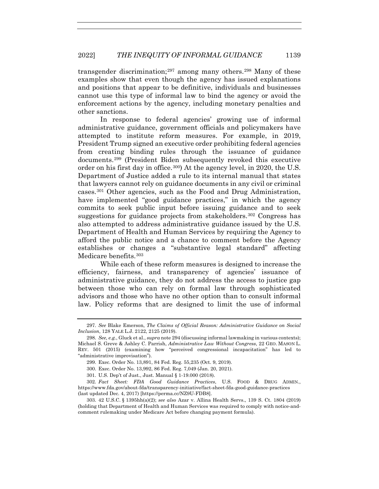transgender discrimination;<sup>297</sup> among many others.<sup>298</sup> Many of these examples show that even though the agency has issued explanations and positions that appear to be definitive, individuals and businesses cannot use this type of informal law to bind the agency or avoid the enforcement actions by the agency, including monetary penalties and other sanctions.

In response to federal agencies' growing use of informal administrative guidance, government officials and policymakers have attempted to institute reform measures. For example, in 2019, President Trump signed an executive order prohibiting federal agencies from creating binding rules through the issuance of guidance documents.299 (President Biden subsequently revoked this executive order on his first day in office.300) At the agency level, in 2020, the U.S. Department of Justice added a rule to its internal manual that states that lawyers cannot rely on guidance documents in any civil or criminal cases.301 Other agencies, such as the Food and Drug Administration, have implemented "good guidance practices," in which the agency commits to seek public input before issuing guidance and to seek suggestions for guidance projects from stakeholders.<sup>302</sup> Congress has also attempted to address administrative guidance issued by the U.S. Department of Health and Human Services by requiring the Agency to afford the public notice and a chance to comment before the Agency establishes or changes a "substantive legal standard" affecting Medicare benefits.<sup>303</sup>

While each of these reform measures is designed to increase the efficiency, fairness, and transparency of agencies' issuance of administrative guidance, they do not address the access to justice gap between those who can rely on formal law through sophisticated advisors and those who have no other option than to consult informal law. Policy reforms that are designed to limit the use of informal

<sup>297</sup>*. See* Blake Emerson, *The Claims of Official Reason: Administrative Guidance on Social Inclusion*, 128 YALE L.J. 2122, 2125 (2019).

<sup>298</sup>*. See, e.g.*, Gluck et al., *supra* note 294 (discussing informal lawmaking in various contexts); Michael S. Greve & Ashley C. Parrish, *Administrative Law Without Congress*, 22 GEO. MASON L. REV. 501 (2015) (examining how "perceived congressional incapacitation" has led to "administrative improvisation").

 <sup>299.</sup> Exec. Order No. 13,891, 84 Fed. Reg. 55,235 (Oct. 9, 2019).

 <sup>300.</sup> Exec. Order No. 13,992, 86 Fed. Reg. 7,049 (Jan. 20, 2021).

 <sup>301.</sup> U.S. Dep't of Just., Just. Manual § 1-19.000 (2018).

<sup>302</sup>*. Fact Sheet: FDA Good Guidance Practices*, U.S. FOOD & DRUG ADMIN., https://www.fda.gov/about-fda/transparency-initiative/fact-sheet-fda-good-guidance-practices (last updated Dec. 4, 2017) [https://perma.cc/NZ9U-FDB8].

 <sup>303. 42</sup> U.S.C. § 1395hh(a)(2); *see also* Azar v. Allina Health Servs., 139 S. Ct. 1804 (2019) (holding that Department of Health and Human Services was required to comply with notice-andcomment rulemaking under Medicare Act before changing payment formula).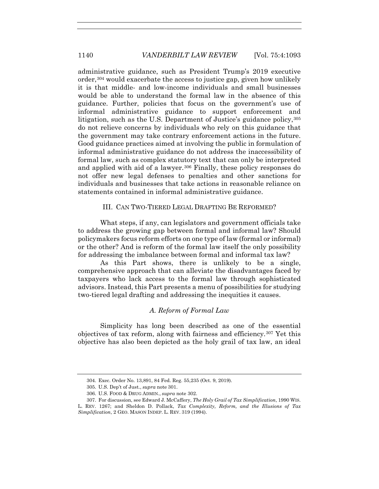administrative guidance, such as President Trump's 2019 executive order,  $304$  would exacerbate the access to justice gap, given how unlikely it is that middle- and low-income individuals and small businesses would be able to understand the formal law in the absence of this guidance. Further, policies that focus on the government's use of informal administrative guidance to support enforcement and litigation, such as the U.S. Department of Justice's guidance policy, 305 do not relieve concerns by individuals who rely on this guidance that the government may take contrary enforcement actions in the future. Good guidance practices aimed at involving the public in formulation of informal administrative guidance do not address the inaccessibility of formal law, such as complex statutory text that can only be interpreted and applied with aid of a lawyer.<sup>306</sup> Finally, these policy responses do not offer new legal defenses to penalties and other sanctions for individuals and businesses that take actions in reasonable reliance on statements contained in informal administrative guidance.

## III. CAN TWO-TIERED LEGAL DRAFTING BE REFORMED?

What steps, if any, can legislators and government officials take to address the growing gap between formal and informal law? Should policymakers focus reform efforts on one type of law (formal or informal) or the other? And is reform of the formal law itself the only possibility for addressing the imbalance between formal and informal tax law?

As this Part shows, there is unlikely to be a single, comprehensive approach that can alleviate the disadvantages faced by taxpayers who lack access to the formal law through sophisticated advisors. Instead, this Part presents a menu of possibilities for studying two-tiered legal drafting and addressing the inequities it causes.

## *A. Reform of Formal Law*

Simplicity has long been described as one of the essential objectives of tax reform, along with fairness and efficiency.<sup>307</sup> Yet this objective has also been depicted as the holy grail of tax law, an ideal

 <sup>304.</sup> Exec. Order No. 13,891, 84 Fed. Reg. 55,235 (Oct. 9, 2019).

 <sup>305.</sup> U.S. Dep't of Just., *supra* note 301.

 <sup>306.</sup> U.S. FOOD & DRUG ADMIN., *supra* note 302.

 <sup>307.</sup> For discussion, see Edward J. McCaffery, *The Holy Grail of Tax Simplification*, 1990 WIS. L. REV. 1267; and Sheldon D. Pollack, *Tax Complexity, Reform, and the Illusions of Tax Simplification*, 2 GEO. MASON INDEP. L. REV. 319 (1994).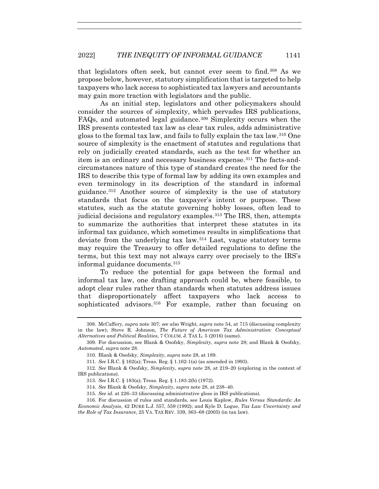that legislators often seek, but cannot ever seem to find.308 As we propose below, however, statutory simplification that is targeted to help taxpayers who lack access to sophisticated tax lawyers and accountants may gain more traction with legislators and the public.

As an initial step, legislators and other policymakers should consider the sources of simplexity, which pervades IRS publications, FAQs, and automated legal guidance.<sup>309</sup> Simplexity occurs when the IRS presents contested tax law as clear tax rules, adds administrative gloss to the formal tax law, and fails to fully explain the tax law.310 One source of simplexity is the enactment of statutes and regulations that rely on judicially created standards, such as the test for whether an item is an ordinary and necessary business expense.<sup>311</sup> The facts-andcircumstances nature of this type of standard creates the need for the IRS to describe this type of formal law by adding its own examples and even terminology in its description of the standard in informal guidance.312 Another source of simplexity is the use of statutory standards that focus on the taxpayer's intent or purpose. These statutes, such as the statute governing hobby losses, often lead to judicial decisions and regulatory examples.313 The IRS, then, attempts to summarize the authorities that interpret these statutes in its informal tax guidance, which sometimes results in simplifications that deviate from the underlying tax law.314 Last, vague statutory terms may require the Treasury to offer detailed regulations to define the terms, but this text may not always carry over precisely to the IRS's informal guidance documents.315

To reduce the potential for gaps between the formal and informal tax law, one drafting approach could be, where feasible, to adopt clear rules rather than standards when statutes address issues that disproportionately affect taxpayers who lack access to sophisticated advisors.<sup>316</sup> For example, rather than focusing on

 <sup>308.</sup> McCaffery, *supra* note 307; *see also* Wright, *supra* note 54, at 715 (discussing complexity in the law); Steve R. Johnson, *The Future of American Tax Administration: Conceptual Alternatives and Political Realities*, 7 COLUM. J. TAX L. 5 (2016) (same).

 <sup>309.</sup> For discussion, see Blank & Osofsky, *Simplexity*, *supra* note 28; and Blank & Osofsky, *Automated*, *supra* note 28.

<sup>310</sup>*.* Blank & Osofsky, *Simplexity*, *supra* note 28, at 189.

<sup>311</sup>*. See* I.R.C. § 162(a); Treas. Reg. § 1.162-1(a) (as amended in 1993).

<sup>312</sup>*. See* Blank & Osofsky, *Simplexity*, *supra* note 28, at 219–20 (exploring in the context of IRS publications).

<sup>313</sup>*. See* I.R.C. § 183(a); Treas. Reg. § 1.183-2(b) (1972).

<sup>314</sup>*. See* Blank & Osofsky, *Simplexity*, *supra* note 28, at 238–40.

<sup>315</sup>*. See id.* at 226–33 (discussing administrative gloss in IRS publications).

 <sup>316.</sup> For discussion of rules and standards, see Louis Kaplow, *Rules Versus Standards: An Economic Analysis*, 42 DUKE L.J. 557, 559 (1992); and Kyle D. Logue, *Tax Law Uncertainty and the Role of Tax Insurance*, 25 VA. TAX REV. 339, 363–68 (2005) (in tax law).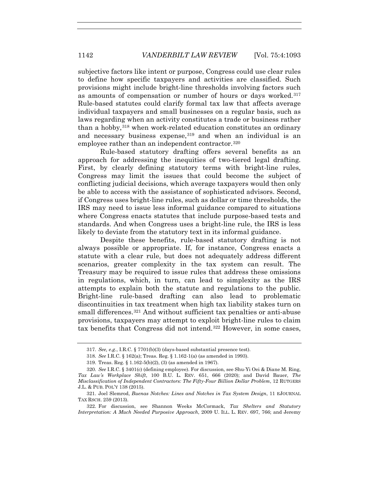subjective factors like intent or purpose, Congress could use clear rules to define how specific taxpayers and activities are classified. Such provisions might include bright-line thresholds involving factors such as amounts of compensation or number of hours or days worked.317 Rule-based statutes could clarify formal tax law that affects average individual taxpayers and small businesses on a regular basis, such as laws regarding when an activity constitutes a trade or business rather than a hobby,<sup>318</sup> when work-related education constitutes an ordinary and necessary business expense,<sup>319</sup> and when an individual is an employee rather than an independent contractor.<sup>320</sup>

Rule-based statutory drafting offers several benefits as an approach for addressing the inequities of two-tiered legal drafting. First, by clearly defining statutory terms with bright-line rules, Congress may limit the issues that could become the subject of conflicting judicial decisions, which average taxpayers would then only be able to access with the assistance of sophisticated advisors. Second, if Congress uses bright-line rules, such as dollar or time thresholds, the IRS may need to issue less informal guidance compared to situations where Congress enacts statutes that include purpose-based tests and standards. And when Congress uses a bright-line rule, the IRS is less likely to deviate from the statutory text in its informal guidance.

Despite these benefits, rule-based statutory drafting is not always possible or appropriate. If, for instance, Congress enacts a statute with a clear rule, but does not adequately address different scenarios, greater complexity in the tax system can result. The Treasury may be required to issue rules that address these omissions in regulations, which, in turn, can lead to simplexity as the IRS attempts to explain both the statute and regulations to the public. Bright-line rule-based drafting can also lead to problematic discontinuities in tax treatment when high tax liability stakes turn on small differences.<sup>321</sup> And without sufficient tax penalties or anti-abuse provisions, taxpayers may attempt to exploit bright-line rules to claim tax benefits that Congress did not intend.322 However, in some cases,

<sup>317</sup>*. See, e.g.*, I.R.C. § 7701(b)(3) (days-based substantial presence test).

<sup>318</sup>*. See* I.R.C. § 162(a); Treas. Reg. § 1.162-1(a) (as amended in 1993).

 <sup>319.</sup> Treas. Reg. § 1.162-5(b)(2), (3) (as amended in 1967).

<sup>320</sup>*. See* I.R.C. § 3401(c) (defining employee). For discussion, see Shu-Yi Oei & Diane M. Ring, *Tax Law's Workplace Shift*, 100 B.U. L. REV. 651, 666 (2020); and David Bauer, *The Misclassification of Independent Contractors: The Fifty-Four Billion Dollar Problem*, 12 RUTGERS J.L. & PUB. POL'Y 138 (2015).

 <sup>321.</sup> Joel Slemrod, *Buenas Notches: Lines and Notches in Tax System Design*, 11 EJOURNAL TAX RSCH. 259 (2013).

 <sup>322.</sup> For discussion, see Shannon Weeks McCormack, *Tax Shelters and Statutory Interpretation: A Much Needed Purposive Approach*, 2009 U. ILL. L. REV. 697, 766; and Jeremy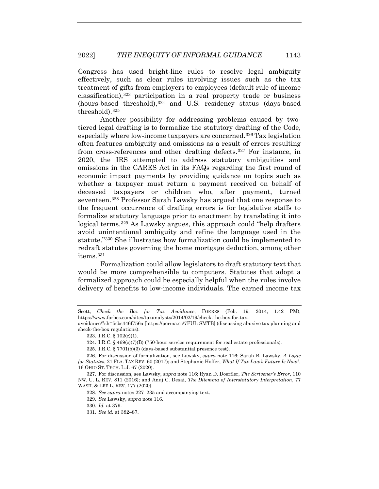Congress has used bright-line rules to resolve legal ambiguity effectively, such as clear rules involving issues such as the tax treatment of gifts from employers to employees (default rule of income classification), $323$  participation in a real property trade or business (hours-based threshold),324 and U.S. residency status (days-based threshold).325

Another possibility for addressing problems caused by twotiered legal drafting is to formalize the statutory drafting of the Code, especially where low-income taxpayers are concerned.326 Tax legislation often features ambiguity and omissions as a result of errors resulting from cross-references and other drafting defects.327 For instance, in 2020, the IRS attempted to address statutory ambiguities and omissions in the CARES Act in its FAQs regarding the first round of economic impact payments by providing guidance on topics such as whether a taxpayer must return a payment received on behalf of deceased taxpayers or children who, after payment, turned seventeen.328 Professor Sarah Lawsky has argued that one response to the frequent occurrence of drafting errors is for legislative staffs to formalize statutory language prior to enactment by translating it into logical terms.329 As Lawsky argues, this approach could "help drafters avoid unintentional ambiguity and refine the language used in the statute."330 She illustrates how formalization could be implemented to redraft statutes governing the home mortgage deduction, among other items.331

Formalization could allow legislators to draft statutory text that would be more comprehensible to computers. Statutes that adopt a formalized approach could be especially helpful when the rules involve delivery of benefits to low-income individuals. The earned income tax

Scott, *Check the Box for Tax Avoidance*, FORBES (Feb. 19, 2014, 1:42 PM), https://www.forbes.com/sites/taxanalysts/2014/02/19/check-the-box-for-tax-

avoidance/?sh=5cbc446f756a [https://perma.cc/7FUL-SMTB] (discussing abusive tax planning and check-the-box regulations).

 <sup>323.</sup> I.R.C. § 102(c)(1).

 <sup>324.</sup> I.R.C. § 469(c)(7)(B) (750-hour service requirement for real estate professionals).

 <sup>325.</sup> I.R.C. § 7701(b)(3) (days-based substantial presence test).

 <sup>326.</sup> For discussion of formalization, see Lawsky, *supra* note 116; Sarah B. Lawsky, *A Logic for Statutes*, 21 FLA. TAX REV. 60 (2017); and Stephanie Hoffer, *What If Tax Law's Future Is Now?*, 16 OHIO ST. TECH. L.J. 67 (2020).

 <sup>327.</sup> For discussion, see Lawsky, *supra* note 116; Ryan D. Doerfler, *The Scrivener's Error*, 110 NW. U. L. REV. 811 (2016); and Anuj C. Desai, *The Dilemma of Interstatutory Interpretation*, 77 WASH. & LEE L. REV. 177 (2020).

<sup>328</sup>*. See supra* notes 227–235 and accompanying text.

<sup>329</sup>*. See* Lawsky, *supra* note 116.

<sup>330</sup>*. Id.* at 379.

<sup>331</sup>*. See id.* at 382–87.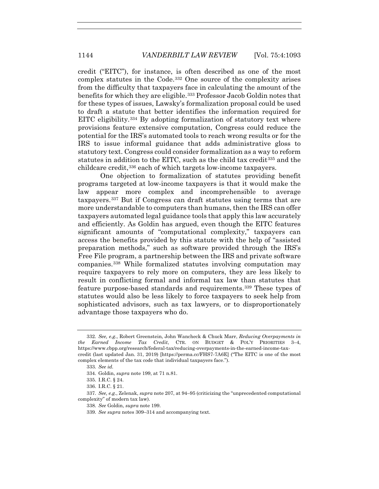credit ("EITC"), for instance, is often described as one of the most complex statutes in the Code.332 One source of the complexity arises from the difficulty that taxpayers face in calculating the amount of the benefits for which they are eligible.<sup>333</sup> Professor Jacob Goldin notes that for these types of issues, Lawsky's formalization proposal could be used to draft a statute that better identifies the information required for EITC eligibility.<sup>334</sup> By adopting formalization of statutory text where provisions feature extensive computation, Congress could reduce the potential for the IRS's automated tools to reach wrong results or for the IRS to issue informal guidance that adds administrative gloss to statutory text. Congress could consider formalization as a way to reform statutes in addition to the EITC, such as the child tax credit335 and the childcare credit,336 each of which targets low-income taxpayers.

One objection to formalization of statutes providing benefit programs targeted at low-income taxpayers is that it would make the law appear more complex and incomprehensible to average taxpayers.337 But if Congress can draft statutes using terms that are more understandable to computers than humans, then the IRS can offer taxpayers automated legal guidance tools that apply this law accurately and efficiently. As Goldin has argued, even though the EITC features significant amounts of "computational complexity," taxpayers can access the benefits provided by this statute with the help of "assisted preparation methods," such as software provided through the IRS's Free File program, a partnership between the IRS and private software companies.338 While formalized statutes involving computation may require taxpayers to rely more on computers, they are less likely to result in conflicting formal and informal tax law than statutes that feature purpose-based standards and requirements.339 These types of statutes would also be less likely to force taxpayers to seek help from sophisticated advisors, such as tax lawyers, or to disproportionately advantage those taxpayers who do.

<sup>332</sup>*. See, e.g.*, Robert Greenstein, John Wancheck & Chuck Marr, *Reducing Overpayments in the Earned Income Tax Credit*, CTR. ON BUDGET & POL'Y PRIORITIES 3–4, https://www.cbpp.org/research/federal-tax/reducing-overpayments-in-the-earned-income-taxcredit (last updated Jan. 31, 2019) [https://perma.cc/FHS7-7A6E] ("The EITC is one of the most complex elements of the tax code that individual taxpayers face.").

<sup>333</sup>*. See id.*

 <sup>334.</sup> Goldin, *supra* note 199, at 71 n.81.

 <sup>335.</sup> I.R.C. § 24.

 <sup>336.</sup> I.R.C. § 21.

<sup>337</sup>*. See, e.g.*, Zelenak, *supra* note 207, at 94–95 (criticizing the "unprecedented computational complexity" of modern tax law).

<sup>338</sup>*. See* Goldin, *supra* note 199.

<sup>339</sup>*. See supra* notes 309–314 and accompanying text.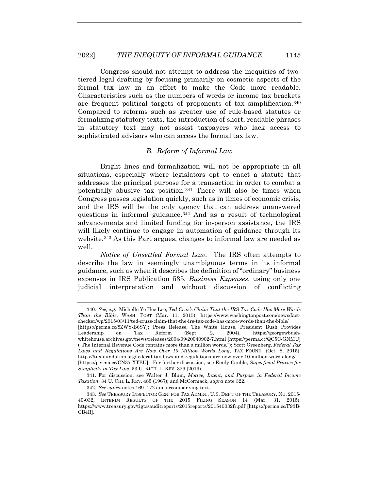Congress should not attempt to address the inequities of twotiered legal drafting by focusing primarily on cosmetic aspects of the formal tax law in an effort to make the Code more readable. Characteristics such as the numbers of words or income tax brackets are frequent political targets of proponents of tax simplification.340 Compared to reforms such as greater use of rule-based statutes or formalizing statutory texts, the introduction of short, readable phrases in statutory text may not assist taxpayers who lack access to sophisticated advisors who can access the formal tax law.

## *B. Reform of Informal Law*

Bright lines and formalization will not be appropriate in all situations, especially where legislators opt to enact a statute that addresses the principal purpose for a transaction in order to combat a potentially abusive tax position.341 There will also be times when Congress passes legislation quickly, such as in times of economic crisis, and the IRS will be the only agency that can address unanswered questions in informal guidance.342 And as a result of technological advancements and limited funding for in-person assistance, the IRS will likely continue to engage in automation of guidance through its website.343 As this Part argues, changes to informal law are needed as well.

*Notice of Unsettled Formal Law.* The IRS often attempts to describe the law in seemingly unambiguous terms in its informal guidance, such as when it describes the definition of "ordinary" business expenses in IRS Publication 535, *Business Expenses*, using only one judicial interpretation and without discussion of conflicting

<sup>340</sup>*. See, e.g.*, Michelle Ye Hee Lee, *Ted Cruz's Claim That the IRS Tax Code Has More Words Than the Bible*, WASH. POST (Mar. 11, 2015), https://www.washingtonpost.com/news/factchecker/wp/2015/03/11/ted-cruzs-claim-that-the-irs-tax-code-has-more-words-than-the-bible/ [https://perma.cc/8ZWY-B6SY]; Press Release, The White House, President Bush Provides Leadership on Tax Reform (Sept. 2, 2004), https://georgewbushwhitehouse.archives.gov/news/releases/2004/09/20040902-7.html [https://perma.cc/QC5C-GNMU] ("The Internal Revenue Code contains more than a million words."); Scott Greenberg, *Federal Tax Laws and Regulations Are Now Over 10 Million Words Long*, TAX FOUND. (Oct. 8, 2015), https://taxfoundation.org/federal-tax-laws-and-regulations-are-now-over-10-million-words-long/ [https://perma.cc/CN37-XTBU]. For further discussion, see Emily Cauble, *Superficial Proxies for Simplicity in Tax Law*, 53 U. RICH. L. REV. 329 (2019).

 <sup>341.</sup> For discussion, see Walter J. Blum, *Motive, Intent, and Purpose in Federal Income Taxation*, 34 U. CHI. L. REV. 485 (1967); and McCormack, *supra* note 322.

 <sup>342.</sup> *See supra* notes 169–172 and accompanying text.

<sup>343</sup>*. See* TREASURY INSPECTOR GEN. FOR TAX ADMIN., U.S. DEP'T OF THE TREASURY, NO. 2015- 40-032, INTERIM RESULTS OF THE 2015 FILING SEASON 14 (Mar. 31, 2015), https://www.treasury.gov/tigta/auditreports/2015reports/201540032fr.pdf [https://perma.cc/F93B-CB4R].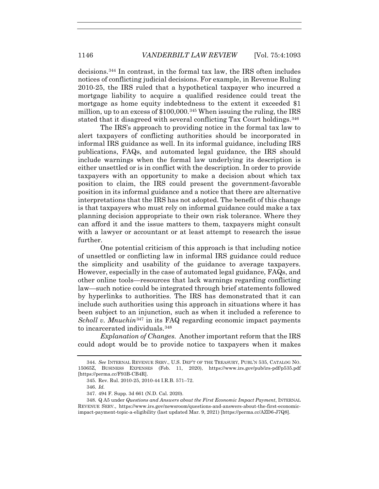decisions.344 In contrast, in the formal tax law, the IRS often includes notices of conflicting judicial decisions. For example, in Revenue Ruling 2010-25, the IRS ruled that a hypothetical taxpayer who incurred a mortgage liability to acquire a qualified residence could treat the mortgage as home equity indebtedness to the extent it exceeded \$1 million, up to an excess of \$100,000.345 When issuing the ruling, the IRS stated that it disagreed with several conflicting Tax Court holdings.346

The IRS's approach to providing notice in the formal tax law to alert taxpayers of conflicting authorities should be incorporated in informal IRS guidance as well. In its informal guidance, including IRS publications, FAQs, and automated legal guidance, the IRS should include warnings when the formal law underlying its description is either unsettled or is in conflict with the description. In order to provide taxpayers with an opportunity to make a decision about which tax position to claim, the IRS could present the government-favorable position in its informal guidance and a notice that there are alternative interpretations that the IRS has not adopted. The benefit of this change is that taxpayers who must rely on informal guidance could make a tax planning decision appropriate to their own risk tolerance. Where they can afford it and the issue matters to them, taxpayers might consult with a lawyer or accountant or at least attempt to research the issue further.

One potential criticism of this approach is that including notice of unsettled or conflicting law in informal IRS guidance could reduce the simplicity and usability of the guidance to average taxpayers. However, especially in the case of automated legal guidance, FAQs, and other online tools—resources that lack warnings regarding conflicting law—such notice could be integrated through brief statements followed by hyperlinks to authorities. The IRS has demonstrated that it can include such authorities using this approach in situations where it has been subject to an injunction, such as when it included a reference to *Scholl v. Mnuchin*<sup>347</sup> in its FAQ regarding economic impact payments to incarcerated individuals.348

*Explanation of Changes.* Another important reform that the IRS could adopt would be to provide notice to taxpayers when it makes

 <sup>344.</sup> *See* INTERNAL REVENUE SERV., U.S. DEP'T OF THE TREASURY, PUBL'N 535, CATALOG NO. 15065Z, BUSINESS EXPENSES (Feb. 11, 2020), https://www.irs.gov/pub/irs-pdf/p535.pdf [https://perma.cc/F93B-CB4R].

 <sup>345.</sup> Rev. Rul. 2010-25, 2010-44 I.R.B. 571–72.

 <sup>346.</sup> *Id.*

 <sup>347. 494</sup> F. Supp. 3d 661 (N.D. Cal. 2020).

<sup>348</sup>*.* Q A5 under *Questions and Answers about the First Economic Impact Payment*, INTERNAL REVENUE SERV., https://www.irs.gov/newsroom/questions-and-answers-about-the-first-economicimpact-payment-topic-a-eligibility (last updated Mar. 9, 2021) [https://perma.cc/AZD6-J7Q8].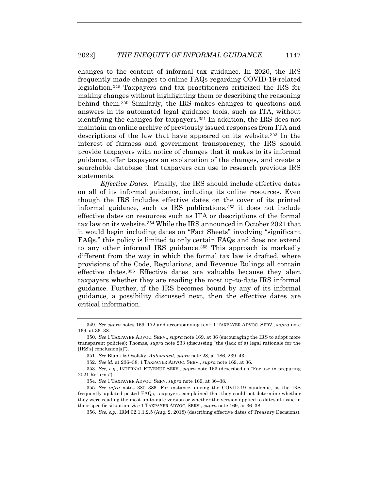changes to the content of informal tax guidance. In 2020, the IRS frequently made changes to online FAQs regarding COVID-19-related legislation.349 Taxpayers and tax practitioners criticized the IRS for making changes without highlighting them or describing the reasoning behind them.350 Similarly, the IRS makes changes to questions and answers in its automated legal guidance tools, such as ITA, without identifying the changes for taxpayers.351 In addition, the IRS does not maintain an online archive of previously issued responses from ITA and descriptions of the law that have appeared on its website.352 In the interest of fairness and government transparency, the IRS should provide taxpayers with notice of changes that it makes to its informal guidance, offer taxpayers an explanation of the changes, and create a searchable database that taxpayers can use to research previous IRS statements.

*Effective Dates.* Finally, the IRS should include effective dates on all of its informal guidance, including its online resources. Even though the IRS includes effective dates on the cover of its printed informal guidance, such as IRS publications,353 it does not include effective dates on resources such as ITA or descriptions of the formal tax law on its website.<sup>354</sup> While the IRS announced in October 2021 that it would begin including dates on "Fact Sheets" involving "significant FAQs," this policy is limited to only certain FAQs and does not extend to any other informal IRS guidance.355 This approach is markedly different from the way in which the formal tax law is drafted, where provisions of the Code, Regulations, and Revenue Rulings all contain effective dates.356 Effective dates are valuable because they alert taxpayers whether they are reading the most up-to-date IRS informal guidance. Further, if the IRS becomes bound by any of its informal guidance, a possibility discussed next, then the effective dates are critical information.

<sup>349</sup>*. See supra* notes 169–172 and accompanying text; 1 TAXPAYER ADVOC. SERV., *supra* note 169, at 36–38.

<sup>350</sup>*. See* 1 TAXPAYER ADVOC. SERV., *supra* note 169, at 36 (encouraging the IRS to adopt more transparent policies); Thomas, *supra* note 233 (discussing "the (lack of a) legal rationale for the [IRS's] conclusion[s]").

<sup>351</sup>*. See* Blank & Osofsky, *Automated*, *supra* note 28, at 186, 239–43.

<sup>352</sup>*. See id.* at 236–38; 1 TAXPAYER ADVOC. SERV., *supra* note 169, at 36.

<sup>353</sup>*. See, e.g.*, INTERNAL REVENUE SERV., *supra* note 163 (described as "For use in preparing 2021 Returns").

<sup>354</sup>*. See* 1 TAXPAYER ADVOC. SERV, *supra* note 169, at 36–38.

<sup>355</sup>*. See infra* notes 380–386. For instance, during the COVID-19 pandemic, as the IRS frequently updated posted FAQs, taxpayers complained that they could not determine whether they were reading the most up-to-date version or whether the version applied to dates at issue in their specific situation. *See* 1 TAXPAYER ADVOC. SERV., *supra* note 169, at 36–38.

<sup>356</sup>*. See, e.g.*, IRM 32.1.1.2.5 (Aug. 2, 2018) (describing effective dates of Treasury Decisions).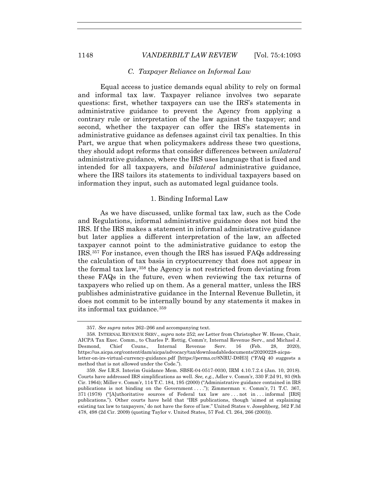#### *C. Taxpayer Reliance on Informal Law*

Equal access to justice demands equal ability to rely on formal and informal tax law. Taxpayer reliance involves two separate questions: first, whether taxpayers can use the IRS's statements in administrative guidance to prevent the Agency from applying a contrary rule or interpretation of the law against the taxpayer; and second, whether the taxpayer can offer the IRS's statements in administrative guidance as defenses against civil tax penalties. In this Part, we argue that when policymakers address these two questions, they should adopt reforms that consider differences between *unilateral* administrative guidance, where the IRS uses language that is fixed and intended for all taxpayers, and *bilateral* administrative guidance, where the IRS tailors its statements to individual taxpayers based on information they input, such as automated legal guidance tools.

## 1. Binding Informal Law

As we have discussed, unlike formal tax law, such as the Code and Regulations, informal administrative guidance does not bind the IRS. If the IRS makes a statement in informal administrative guidance but later applies a different interpretation of the law, an affected taxpayer cannot point to the administrative guidance to estop the IRS.357 For instance, even though the IRS has issued FAQs addressing the calculation of tax basis in cryptocurrency that does not appear in the formal tax law,358 the Agency is not restricted from deviating from these FAQs in the future, even when reviewing the tax returns of taxpayers who relied up on them. As a general matter, unless the IRS publishes administrative guidance in the Internal Revenue Bulletin, it does not commit to be internally bound by any statements it makes in its informal tax guidance.359

<sup>357</sup>*. See supra* notes 262–266 and accompanying text.

<sup>358</sup>*.* INTERNAL REVENUE SERV., *supra* note 252; *see* Letter from Christopher W. Hesse, Chair, AICPA Tax Exec. Comm., to Charles P. Rettig, Comm'r, Internal Revenue Serv., and Michael J. Desmond, Chief Couns., Internal Revenue Serv. 16 (Feb. 28, 2020), https://us.aicpa.org/content/dam/aicpa/advocacy/tax/downloadabledocuments/20200228-aicpaletter-on-irs-virtual-currency-guidance.pdf [https://perma.cc/8NRU-D8H3] ("FAQ 40 suggests a method that is not allowed under the Code.").

<sup>359</sup>*. See* I.R.S. Interim Guidance Mem. SBSE-04-0517-0030, IRM 4.10.7.2.4 (Jan. 10, 2018). Courts have addressed IRS simplifications as well. *See, e.g.*, Adler v. Comm'r, 330 F.2d 91, 93 (9th Cir. 1964); Miller v. Comm'r, 114 T.C. 184, 195 (2000) ("Administrative guidance contained in IRS publications is not binding on the Government . . . ."); Zimmerman v. Comm'r, 71 T.C. 367, 371 (1978) ("[A]uthoritative sources of Federal tax law are . . . not in . . . informal [IRS] publications."). Other courts have held that "IRS publications, though 'aimed at explaining existing tax law to taxpayers,' do not have the force of law." United States v. Josephberg, 562 F.3d 478, 498 (2d Cir. 2009) (quoting Taylor v. United States, 57 Fed. Cl. 264, 266 (2003)).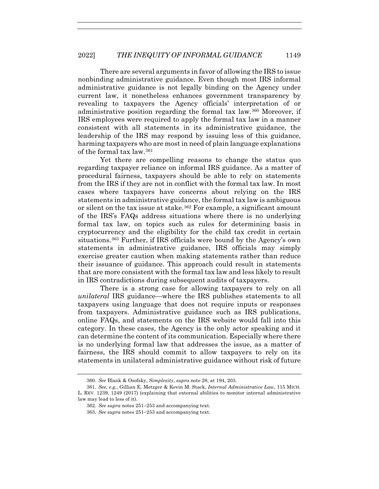There are several arguments in favor of allowing the IRS to issue nonbinding administrative guidance. Even though most IRS informal administrative guidance is not legally binding on the Agency under current law, it nonetheless enhances government transparency by revealing to taxpayers the Agency officials' interpretation of or administrative position regarding the formal tax law.360 Moreover, if IRS employees were required to apply the formal tax law in a manner consistent with all statements in its administrative guidance, the leadership of the IRS may respond by issuing less of this guidance, harming taxpayers who are most in need of plain language explanations of the formal tax law.361

Yet there are compelling reasons to change the status quo regarding taxpayer reliance on informal IRS guidance. As a matter of procedural fairness, taxpayers should be able to rely on statements from the IRS if they are not in conflict with the formal tax law. In most cases where taxpayers have concerns about relying on the IRS statements in administrative guidance, the formal tax law is ambiguous or silent on the tax issue at stake.<sup>362</sup> For example, a significant amount of the IRS's FAQs address situations where there is no underlying formal tax law, on topics such as rules for determining basis in cryptocurrency and the eligibility for the child tax credit in certain situations.363 Further, if IRS officials were bound by the Agency's own statements in administrative guidance, IRS officials may simply exercise greater caution when making statements rather than reduce their issuance of guidance. This approach could result in statements that are more consistent with the formal tax law and less likely to result in IRS contradictions during subsequent audits of taxpayers.

There is a strong case for allowing taxpayers to rely on all *unilateral* IRS guidance—where the IRS publishes statements to all taxpayers using language that does not require inputs or responses from taxpayers. Administrative guidance such as IRS publications, online FAQs, and statements on the IRS website would fall into this category. In these cases, the Agency is the only actor speaking and it can determine the content of its communication. Especially where there is no underlying formal law that addresses the issue, as a matter of fairness, the IRS should commit to allow taxpayers to rely on its statements in unilateral administrative guidance without risk of future

<sup>360</sup>*. See* Blank & Osofsky, *Simplexity*, *supra* note 28, at 194, 203.

<sup>361</sup>*. See, e.g.*, Gillian E. Metzger & Kevin M. Stack, *Internal Administrative Law*, 115 MICH. L. REV. 1239, 1249 (2017) (explaining that external abilities to monitor internal administrative law may lead to less of it).

<sup>362</sup>*. See supra* notes 251–253 and accompanying text.

<sup>363</sup>*. See supra* notes 251–253 and accompanying text.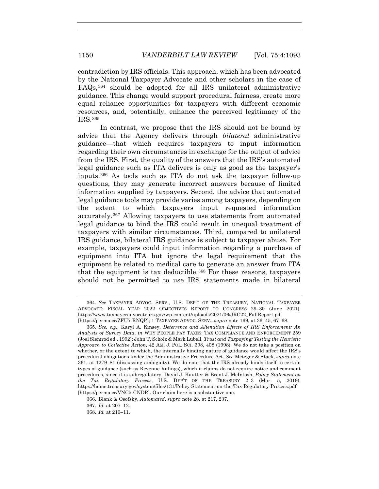contradiction by IRS officials. This approach, which has been advocated by the National Taxpayer Advocate and other scholars in the case of FAQs,364 should be adopted for all IRS unilateral administrative guidance. This change would support procedural fairness, create more equal reliance opportunities for taxpayers with different economic resources, and, potentially, enhance the perceived legitimacy of the IRS.365

In contrast, we propose that the IRS should not be bound by advice that the Agency delivers through *bilateral* administrative guidance—that which requires taxpayers to input information regarding their own circumstances in exchange for the output of advice from the IRS. First, the quality of the answers that the IRS's automated legal guidance such as ITA delivers is only as good as the taxpayer's inputs.366 As tools such as ITA do not ask the taxpayer follow-up questions, they may generate incorrect answers because of limited information supplied by taxpayers. Second, the advice that automated legal guidance tools may provide varies among taxpayers, depending on the extent to which taxpayers input requested information accurately.367 Allowing taxpayers to use statements from automated legal guidance to bind the IRS could result in unequal treatment of taxpayers with similar circumstances. Third, compared to unilateral IRS guidance, bilateral IRS guidance is subject to taxpayer abuse. For example, taxpayers could input information regarding a purchase of equipment into ITA but ignore the legal requirement that the equipment be related to medical care to generate an answer from ITA that the equipment is tax deductible.<sup>368</sup> For these reasons, taxpayers should not be permitted to use IRS statements made in bilateral

<sup>364</sup>*. See* TAXPAYER ADVOC. SERV., U.S. DEP'T OF THE TREASURY, NATIONAL TAXPAYER ADVOCATE: FISCAL YEAR 2022 OBJECTIVES REPORT TO CONGRESS 29–30 (June 2021), https://www.taxpayeradvocate.irs.gov/wp-content/uploads/2021/06/JRC22\_FullReport.pdf [https://perma.cc/ZFU7-RNQP]; 1 TAXPAYER ADVOC. SERV., *supra* note 169, at 36, 45, 67–68.

<sup>365</sup>*. See, e.g.*, Karyl A. Kinsey, *Deterrence and Alienation Effects of IRS Enforcement: An Analysis of Survey Data*, *in* WHY PEOPLE PAY TAXES: TAX COMPLIANCE AND ENFORCEMENT 259 (Joel Slemrod ed., 1992); John T. Scholz & Mark Lubell, *Trust and Taxpaying: Testing the Heuristic Approach to Collective Action*, 42 AM. J. POL. SCI. 398, 408 (1998). We do not take a position on whether, or the extent to which, the internally binding nature of guidance would affect the IRS's procedural obligations under the Administrative Procedure Act. *See* Metzger & Stack, *supra* note 361, at 1279–81 (discussing ambiguity). We do note that the IRS already binds itself to certain types of guidance (such as Revenue Rulings), which it claims do not require notice and comment procedures, since it is subregulatory. David J. Kautter & Brent J. McIntosh, *Policy Statement on the Tax Regulatory Process*, U.S. DEP'T OF THE TREASURY 2–3 (Mar. 5, 2019), https://home.treasury.gov/system/files/131/Policy-Statement-on-the-Tax-Regulatory-Process.pdf [https://perma.cc/VNC5-CNDR]. Our claim here is a substantive one.

 <sup>366.</sup> Blank & Osofsky, *Automated*, *supra* note 28, at 217, 237.

 <sup>367.</sup> *Id.* at 207–12.

 <sup>368.</sup> *Id.* at 210–11.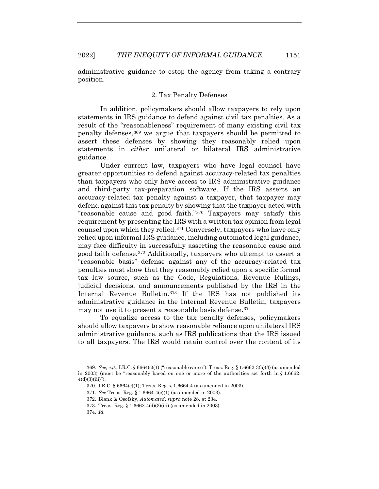administrative guidance to estop the agency from taking a contrary position.

## 2. Tax Penalty Defenses

In addition, policymakers should allow taxpayers to rely upon statements in IRS guidance to defend against civil tax penalties. As a result of the "reasonableness" requirement of many existing civil tax penalty defenses,369 we argue that taxpayers should be permitted to assert these defenses by showing they reasonably relied upon statements in *either* unilateral or bilateral IRS administrative guidance.

Under current law, taxpayers who have legal counsel have greater opportunities to defend against accuracy-related tax penalties than taxpayers who only have access to IRS administrative guidance and third-party tax-preparation software. If the IRS asserts an accuracy-related tax penalty against a taxpayer, that taxpayer may defend against this tax penalty by showing that the taxpayer acted with "reasonable cause and good faith."370 Taxpayers may satisfy this requirement by presenting the IRS with a written tax opinion from legal counsel upon which they relied.371 Conversely, taxpayers who have only relied upon informal IRS guidance, including automated legal guidance, may face difficulty in successfully asserting the reasonable cause and good faith defense.372 Additionally, taxpayers who attempt to assert a "reasonable basis" defense against any of the accuracy-related tax penalties must show that they reasonably relied upon a specific formal tax law source, such as the Code, Regulations, Revenue Rulings, judicial decisions, and announcements published by the IRS in the Internal Revenue Bulletin.<sup>373</sup> If the IRS has not published its administrative guidance in the Internal Revenue Bulletin, taxpayers may not use it to present a reasonable basis defense.374

To equalize access to the tax penalty defenses, policymakers should allow taxpayers to show reasonable reliance upon unilateral IRS administrative guidance, such as IRS publications that the IRS issued to all taxpayers. The IRS would retain control over the content of its

<sup>369</sup>*. See, e.g.*, I.R.C. § 6664(c)(1) ("reasonable cause"); Treas. Reg. § 1.6662-3(b)(3) (as amended in 2003) (must be "reasonably based on one or more of the authorities set forth in  $\S 1.6662$ - $4(d)(3)(iii)$ ").

 <sup>370.</sup> I.R.C. § 6664(c)(1); Treas. Reg. § 1.6664-4 (as amended in 2003).

<sup>371</sup>*. See* Treas. Reg. § 1.6664-4(c)(1) (as amended in 2003).

<sup>372</sup>*.* Blank & Osofsky, *Automated*, *supra* note 28, at 234.

 <sup>373.</sup> Treas. Reg. § 1.6662-4(d)(3)(iii) (as amended in 2003).

<sup>374</sup>*. Id.*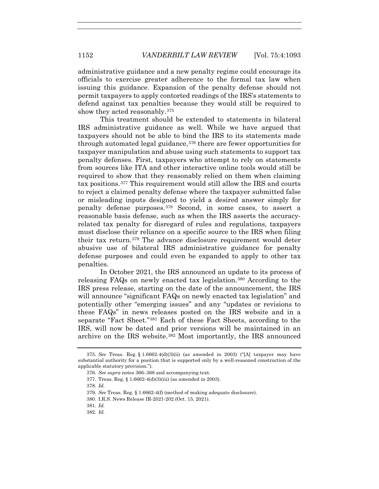administrative guidance and a new penalty regime could encourage its officials to exercise greater adherence to the formal tax law when issuing this guidance. Expansion of the penalty defense should not permit taxpayers to apply contorted readings of the IRS's statements to defend against tax penalties because they would still be required to show they acted reasonably.375

This treatment should be extended to statements in bilateral IRS administrative guidance as well. While we have argued that taxpayers should not be able to bind the IRS to its statements made through automated legal guidance,376 there are fewer opportunities for taxpayer manipulation and abuse using such statements to support tax penalty defenses. First, taxpayers who attempt to rely on statements from sources like ITA and other interactive online tools would still be required to show that they reasonably relied on them when claiming tax positions.377 This requirement would still allow the IRS and courts to reject a claimed penalty defense where the taxpayer submitted false or misleading inputs designed to yield a desired answer simply for penalty defense purposes.378 Second, in some cases, to assert a reasonable basis defense, such as when the IRS asserts the accuracyrelated tax penalty for disregard of rules and regulations, taxpayers must disclose their reliance on a specific source to the IRS when filing their tax return.379 The advance disclosure requirement would deter abusive use of bilateral IRS administrative guidance for penalty defense purposes and could even be expanded to apply to other tax penalties.

In October 2021, the IRS announced an update to its process of releasing FAQs on newly enacted tax legislation.380 According to the IRS press release, starting on the date of the announcement, the IRS will announce "significant FAQs on newly enacted tax legislation" and potentially other "emerging issues" and any "updates or revisions to these FAQs" in news releases posted on the IRS website and in a separate "Fact Sheet."381 Each of these Fact Sheets, according to the IRS, will now be dated and prior versions will be maintained in an archive on the IRS website.382 Most importantly, the IRS announced

- 381*. Id.*
- 382*. Id.*

 <sup>375.</sup> *See* Treas. Reg. § 1.6662-4(d)(3)(ii) (as amended in 2003) ("[A] taxpayer may have substantial authority for a position that is supported only by a well-reasoned construction of the applicable statutory provision.").

<sup>376</sup>*. See supra* notes 366–368 and accompanying text.

<sup>377</sup>*.* Treas. Reg. § 1.6662-4(d)(3)(iii) (as amended in 2003).

<sup>378</sup>*. Id.*

<sup>379</sup>*. See* Treas. Reg. § 1.6662-4(f) (method of making adequate disclosure).

 <sup>380.</sup> I.R.S. News Release IR-2021-202 (Oct. 15, 2021).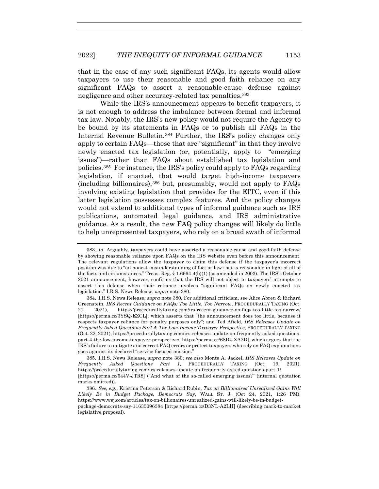that in the case of any such significant FAQs, its agents would allow taxpayers to use their reasonable and good faith reliance on any significant FAQs to assert a reasonable-cause defense against negligence and other accuracy-related tax penalties.<sup>383</sup>

While the IRS's announcement appears to benefit taxpayers, it is not enough to address the imbalance between formal and informal tax law. Notably, the IRS's new policy would not require the Agency to be bound by its statements in FAQs or to publish all FAQs in the Internal Revenue Bulletin.384 Further, the IRS's policy changes only apply to certain FAQs—those that are "significant" in that they involve newly enacted tax legislation (or, potentially, apply to "emerging issues")—rather than FAQs about established tax legislation and policies.385 For instance, the IRS's policy could apply to FAQs regarding legislation, if enacted, that would target high-income taxpayers (including billionaires),386 but, presumably, would not apply to FAQs involving existing legislation that provides for the EITC, even if this latter legislation possesses complex features. And the policy changes would not extend to additional types of informal guidance such as IRS publications, automated legal guidance, and IRS administrative guidance. As a result, the new FAQ policy changes will likely do little to help unrepresented taxpayers, who rely on a broad swath of informal

 385. I.R.S. News Release, *supra* note 380; *see also* Monte A. Jackel, *IRS Releases Update on Frequently Asked Questions Part 1*, PROCEDURALLY TAXING (Oct. 19, 2021), https://procedurallytaxing.com/irs-releases-update-on-frequently-asked-questions-part-1/ [https://perma.cc/544V-JTR8] ("And what of the so-called emerging issues?" (internal quotation marks omitted)).

<sup>383</sup>*. Id.* Arguably, taxpayers could have asserted a reasonable-cause and good-faith defense by showing reasonable reliance upon FAQs on the IRS website even before this announcement. The relevant regulations allow the taxpayer to claim this defense if the taxpayer's incorrect position was due to "an honest misunderstanding of fact or law that is reasonable in light of all of the facts and circumstances." Treas. Reg. § 1.6664-4(b)(1) (as amended in 2003). The IRS's October 2021 announcement, however, confirms that the IRS will not object to taxpayers' attempts to assert this defense when their reliance involves "significant FAQs on newly enacted tax legislation." I.R.S. News Release, *supra* note 380.

 <sup>384.</sup> I.R.S. News Release, *supra* note 380. For additional criticism, see Alice Abreu & Richard Greenstein, *IRS Recent Guidance on FAQs: Too Little, Too Narrow*, PROCEDURALLY TAXING (Oct. 21, 2021), https://procedurallytaxing.com/irs-recent-guidance-on-faqs-too-little-too-narrow/ [https://perma.cc/3YSQ-EZCL], which asserts that "the announcement does too little, because it respects taxpayer reliance for penalty purposes only"; and Ted Afield, *IRS Releases Update on Frequently Asked Questions Part 4: The Low-Income Taxpayer Perspective*, PROCEDURALLY TAXING (Oct. 22, 2021), https://procedurallytaxing.com/irs-releases-update-on-frequently-asked-questionspart-4-the-low-income-taxpayer-perspective/ [https://perma.cc/68D4-XA2D], which argues that the IRS's failure to mitigate and correct FAQ errors or protect taxpayers who rely on FAQ explanations goes against its declared "service-focused mission."

<sup>386</sup>*. See, e.g.*, Kristina Peterson & Richard Rubin, *Tax on Billionaires' Unrealized Gains Will Likely Be in Budget Package, Democrats Say*, WALL ST. J. (Oct 24, 2021, 1:26 PM), https://www.wsj.com/articles/tax-on-billionaires-unrealized-gains-will-likely-be-in-budgetpackage-democrats-say-11635096384 [https://perma.cc/D3NL-A2LH] (describing mark-to-market legislative proposal).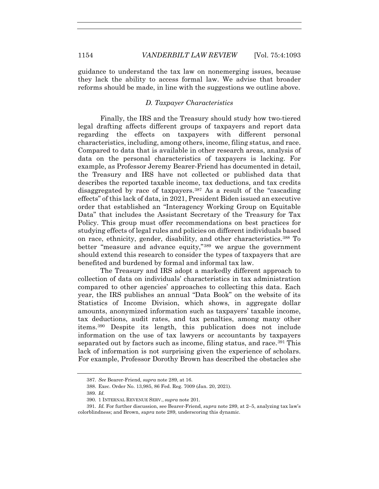guidance to understand the tax law on nonemerging issues, because they lack the ability to access formal law. We advise that broader reforms should be made, in line with the suggestions we outline above.

## *D. Taxpayer Characteristics*

Finally, the IRS and the Treasury should study how two-tiered legal drafting affects different groups of taxpayers and report data regarding the effects on taxpayers with different personal characteristics, including, among others, income, filing status, and race. Compared to data that is available in other research areas, analysis of data on the personal characteristics of taxpayers is lacking. For example, as Professor Jeremy Bearer-Friend has documented in detail, the Treasury and IRS have not collected or published data that describes the reported taxable income, tax deductions, and tax credits disaggregated by race of taxpayers.<sup>387</sup> As a result of the "cascading" effects" of this lack of data, in 2021, President Biden issued an executive order that established an "Interagency Working Group on Equitable Data" that includes the Assistant Secretary of the Treasury for Tax Policy. This group must offer recommendations on best practices for studying effects of legal rules and policies on different individuals based on race, ethnicity, gender, disability, and other characteristics.388 To better "measure and advance equity,"<sup>389</sup> we argue the government should extend this research to consider the types of taxpayers that are benefited and burdened by formal and informal tax law.

The Treasury and IRS adopt a markedly different approach to collection of data on individuals' characteristics in tax administration compared to other agencies' approaches to collecting this data. Each year, the IRS publishes an annual "Data Book" on the website of its Statistics of Income Division, which shows, in aggregate dollar amounts, anonymized information such as taxpayers' taxable income, tax deductions, audit rates, and tax penalties, among many other items.390 Despite its length, this publication does not include information on the use of tax lawyers or accountants by taxpayers separated out by factors such as income, filing status, and race.<sup>391</sup> This lack of information is not surprising given the experience of scholars. For example, Professor Dorothy Brown has described the obstacles she

<sup>387</sup>*. See* Bearer-Friend, *supra* note 289, at 16.

 <sup>388.</sup> Exec. Order No. 13,985, 86 Fed. Reg. 7009 (Jan. 20, 2021).

<sup>389</sup>*. Id.*

<sup>390</sup>*.* 1 INTERNAL REVENUE SERV., *supra* note 201.

<sup>391</sup>*. Id.* For further discussion, see Bearer-Friend, *supra* note 289, at 2–5, analyzing tax law's colorblindness; and Brown, *supra* note 289, underscoring this dynamic.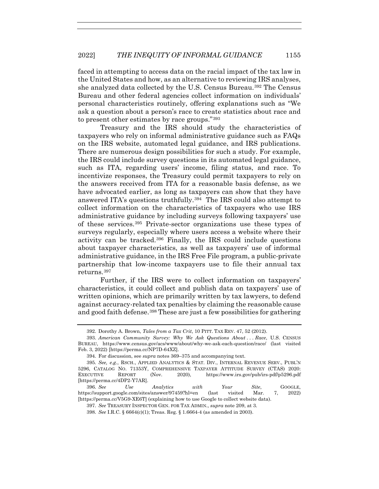faced in attempting to access data on the racial impact of the tax law in the United States and how, as an alternative to reviewing IRS analyses, she analyzed data collected by the U.S. Census Bureau.<sup>392</sup> The Census Bureau and other federal agencies collect information on individuals' personal characteristics routinely, offering explanations such as "We ask a question about a person's race to create statistics about race and to present other estimates by race groups."393

Treasury and the IRS should study the characteristics of taxpayers who rely on informal administrative guidance such as FAQs on the IRS website, automated legal guidance, and IRS publications. There are numerous design possibilities for such a study. For example, the IRS could include survey questions in its automated legal guidance, such as ITA, regarding users' income, filing status, and race. To incentivize responses, the Treasury could permit taxpayers to rely on the answers received from ITA for a reasonable basis defense, as we have advocated earlier, as long as taxpayers can show that they have answered ITA's questions truthfully.394 The IRS could also attempt to collect information on the characteristics of taxpayers who use IRS administrative guidance by including surveys following taxpayers' use of these services.395 Private-sector organizations use these types of surveys regularly, especially where users access a website where their activity can be tracked.396 Finally, the IRS could include questions about taxpayer characteristics, as well as taxpayers' use of informal administrative guidance, in the IRS Free File program, a public-private partnership that low-income taxpayers use to file their annual tax returns.397

Further, if the IRS were to collect information on taxpayers' characteristics, it could collect and publish data on taxpayers' use of written opinions, which are primarily written by tax lawyers, to defend against accuracy-related tax penalties by claiming the reasonable cause and good faith defense.<sup>398</sup> These are just a few possibilities for gathering

 <sup>392.</sup> Dorothy A. Brown, *Tales from a Tax Crit*, 10 PITT. TAX REV. 47, 52 (2012).

 <sup>393.</sup> *American Community Survey: Why We Ask Questions About . . . Race*, U.S. CENSUS BUREAU, https://www.census.gov/acs/www/about/why-we-ask-each-question/race/ (last visited Feb. 3, 2022) [https://perma.cc/NP7D-64XZ].

 <sup>394.</sup> For discussion, see *supra* notes 369–375 and accompanying text.

<sup>395</sup>*. See, e.g.*, RSCH., APPLIED ANALYTICS & STAT. DIV., INTERNAL REVENUE SERV., PUBL'N 5296, CATALOG NO. 71353Y, COMPREHENSIVE TAXPAYER ATTITUDE SURVEY (CTAS) 2020:<br>EXECUTIVE REPORT (Nov. 2020), https://www.irs.gov/pub/irs-pdf/p5296.pdf EXECUTIVE REPORT (Nov. 2020), https://www.irs.gov/pub/irs-pdf/p5296.pdf [https://perma.cc/4DP2-Y7AR].

<sup>396</sup>*. See Use Analytics with Your Site*, GOOGLE, https://support.google.com/sites/answer/97459?hl=en (last visited Mar. 7, 2022) [https://perma.cc/V5G9-XE6T] (explaining how to use Google to collect website data).

<sup>397</sup>*. See* TREASURY INSPECTOR GEN. FOR TAX ADMIN., *supra* note 209, at 3.

<sup>398</sup>*. See* I.R.C. § 6664(c)(1); Treas. Reg. § 1.6664-4 (as amended in 2003).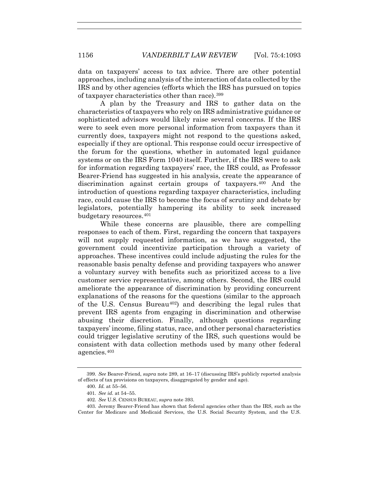data on taxpayers' access to tax advice. There are other potential approaches, including analysis of the interaction of data collected by the IRS and by other agencies (efforts which the IRS has pursued on topics of taxpayer characteristics other than race).399

A plan by the Treasury and IRS to gather data on the characteristics of taxpayers who rely on IRS administrative guidance or sophisticated advisors would likely raise several concerns. If the IRS were to seek even more personal information from taxpayers than it currently does, taxpayers might not respond to the questions asked, especially if they are optional. This response could occur irrespective of the forum for the questions, whether in automated legal guidance systems or on the IRS Form 1040 itself. Further, if the IRS were to ask for information regarding taxpayers' race, the IRS could, as Professor Bearer-Friend has suggested in his analysis, create the appearance of discrimination against certain groups of taxpayers.<sup>400</sup> And the introduction of questions regarding taxpayer characteristics, including race, could cause the IRS to become the focus of scrutiny and debate by legislators, potentially hampering its ability to seek increased budgetary resources.401

While these concerns are plausible, there are compelling responses to each of them. First, regarding the concern that taxpayers will not supply requested information, as we have suggested, the government could incentivize participation through a variety of approaches. These incentives could include adjusting the rules for the reasonable basis penalty defense and providing taxpayers who answer a voluntary survey with benefits such as prioritized access to a live customer service representative, among others. Second, the IRS could ameliorate the appearance of discrimination by providing concurrent explanations of the reasons for the questions (similar to the approach of the U.S. Census Bureau<sup>402</sup>) and describing the legal rules that prevent IRS agents from engaging in discrimination and otherwise abusing their discretion. Finally, although questions regarding taxpayers' income, filing status, race, and other personal characteristics could trigger legislative scrutiny of the IRS, such questions would be consistent with data collection methods used by many other federal agencies.403

<sup>399</sup>*. See* Bearer-Friend, *supra* note 289, at 16–17 (discussing IRS's publicly reported analysis of effects of tax provisions on taxpayers, disaggregated by gender and age).

<sup>400</sup>*. Id.* at 55–56.

<sup>401</sup>*. See id.* at 54–55.

<sup>402</sup>*. See* U.S. CENSUS BUREAU, *supra* note 393.

 <sup>403.</sup> Jeremy Bearer-Friend has shown that federal agencies other than the IRS, such as the Center for Medicare and Medicaid Services, the U.S. Social Security System, and the U.S.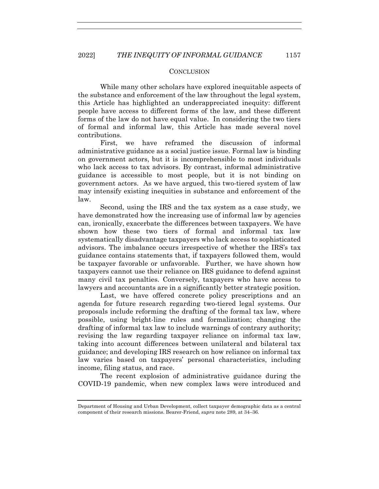#### **CONCLUSION**

While many other scholars have explored inequitable aspects of the substance and enforcement of the law throughout the legal system, this Article has highlighted an underappreciated inequity: different people have access to different forms of the law, and these different forms of the law do not have equal value. In considering the two tiers of formal and informal law, this Article has made several novel contributions.

First, we have reframed the discussion of informal administrative guidance as a social justice issue. Formal law is binding on government actors, but it is incomprehensible to most individuals who lack access to tax advisors. By contrast, informal administrative guidance is accessible to most people, but it is not binding on government actors. As we have argued, this two-tiered system of law may intensify existing inequities in substance and enforcement of the law.

Second, using the IRS and the tax system as a case study, we have demonstrated how the increasing use of informal law by agencies can, ironically, exacerbate the differences between taxpayers. We have shown how these two tiers of formal and informal tax law systematically disadvantage taxpayers who lack access to sophisticated advisors. The imbalance occurs irrespective of whether the IRS's tax guidance contains statements that, if taxpayers followed them, would be taxpayer favorable or unfavorable. Further, we have shown how taxpayers cannot use their reliance on IRS guidance to defend against many civil tax penalties. Conversely, taxpayers who have access to lawyers and accountants are in a significantly better strategic position.

Last, we have offered concrete policy prescriptions and an agenda for future research regarding two-tiered legal systems. Our proposals include reforming the drafting of the formal tax law, where possible, using bright-line rules and formalization; changing the drafting of informal tax law to include warnings of contrary authority; revising the law regarding taxpayer reliance on informal tax law, taking into account differences between unilateral and bilateral tax guidance; and developing IRS research on how reliance on informal tax law varies based on taxpayers' personal characteristics, including income, filing status, and race.

The recent explosion of administrative guidance during the COVID-19 pandemic, when new complex laws were introduced and

Department of Housing and Urban Development, collect taxpayer demographic data as a central component of their research missions. Bearer-Friend, *supra* note 289, at 34–36.